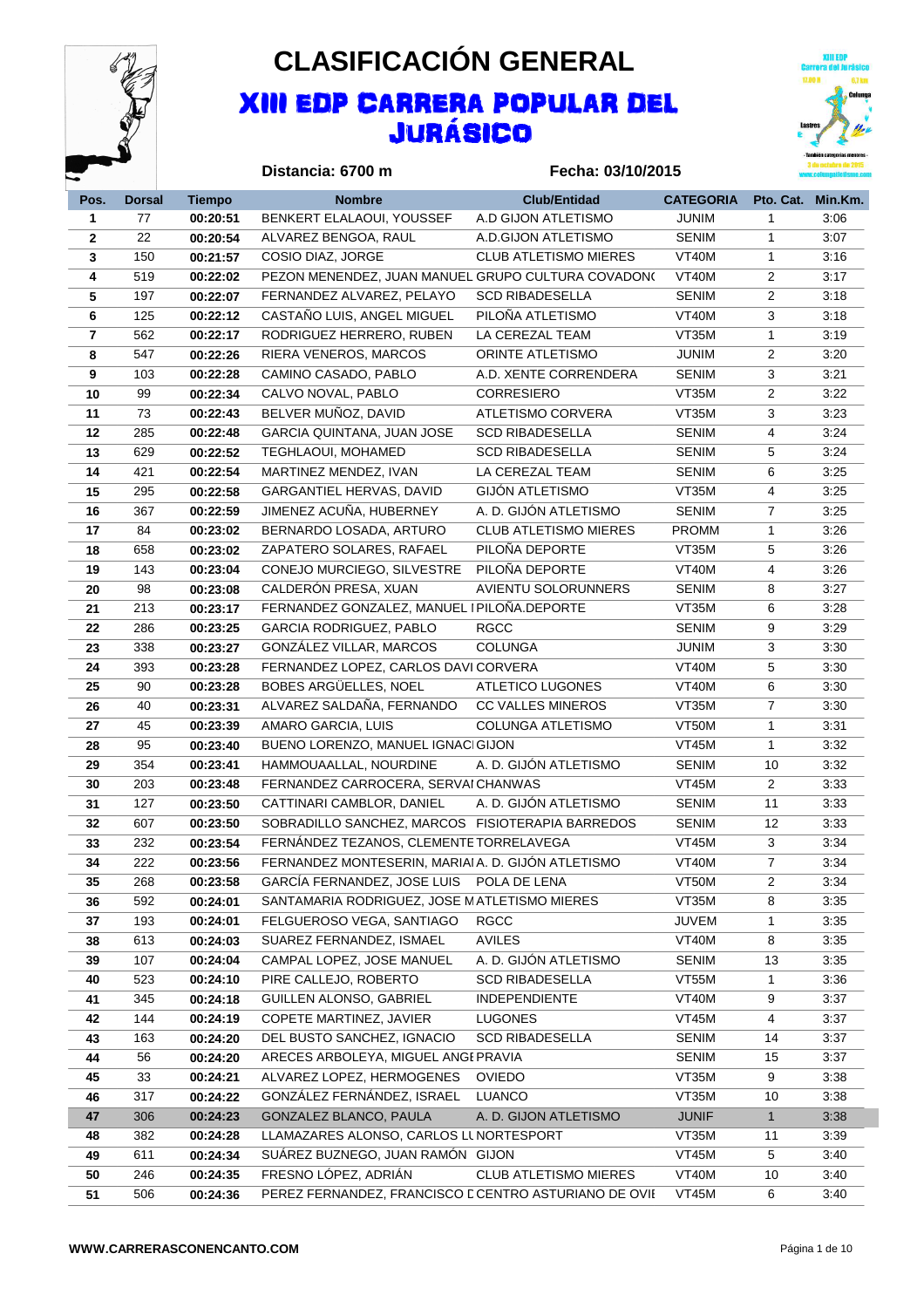

## **CLASIFICACIÓN GENERAL** XIII EDP CARRERA POPULAR DEL JURÁSICO



|                         |               |               | Distancia: 6700 m                                  | Fecha: 03/10/2015            |                  |                | 3 de octubra de 2015 |
|-------------------------|---------------|---------------|----------------------------------------------------|------------------------------|------------------|----------------|----------------------|
| Pos.                    | <b>Dorsal</b> | <b>Tiempo</b> | <b>Nombre</b>                                      | <b>Club/Entidad</b>          | <b>CATEGORIA</b> | Pto. Cat.      | Min.Km.              |
| 1                       | 77            | 00:20:51      | BENKERT ELALAOUI, YOUSSEF                          | A.D GIJON ATLETISMO          | <b>JUNIM</b>     | 1              | 3:06                 |
| $\mathbf{2}$            | 22            | 00:20:54      | ALVAREZ BENGOA, RAUL                               | A.D.GIJON ATLETISMO          | <b>SENIM</b>     | $\mathbf{1}$   | 3:07                 |
| 3                       | 150           | 00:21:57      | COSIO DIAZ, JORGE                                  | <b>CLUB ATLETISMO MIERES</b> | <b>VT40M</b>     | 1              | 3:16                 |
| 4                       | 519           | 00:22:02      | PEZON MENENDEZ, JUAN MANUEL GRUPO CULTURA COVADON( |                              | VT40M            | 2              | 3:17                 |
| 5                       | 197           | 00:22:07      | FERNANDEZ ALVAREZ, PELAYO                          | <b>SCD RIBADESELLA</b>       | <b>SENIM</b>     | 2              | 3:18                 |
| 6                       | 125           | 00:22:12      | CASTAÑO LUIS, ANGEL MIGUEL                         | PILOÑA ATLETISMO             | VT40M            | 3              | 3:18                 |
| $\overline{\mathbf{r}}$ | 562           | 00:22:17      | RODRIGUEZ HERRERO, RUBEN                           | LA CEREZAL TEAM              | VT35M            | 1              | 3:19                 |
| 8                       | 547           | 00:22:26      | RIERA VENEROS, MARCOS                              | ORINTE ATLETISMO             | <b>JUNIM</b>     | $\overline{2}$ | 3:20                 |
| 9                       | 103           | 00:22:28      | CAMINO CASADO, PABLO                               | A.D. XENTE CORRENDERA        | <b>SENIM</b>     | 3              | 3:21                 |
| 10                      | 99            | 00:22:34      | CALVO NOVAL, PABLO                                 | <b>CORRESIERO</b>            | VT35M            | $\overline{2}$ | 3:22                 |
| 11                      | 73            | 00:22:43      | BELVER MUÑOZ, DAVID                                | ATLETISMO CORVERA            | VT35M            | 3              | 3:23                 |
| 12                      | 285           | 00:22:48      | GARCIA QUINTANA, JUAN JOSE                         | <b>SCD RIBADESELLA</b>       | <b>SENIM</b>     | 4              | 3:24                 |
| 13                      | 629           | 00:22:52      | TEGHLAOUI, MOHAMED                                 | <b>SCD RIBADESELLA</b>       | <b>SENIM</b>     | 5              | 3:24                 |
| 14                      | 421           | 00:22:54      | MARTINEZ MENDEZ, IVAN                              | LA CEREZAL TEAM              | <b>SENIM</b>     | 6              | 3:25                 |
| 15                      | 295           | 00:22:58      | <b>GARGANTIEL HERVAS, DAVID</b>                    | <b>GIJÓN ATLETISMO</b>       | VT35M            | 4              | 3:25                 |
| 16                      | 367           | 00:22:59      | JIMENEZ ACUÑA, HUBERNEY                            | A. D. GIJÓN ATLETISMO        | <b>SENIM</b>     | 7              | 3:25                 |
| 17                      | 84            | 00:23:02      | BERNARDO LOSADA, ARTURO                            | <b>CLUB ATLETISMO MIERES</b> | PROMM            | 1              | 3:26                 |
| 18                      | 658           | 00:23:02      | ZAPATERO SOLARES, RAFAEL                           | PILOÑA DEPORTE               | VT35M            | 5              | 3:26                 |
| 19                      | 143           | 00:23:04      | CONEJO MURCIEGO, SILVESTRE                         | PILOÑA DEPORTE               | VT40M            | 4              | 3:26                 |
| 20                      | 98            | 00:23:08      | CALDERÓN PRESA, XUAN                               | <b>AVIENTU SOLORUNNERS</b>   | <b>SENIM</b>     | 8              | 3:27                 |
| 21                      | 213           | 00:23:17      | FERNANDEZ GONZALEZ, MANUEL I PILOÑA.DEPORTE        |                              | VT35M            | 6              | 3:28                 |
| 22                      | 286           | 00:23:25      | <b>GARCIA RODRIGUEZ, PABLO</b>                     | <b>RGCC</b>                  | <b>SENIM</b>     | 9              | 3:29                 |
| 23                      | 338           | 00:23:27      | GONZÁLEZ VILLAR, MARCOS                            | <b>COLUNGA</b>               | <b>JUNIM</b>     | 3              | 3:30                 |
| 24                      | 393           | 00:23:28      | FERNANDEZ LOPEZ, CARLOS DAVI CORVERA               |                              | VT40M            | 5              | 3:30                 |
| 25                      | 90            | 00:23:28      | BOBES ARGÜELLES, NOEL                              | <b>ATLETICO LUGONES</b>      | VT40M            | 6              | 3:30                 |
| 26                      | 40            | 00:23:31      | ALVAREZ SALDAÑA, FERNANDO                          | <b>CC VALLES MINEROS</b>     | VT35M            | 7              | 3:30                 |
| 27                      | 45            | 00:23:39      | AMARO GARCIA, LUIS                                 | COLUNGA ATLETISMO            | VT50M            | 1              | 3:31                 |
| 28                      | 95            | 00:23:40      | BUENO LORENZO, MANUEL IGNACI GIJON                 |                              | VT45M            | 1              | 3:32                 |
| 29                      | 354           | 00:23:41      | HAMMOUAALLAL, NOURDINE                             | A. D. GIJÓN ATLETISMO        | <b>SENIM</b>     | 10             | 3:32                 |
| 30                      | 203           | 00:23:48      | FERNANDEZ CARROCERA, SERVAI CHANWAS                |                              | <b>VT45M</b>     | $\overline{2}$ | 3:33                 |
| 31                      | 127           | 00:23:50      | CATTINARI CAMBLOR, DANIEL                          | A. D. GIJÓN ATLETISMO        | <b>SENIM</b>     | 11             | 3:33                 |
| 32                      | 607           | 00:23:50      | SOBRADILLO SANCHEZ, MARCOS FISIOTERAPIA BARREDOS   |                              | <b>SENIM</b>     | 12             | 3:33                 |
| 33                      | 232           | 00:23:54      | FERNANDEZ TEZANOS, CLEMENTE TORRELAVEGA            |                              | <b>VT45M</b>     | 3              | 3:34                 |
| 34                      | 222           | 00:23:56      | FERNANDEZ MONTESERIN, MARIAI A. D. GIJON ATLETISMO |                              | <b>VT40M</b>     | $\overline{7}$ | 3:34                 |
| 35                      | 268           | 00:23:58      | GARCÍA FERNANDEZ, JOSE LUIS                        | POLA DE LENA                 | VT50M            | 2              | 3:34                 |
| 36                      | 592           | 00:24:01      | SANTAMARIA RODRIGUEZ, JOSE MATLETISMO MIERES       |                              | VT35M            | 8              | 3:35                 |
| 37                      | 193           | 00:24:01      | FELGUEROSO VEGA, SANTIAGO                          | <b>RGCC</b>                  | <b>JUVEM</b>     | 1              | 3:35                 |
| 38                      | 613           | 00:24:03      | SUAREZ FERNANDEZ, ISMAEL                           | <b>AVILES</b>                | <b>VT40M</b>     | 8              | 3:35                 |
| 39                      | 107           | 00:24:04      | CAMPAL LOPEZ, JOSE MANUEL                          | A. D. GIJON ATLETISMO        | <b>SENIM</b>     | 13             | 3:35                 |
| 40                      | 523           | 00:24:10      | PIRE CALLEJO, ROBERTO                              | <b>SCD RIBADESELLA</b>       | VT55M            | 1              | 3:36                 |
| 41                      | 345           | 00:24:18      | GUILLEN ALONSO, GABRIEL                            | <b>INDEPENDIENTE</b>         | VT40M            | 9              | 3:37                 |
| 42                      | 144           | 00:24:19      | COPETE MARTINEZ, JAVIER                            | <b>LUGONES</b>               | <b>VT45M</b>     | 4              | 3:37                 |
| 43                      | 163           | 00:24:20      | DEL BUSTO SANCHEZ, IGNACIO                         | <b>SCD RIBADESELLA</b>       | <b>SENIM</b>     | 14             | 3:37                 |
| 44                      | 56            | 00:24:20      | ARECES ARBOLEYA, MIGUEL ANGI PRAVIA                |                              | <b>SENIM</b>     | 15             | 3:37                 |
| 45                      | 33            | 00:24:21      | ALVAREZ LOPEZ, HERMOGENES                          | <b>OVIEDO</b>                | VT35M            | 9              | 3:38                 |
| 46                      | 317           | 00:24:22      | GONZÁLEZ FERNÁNDEZ, ISRAEL                         | <b>LUANCO</b>                | VT35M            | 10             | 3:38                 |
| 47                      | 306           | 00:24:23      | GONZALEZ BLANCO, PAULA                             | A. D. GIJON ATLETISMO        | <b>JUNIF</b>     | $\mathbf{1}$   | 3:38                 |
| 48                      | 382           | 00:24:28      | LLAMAZARES ALONSO, CARLOS LI NORTESPORT            |                              | VT35M            | 11             | 3:39                 |
| 49                      | 611           | 00:24:34      | SUÁREZ BUZNEGO, JUAN RAMÓN GIJON                   |                              | VT45M            | 5              | 3:40                 |
| 50                      | 246           | 00:24:35      | FRESNO LÓPEZ, ADRIÁN                               | CLUB ATLETISMO MIERES        | VT40M            | 10             | 3:40                 |

**51 506 00:24:36 PEREZ FERNANDEZ, FRANCISCO E CENTRO ASTURIANO DE OVIE VT45M 6 3:40**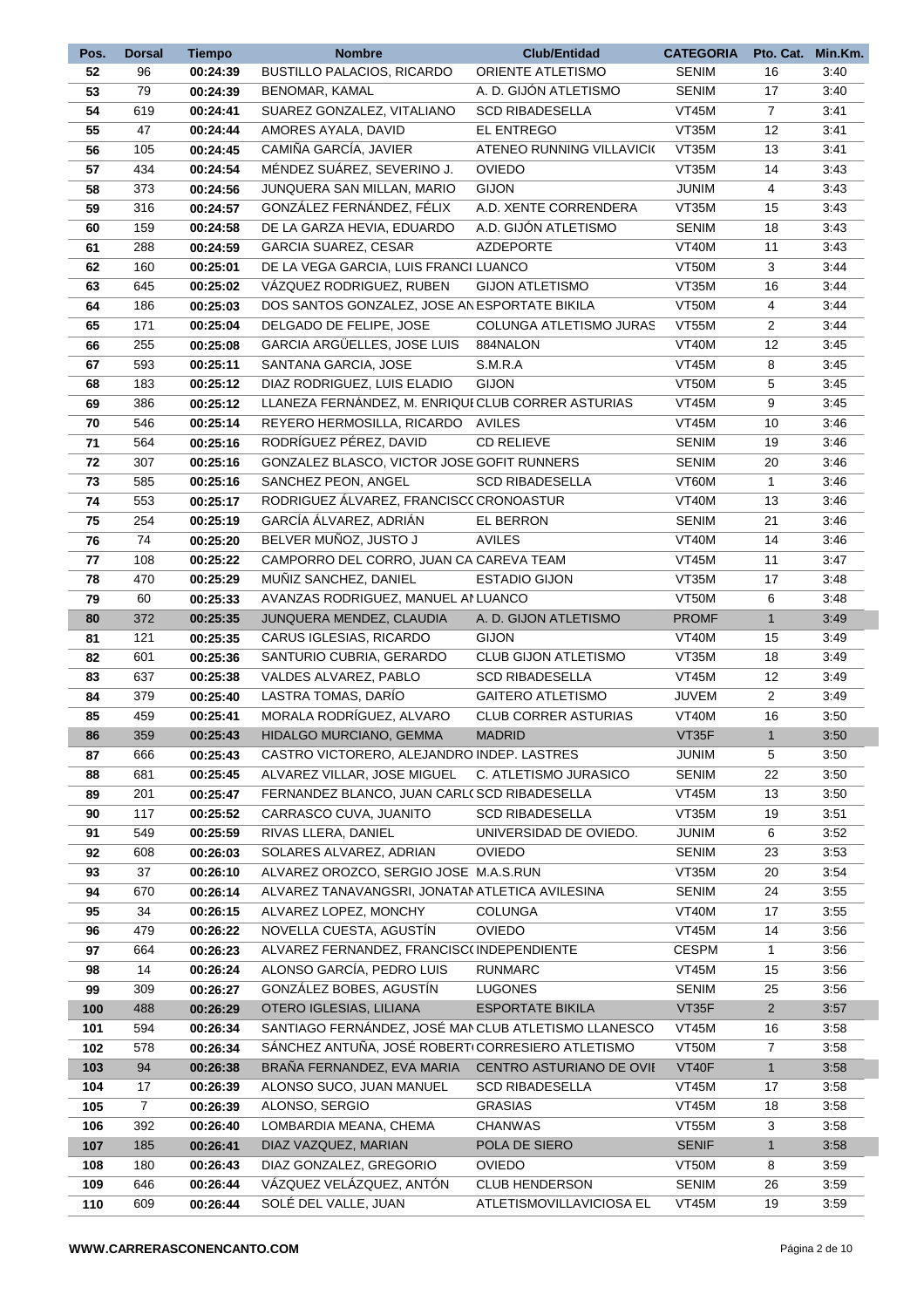| Pos. | <b>Dorsal</b>  | <b>Tiempo</b> | <b>Nombre</b>                                                  | <b>Club/Entidad</b>         | <b>CATEGORIA</b> |                    | Pto. Cat. Min.Km. |
|------|----------------|---------------|----------------------------------------------------------------|-----------------------------|------------------|--------------------|-------------------|
| 52   | 96             | 00:24:39      | BUSTILLO PALACIOS, RICARDO                                     | ORIENTE ATLETISMO           | <b>SENIM</b>     | 16                 | 3:40              |
| 53   | 79             | 00:24:39      | BENOMAR, KAMAL                                                 | A. D. GIJÓN ATLETISMO       | <b>SENIM</b>     | 17                 | 3:40              |
| 54   | 619            | 00:24:41      | SUAREZ GONZALEZ, VITALIANO                                     | <b>SCD RIBADESELLA</b>      | VT45M            | $\overline{7}$     | 3:41              |
| 55   | 47             | 00:24:44      | AMORES AYALA, DAVID                                            | EL ENTREGO                  | VT35M            | 12                 | 3:41              |
| 56   | 105            | 00:24:45      | CAMIÑA GARCÍA, JAVIER                                          | ATENEO RUNNING VILLAVICK    | VT35M            | 13                 | 3:41              |
| 57   | 434            | 00:24:54      | MÉNDEZ SUÁREZ, SEVERINO J.                                     | <b>OVIEDO</b>               | VT35M            | 14                 | 3:43              |
| 58   | 373            | 00:24:56      | JUNQUERA SAN MILLAN, MARIO                                     | <b>GIJON</b>                | <b>JUNIM</b>     | 4                  | 3:43              |
| 59   | 316            | 00:24:57      | GONZÁLEZ FERNÁNDEZ, FÉLIX                                      | A.D. XENTE CORRENDERA       | VT35M            | 15                 | 3:43              |
| 60   | 159            | 00:24:58      | DE LA GARZA HEVIA, EDUARDO                                     | A.D. GIJÓN ATLETISMO        | <b>SENIM</b>     | 18                 | 3:43              |
| 61   | 288            | 00:24:59      | GARCIA SUAREZ, CESAR                                           | <b>AZDEPORTE</b>            | VT40M            | 11                 | 3:43              |
| 62   | 160            | 00:25:01      | DE LA VEGA GARCIA, LUIS FRANCI LUANCO                          |                             | VT50M            | 3                  | 3:44              |
| 63   | 645            | 00:25:02      | VÁZQUEZ RODRIGUEZ, RUBEN                                       | <b>GIJON ATLETISMO</b>      | VT35M            | 16                 | 3:44              |
| 64   | 186            | 00:25:03      | DOS SANTOS GONZALEZ, JOSE AN ESPORTATE BIKILA                  |                             | VT50M            | 4                  | 3:44              |
| 65   | 171            | 00:25:04      | DELGADO DE FELIPE, JOSE                                        | COLUNGA ATLETISMO JURAS     | VT55M            | $\overline{2}$     | 3:44              |
| 66   | 255            | 00:25:08      | GARCIA ARGÜELLES, JOSE LUIS                                    | 884NALON                    | VT40M            | 12                 | 3:45              |
| 67   | 593            | 00:25:11      | SANTANA GARCIA, JOSE                                           | S.M.R.A                     | VT45M            | 8                  | 3:45              |
| 68   | 183            | 00:25:12      | DIAZ RODRIGUEZ, LUIS ELADIO                                    | <b>GIJON</b>                | VT50M            | 5                  | 3:45              |
| 69   | 386            | 00:25:12      | LLANEZA FERNÁNDEZ, M. ENRIQUI CLUB CORRER ASTURIAS             |                             | <b>VT45M</b>     | 9                  | 3:45              |
| 70   | 546            | 00:25:14      | REYERO HERMOSILLA, RICARDO AVILES                              |                             | <b>VT45M</b>     | 10                 | 3:46              |
| 71   | 564            | 00:25:16      | RODRÍGUEZ PÉREZ, DAVID                                         | <b>CD RELIEVE</b>           | <b>SENIM</b>     | 19                 | 3:46              |
|      | 307            |               | GONZALEZ BLASCO, VICTOR JOSE GOFIT RUNNERS                     |                             | <b>SENIM</b>     | 20                 | 3:46              |
| 72   |                | 00:25:16      |                                                                | <b>SCD RIBADESELLA</b>      |                  |                    |                   |
| 73   | 585<br>553     | 00:25:16      | SANCHEZ PEON, ANGEL<br>RODRIGUEZ ÁLVAREZ, FRANCISCO CRONOASTUR |                             | VT60M<br>VT40M   | $\mathbf{1}$<br>13 | 3:46              |
| 74   |                | 00:25:17      |                                                                |                             |                  |                    | 3:46              |
| 75   | 254            | 00:25:19      | GARCÍA ÁLVAREZ, ADRIÁN                                         | EL BERRON                   | SENIM            | 21                 | 3:46              |
| 76   | 74             | 00:25:20      | BELVER MUÑOZ, JUSTO J                                          | <b>AVILES</b>               | VT40M            | 14                 | 3:46              |
| 77   | 108            | 00:25:22      | CAMPORRO DEL CORRO, JUAN CA CAREVA TEAM                        |                             | VT45M            | 11                 | 3:47              |
| 78   | 470            | 00:25:29      | MUÑIZ SANCHEZ, DANIEL                                          | <b>ESTADIO GIJON</b>        | VT35M            | 17                 | 3:48              |
| 79   | 60             | 00:25:33      | AVANZAS RODRIGUEZ, MANUEL AI LUANCO                            |                             | VT50M            | 6                  | 3:48              |
| 80   | 372            | 00:25:35      | JUNQUERA MENDEZ, CLAUDIA                                       | A. D. GIJON ATLETISMO       | <b>PROMF</b>     | $\mathbf{1}$       | 3:49              |
| 81   | 121            | 00:25:35      | CARUS IGLESIAS, RICARDO                                        | <b>GIJON</b>                | VT40M            | 15                 | 3:49              |
| 82   | 601            | 00:25:36      | SANTURIO CUBRIA, GERARDO                                       | <b>CLUB GIJON ATLETISMO</b> | VT35M            | 18                 | 3:49              |
| 83   | 637            | 00:25:38      | VALDES ALVAREZ, PABLO                                          | <b>SCD RIBADESELLA</b>      | VT45M            | 12                 | 3:49              |
| 84   | 379            | 00:25:40      | LASTRA TOMAS, DARÍO                                            | <b>GAITERO ATLETISMO</b>    | <b>JUVEM</b>     | $\overline{2}$     | 3:49              |
| 85   | 459            | 00:25:41      | MORALA RODRÍGUEZ, ALVARO                                       | <b>CLUB CORRER ASTURIAS</b> | VT40M            | 16                 | 3:50              |
| 86   | 359            | 00:25:43      | HIDALGO MURCIANO, GEMMA                                        | <b>MADRID</b>               | VT35F            | $\mathbf{1}$       | 3:50              |
| 87   | 666            | 00:25:43      | CASTRO VICTORERO, ALEJANDRO INDEP. LASTRES                     |                             | <b>JUNIM</b>     | 5                  | 3:50              |
| 88   | 681            | 00:25:45      | ALVAREZ VILLAR, JOSE MIGUEL                                    | C. ATLETISMO JURASICO       | <b>SENIM</b>     | 22                 | 3:50              |
| 89   | 201            | 00:25:47      | FERNANDEZ BLANCO, JUAN CARL(SCD RIBADESELLA                    |                             | VT45M            | 13                 | 3:50              |
| 90   | 117            | 00:25:52      | CARRASCO CUVA, JUANITO                                         | <b>SCD RIBADESELLA</b>      | VT35M            | 19                 | 3:51              |
| 91   | 549            | 00:25:59      | RIVAS LLERA, DANIEL                                            | UNIVERSIDAD DE OVIEDO.      | <b>JUNIM</b>     | 6                  | 3:52              |
| 92   | 608            | 00:26:03      | SOLARES ALVAREZ, ADRIAN                                        | <b>OVIEDO</b>               | SENIM            | 23                 | 3:53              |
| 93   | 37             | 00:26:10      | ALVAREZ OROZCO, SERGIO JOSE M.A.S.RUN                          |                             | VT35M            | 20                 | 3:54              |
| 94   | 670            | 00:26:14      | ALVAREZ TANAVANGSRI, JONATAN ATLETICA AVILESINA                |                             | <b>SENIM</b>     | 24                 | 3:55              |
| 95   | 34             | 00:26:15      | ALVAREZ LOPEZ, MONCHY                                          | <b>COLUNGA</b>              | VT40M            | 17                 | 3:55              |
| 96   | 479            | 00:26:22      | NOVELLA CUESTA, AGUSTIN                                        | <b>OVIEDO</b>               | VT45M            | 14                 | 3:56              |
| 97   | 664            | 00:26:23      | ALVAREZ FERNANDEZ, FRANCISC(INDEPENDIENTE                      |                             | <b>CESPM</b>     | $\mathbf{1}$       | 3:56              |
| 98   | 14             | 00:26:24      | ALONSO GARCÍA, PEDRO LUIS                                      | <b>RUNMARC</b>              | VT45M            | 15                 | 3:56              |
| 99   | 309            | 00:26:27      | GONZÁLEZ BOBES, AGUSTÍN                                        | <b>LUGONES</b>              | <b>SENIM</b>     | 25                 | 3:56              |
| 100  | 488            | 00:26:29      | OTERO IGLESIAS, LILIANA                                        | <b>ESPORTATE BIKILA</b>     | VT35F            | $\overline{2}$     | 3:57              |
| 101  | 594            | 00:26:34      | SANTIAGO FERNÁNDEZ, JOSÉ MANCLUB ATLETISMO LLANESCO            |                             | <b>VT45M</b>     | 16                 | 3:58              |
| 102  | 578            | 00:26:34      | SÁNCHEZ ANTUÑA, JOSÉ ROBERTI CORRESIERO ATLETISMO              |                             | VT50M            | $\overline{7}$     | 3:58              |
| 103  | 94             | 00:26:38      | BRAÑA FERNANDEZ, EVA MARIA                                     | CENTRO ASTURIANO DE OVII    | VT40F            | 1                  | 3:58              |
| 104  | 17             | 00:26:39      | ALONSO SUCO, JUAN MANUEL                                       | <b>SCD RIBADESELLA</b>      | VT45M            | 17                 | 3:58              |
| 105  | $\overline{7}$ | 00:26:39      | ALONSO, SERGIO                                                 | <b>GRASIAS</b>              | VT45M            | 18                 | 3:58              |
| 106  | 392            | 00:26:40      | LOMBARDIA MEANA, CHEMA                                         | <b>CHANWAS</b>              | VT55M            | 3                  | 3:58              |
| 107  | 185            | 00:26:41      | DIAZ VAZQUEZ, MARIAN                                           | POLA DE SIERO               | <b>SENIF</b>     | $\mathbf{1}$       | 3:58              |
| 108  | 180            | 00:26:43      | DIAZ GONZALEZ, GREGORIO                                        | <b>OVIEDO</b>               | VT50M            | 8                  | 3:59              |
| 109  | 646            | 00:26:44      | VÁZQUEZ VELÁZQUEZ, ANTÓN                                       | <b>CLUB HENDERSON</b>       | <b>SENIM</b>     | 26                 | 3:59              |
| 110  | 609            | 00:26:44      | SOLÉ DEL VALLE, JUAN                                           | ATLETISMOVILLAVICIOSA EL    | VT45M            | 19                 | 3:59              |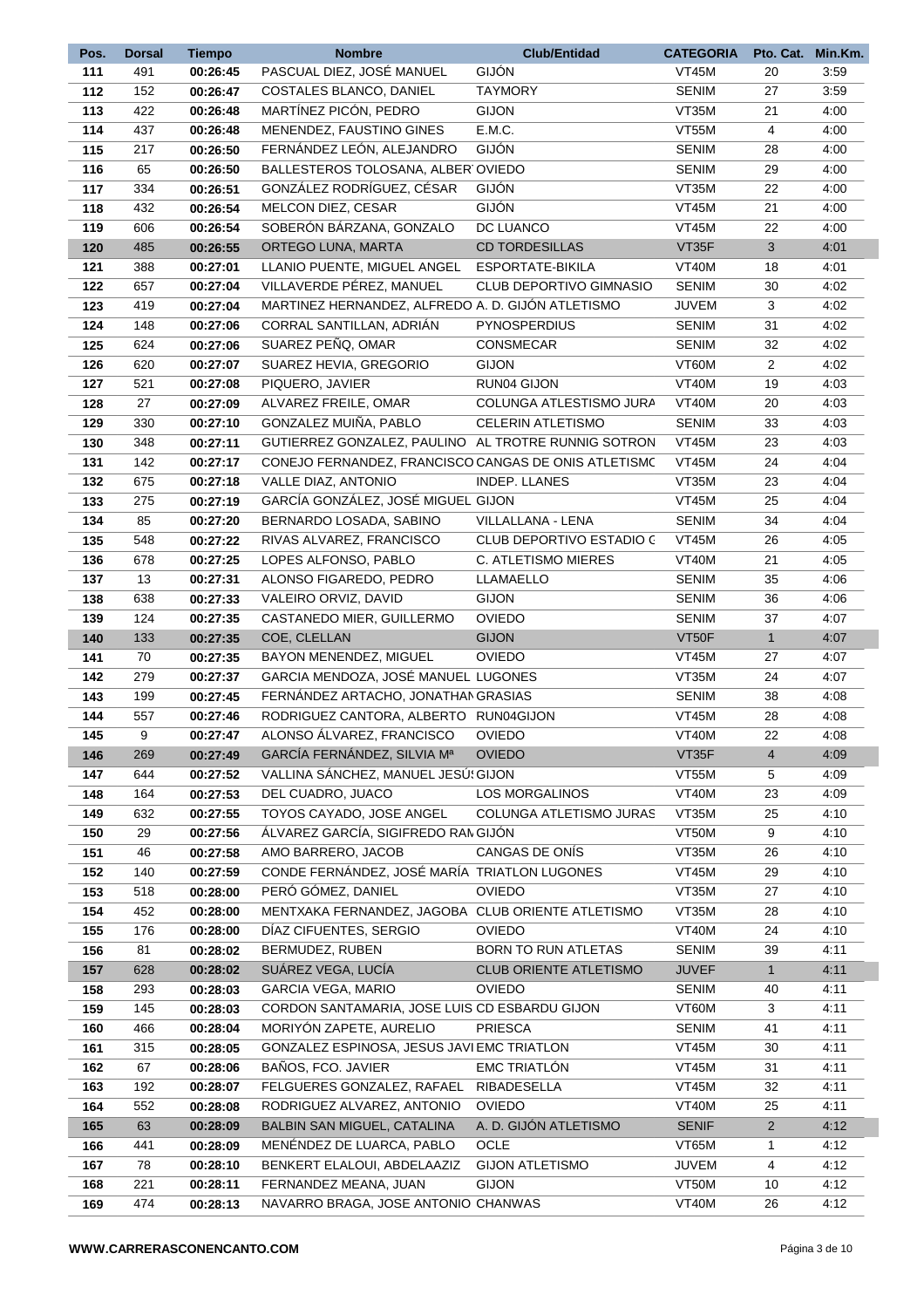| Pos.       | <b>Dorsal</b> | <b>Tiempo</b>        | <b>Nombre</b>                                                   | <b>Club/Entidad</b>             | <b>CATEGORIA</b> |                | Pto. Cat. Min.Km. |
|------------|---------------|----------------------|-----------------------------------------------------------------|---------------------------------|------------------|----------------|-------------------|
| 111        | 491           | 00:26:45             | PASCUAL DIEZ, JOSÉ MANUEL                                       | <b>GIJÓN</b>                    | VT45M            | 20             | 3:59              |
| 112        | 152           | 00:26:47             | COSTALES BLANCO, DANIEL                                         | <b>TAYMORY</b>                  | SENIM            | 27             | 3:59              |
| 113        | 422           | 00:26:48             | MARTÍNEZ PICÓN, PEDRO                                           | <b>GIJON</b>                    | VT35M            | 21             | 4:00              |
| 114        | 437           | 00:26:48             | MENENDEZ, FAUSTINO GINES                                        | E.M.C.                          | VT55M            | 4              | 4:00              |
| 115        | 217           | 00:26:50             | FERNÁNDEZ LEÓN, ALEJANDRO                                       | <b>GIJÓN</b>                    | <b>SENIM</b>     | 28             | 4:00              |
| 116        | 65            | 00:26:50             | BALLESTEROS TOLOSANA, ALBER OVIEDO                              |                                 | <b>SENIM</b>     | 29             | 4:00              |
| 117        | 334           | 00:26:51             | GONZÁLEZ RODRÍGUEZ, CÉSAR                                       | GIJÓN                           | VT35M            | 22             | 4:00              |
| 118        | 432           | 00:26:54             | MELCON DIEZ, CESAR                                              | <b>GIJÓN</b>                    | VT45M            | 21             | 4:00              |
| 119        | 606           | 00:26:54             | SOBERÓN BÁRZANA, GONZALO                                        | DC LUANCO                       | VT45M            | 22             | 4:00              |
| 120        | 485           | 00:26:55             | ORTEGO LUNA, MARTA                                              | <b>CD TORDESILLAS</b>           | VT35F            | 3              | 4:01              |
| 121        | 388           | 00:27:01             | LLANIO PUENTE, MIGUEL ANGEL                                     | ESPORTATE-BIKILA                | VT40M            | 18             | 4:01              |
| 122        | 657           | 00:27:04             | VILLAVERDE PÉREZ, MANUEL                                        | CLUB DEPORTIVO GIMNASIO         | <b>SENIM</b>     | 30             | 4:02              |
| 123        | 419           | 00:27:04             | MARTINEZ HERNANDEZ, ALFREDO A. D. GIJÓN ATLETISMO               |                                 | JUVEM            | 3              | 4:02              |
| 124        | 148           | 00:27:06             | CORRAL SANTILLAN, ADRIÁN                                        | <b>PYNOSPERDIUS</b>             | <b>SENIM</b>     | 31             | 4:02              |
| 125        | 624           | 00:27:06             | SUAREZ PEÑQ, OMAR                                               | <b>CONSMECAR</b>                | <b>SENIM</b>     | 32             | 4:02              |
| 126        | 620           | 00:27:07             | SUAREZ HEVIA, GREGORIO                                          | <b>GIJON</b>                    | VT60M            | $\overline{2}$ | 4:02              |
| 127        | 521           | 00:27:08             | PIQUERO, JAVIER                                                 | RUN04 GIJON                     | VT40M            | 19             | 4:03              |
| 128        | 27            | 00:27:09             | ALVAREZ FREILE, OMAR                                            | COLUNGA ATLESTISMO JURA         | VT40M            | 20             | 4:03              |
| 129        | 330           | 00:27:10             | GONZALEZ MUIÑA, PABLO                                           | CELERIN ATLETISMO               | <b>SENIM</b>     | 33             | 4:03              |
| 130        | 348           | 00:27:11             | GUTIERREZ GONZALEZ, PAULINO AL TROTRE RUNNIG SOTRON             |                                 | VT45M            | 23             | 4:03              |
| 131        | 142           | 00:27:17             | CONEJO FERNANDEZ, FRANCISCO CANGAS DE ONIS ATLETISMO            |                                 | VT45M            | 24             | 4:04              |
| 132        | 675           | 00:27:18             | VALLE DIAZ, ANTONIO                                             | <b>INDEP. LLANES</b>            | VT35M            | 23             | 4:04              |
| 133        | 275           | 00:27:19             | GARCÍA GONZÁLEZ, JOSÉ MIGUEL GIJON                              |                                 | VT45M            | 25             | 4:04              |
| 134        | 85            | 00:27:20             | BERNARDO LOSADA, SABINO                                         | VILLALLANA - LENA               | <b>SENIM</b>     | 34             | 4:04              |
| 135        | 548           | 00:27:22             | RIVAS ALVAREZ, FRANCISCO                                        | <b>CLUB DEPORTIVO ESTADIO (</b> | VT45M            | 26             | 4:05              |
| 136        | 678           | 00:27:25             | LOPES ALFONSO, PABLO                                            | C. ATLETISMO MIERES             | VT40M            | 21             | 4:05              |
| 137        | 13            | 00:27:31             | ALONSO FIGAREDO, PEDRO                                          | LLAMAELLO                       | SENIM            | 35             | 4:06              |
| 138        | 638           | 00:27:33             | VALEIRO ORVIZ, DAVID                                            | <b>GIJON</b>                    | <b>SENIM</b>     | 36             | 4:06              |
| 139        | 124           | 00:27:35             | CASTANEDO MIER, GUILLERMO                                       | <b>OVIEDO</b>                   | <b>SENIM</b>     | 37             | 4:07              |
| 140        | 133           | 00:27:35             | COE, CLELLAN                                                    | <b>GIJON</b>                    | VT50F            | 1              | 4:07              |
| 141        | 70            | 00:27:35             | BAYON MENENDEZ, MIGUEL                                          | <b>OVIEDO</b>                   | VT45M            | 27             | 4:07              |
| 142        | 279           | 00:27:37             | GARCIA MENDOZA, JOSÉ MANUEL LUGONES                             |                                 | VT35M            | 24             | 4:07              |
| 143        | 199           | 00:27:45             | FERNÁNDEZ ARTACHO, JONATHAN GRASIAS                             |                                 | <b>SENIM</b>     | 38             | 4:08              |
|            | 557           |                      | RODRIGUEZ CANTORA, ALBERTO RUN04GIJON                           |                                 | VT45M            | 28             | 4:08              |
| 144<br>145 | 9             | 00:27:46<br>00:27:47 | ALONSO ÁLVAREZ, FRANCISCO                                       | <b>OVIEDO</b>                   | VT40M            | 22             | 4:08              |
|            | 269           |                      | GARCÍA FERNÁNDEZ, SILVIA Mª                                     | <b>OVIEDO</b>                   | VT35F            | $\overline{4}$ | 4:09              |
| 146        |               | 00:27:49             | VALLINA SÁNCHEZ, MANUEL JESÚ GIJON                              |                                 |                  |                |                   |
| 147        | 644           | 00:27:52             |                                                                 |                                 | VT55M            | 5              | 4:09              |
| 148        | 164           | 00:27:53             | DEL CUADRO, JUACO                                               | <b>LOS MORGALINOS</b>           | VT40M            | 23             | 4:09              |
| 149        | 632           | 00:27:55             | TOYOS CAYADO, JOSE ANGEL<br>ÁLVAREZ GARCÍA, SIGIFREDO RAN GIJÓN | COLUNGA ATLETISMO JURAS         | VT35M            | 25             | 4:10              |
| 150        | 29            | 00:27:56             |                                                                 |                                 | VT50M            | 9              | 4:10              |
| 151        | 46            | 00:27:58             | AMO BARRERO, JACOB                                              | CANGAS DE ONÍS                  | VT35M            | 26             | 4:10              |
| 152        | 140           | 00:27:59             | CONDE FERNÁNDEZ, JOSÉ MARÍA TRIATLON LUGONES                    |                                 | VT45M            | 29             | 4:10              |
| 153        | 518           | 00:28:00             | PERÓ GÓMEZ, DANIEL                                              | <b>OVIEDO</b>                   | VT35M            | 27             | 4:10              |
| 154        | 452           | 00:28:00             | MENTXAKA FERNANDEZ, JAGOBA CLUB ORIENTE ATLETISMO               |                                 | VT35M            | 28             | 4:10              |
| 155        | 176           | 00:28:00             | DÍAZ CIFUENTES, SERGIO                                          | <b>OVIEDO</b>                   | VT40M            | 24             | 4:10              |
| 156        | 81            | 00:28:02             | BERMUDEZ, RUBEN                                                 | <b>BORN TO RUN ATLETAS</b>      | <b>SENIM</b>     | 39             | 4:11              |
| 157        | 628           | 00:28:02             | SUÁREZ VEGA, LUCÍA                                              | <b>CLUB ORIENTE ATLETISMO</b>   | <b>JUVEF</b>     | $\mathbf{1}$   | 4:11              |
| 158        | 293           | 00:28:03             | <b>GARCIA VEGA, MARIO</b>                                       | <b>OVIEDO</b>                   | <b>SENIM</b>     | 40             | 4:11              |
| 159        | 145           | 00:28:03             | CORDON SANTAMARIA, JOSE LUIS CD ESBARDU GIJON                   |                                 | VT60M            | 3              | 4:11              |
| 160        | 466           | 00:28:04             | MORIYÓN ZAPETE, AURELIO                                         | <b>PRIESCA</b>                  | <b>SENIM</b>     | 41             | 4:11              |
| 161        | 315           | 00:28:05             | GONZALEZ ESPINOSA, JESUS JAVI EMC TRIATLON                      |                                 | VT45M            | 30             | 4:11              |
| 162        | 67            | 00:28:06             | BAÑOS, FCO. JAVIER                                              | <b>EMC TRIATLÓN</b>             | VT45M            | 31             | 4:11              |
| 163        | 192           | 00:28:07             | FELGUERES GONZALEZ, RAFAEL                                      | RIBADESELLA                     | VT45M            | 32             | 4:11              |
| 164        | 552           | 00:28:08             | RODRIGUEZ ALVAREZ, ANTONIO                                      | <b>OVIEDO</b>                   | VT40M            | 25             | 4:11              |
| 165        | 63            | 00:28:09             | BALBIN SAN MIGUEL, CATALINA                                     | A. D. GIJÓN ATLETISMO           | <b>SENIF</b>     | $\overline{2}$ | 4:12              |
| 166        | 441           | 00:28:09             | MENÉNDEZ DE LUARCA, PABLO                                       | <b>OCLE</b>                     | VT65M            | 1              | 4:12              |
| 167        | 78            | 00:28:10             | BENKERT ELALOUI, ABDELAAZIZ                                     | <b>GIJON ATLETISMO</b>          | <b>JUVEM</b>     | 4              | 4:12              |
| 168        | 221           | 00:28:11             | FERNANDEZ MEANA, JUAN                                           | <b>GIJON</b>                    | VT50M            | 10             | 4:12              |
| 169        | 474           | 00:28:13             | NAVARRO BRAGA, JOSE ANTONIO CHANWAS                             |                                 | VT40M            | 26             | 4:12              |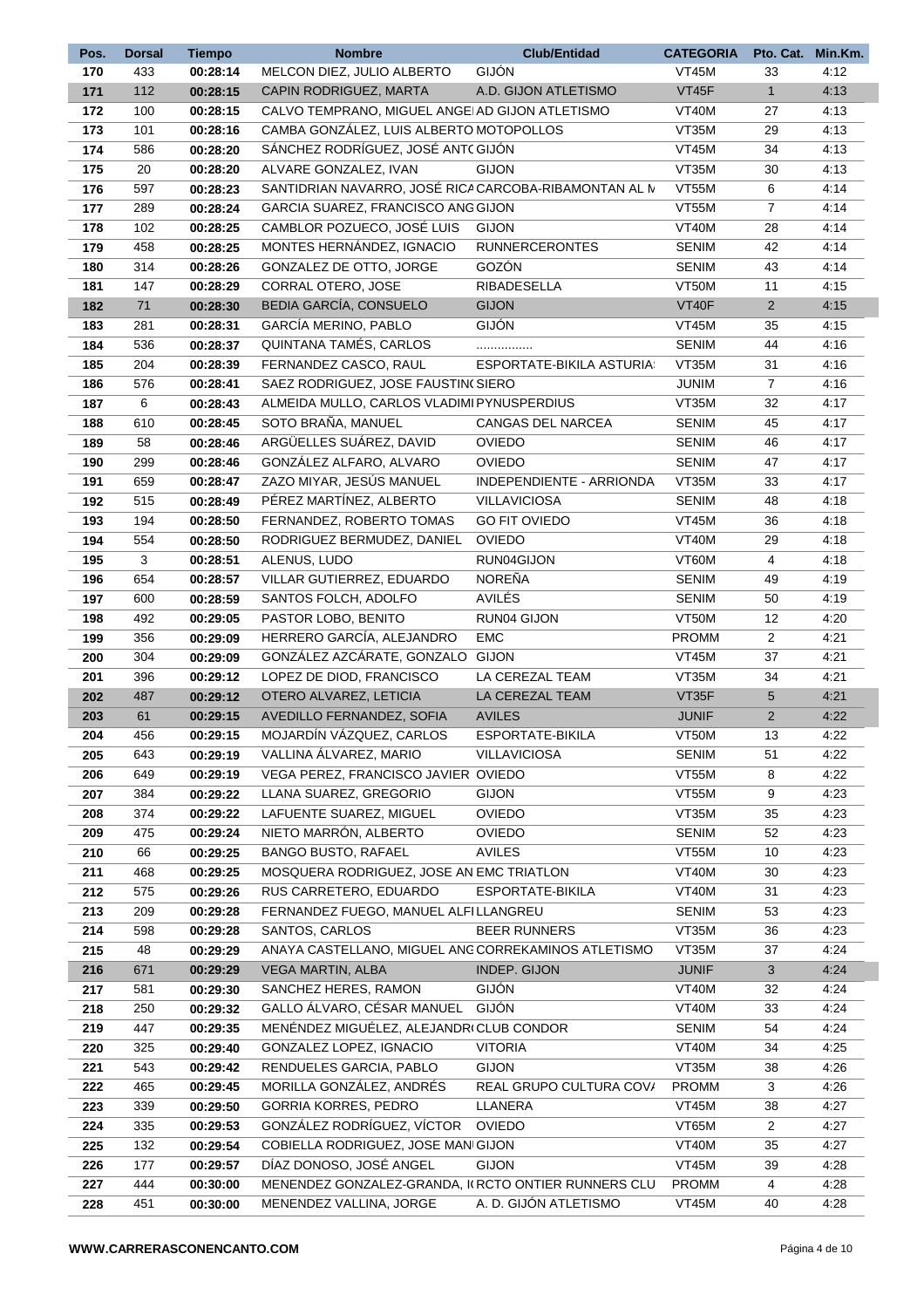| Pos. | <b>Dorsal</b> | <b>Tiempo</b> | <b>Nombre</b>                                         | <b>Club/Entidad</b>      | <b>CATEGORIA</b> |                | Pto. Cat. Min.Km. |
|------|---------------|---------------|-------------------------------------------------------|--------------------------|------------------|----------------|-------------------|
| 170  | 433           | 00:28:14      | MELCON DIEZ, JULIO ALBERTO                            | GIJÓN                    | VT45M            | 33             | 4:12              |
| 171  | 112           | 00:28:15      | CAPIN RODRIGUEZ, MARTA                                | A.D. GIJON ATLETISMO     | VT45F            | 1              | 4:13              |
| 172  | 100           | 00:28:15      | CALVO TEMPRANO, MIGUEL ANGEI AD GIJON ATLETISMO       |                          | <b>VT40M</b>     | 27             | 4:13              |
| 173  | 101           | 00:28:16      | CAMBA GONZÁLEZ, LUIS ALBERTO MOTOPOLLOS               |                          | VT35M            | 29             | 4:13              |
| 174  | 586           | 00:28:20      | SÁNCHEZ RODRÍGUEZ, JOSÉ ANTO GIJÓN                    |                          | <b>VT45M</b>     | 34             | 4:13              |
| 175  | 20            | 00:28:20      | ALVARE GONZALEZ, IVAN                                 | <b>GIJON</b>             | VT35M            | 30             | 4:13              |
| 176  | 597           | 00:28:23      | SANTIDRIAN NAVARRO, JOSÉ RICA CARCOBA-RIBAMONTAN AL N |                          | VT55M            | 6              | 4:14              |
| 177  | 289           | 00:28:24      | GARCIA SUAREZ, FRANCISCO ANG GIJON                    |                          | VT55M            | $\overline{7}$ | 4:14              |
| 178  | 102           | 00:28:25      | CAMBLOR POZUECO, JOSÉ LUIS                            | <b>GIJON</b>             | <b>VT40M</b>     | 28             | 4:14              |
| 179  | 458           | 00:28:25      | MONTES HERNÁNDEZ, IGNACIO                             | <b>RUNNERCERONTES</b>    | <b>SENIM</b>     | 42             | 4:14              |
| 180  | 314           | 00:28:26      | GONZALEZ DE OTTO, JORGE                               | GOZÓN                    | <b>SENIM</b>     | 43             | 4:14              |
| 181  | 147           | 00:28:29      | CORRAL OTERO, JOSE                                    | <b>RIBADESELLA</b>       | VT50M            | 11             | 4:15              |
| 182  | 71            | 00:28:30      | BEDIA GARCÍA, CONSUELO                                | <b>GIJON</b>             | VT40F            | $\overline{2}$ | 4:15              |
| 183  | 281           | 00:28:31      | GARCÍA MERINO, PABLO                                  | GIJÓN                    | VT45M            | 35             | 4:15              |
| 184  | 536           | 00:28:37      | QUINTANA TAMÉS, CARLOS                                |                          | <b>SENIM</b>     | 44             | 4:16              |
| 185  | 204           | 00:28:39      | FERNANDEZ CASCO, RAUL                                 | ESPORTATE-BIKILA ASTURIA | VT35M            | 31             | 4:16              |
| 186  | 576           | 00:28:41      | SAEZ RODRIGUEZ, JOSE FAUSTIN(SIERO                    |                          | <b>JUNIM</b>     | $\overline{7}$ | 4:16              |
| 187  | 6             | 00:28:43      | ALMEIDA MULLO, CARLOS VLADIMI PYNUSPERDIUS            |                          | VT35M            | 32             | 4:17              |
| 188  | 610           | 00:28:45      | SOTO BRAÑA, MANUEL                                    | CANGAS DEL NARCEA        | <b>SENIM</b>     | 45             | 4:17              |
| 189  | 58            | 00:28:46      | ARGÜELLES SUÁREZ, DAVID                               | <b>OVIEDO</b>            | <b>SENIM</b>     | 46             | 4:17              |
| 190  | 299           | 00:28:46      | GONZÁLEZ ALFARO, ALVARO                               | <b>OVIEDO</b>            | <b>SENIM</b>     | 47             | 4:17              |
| 191  | 659           | 00:28:47      | ZAZO MIYAR, JESÚS MANUEL                              | INDEPENDIENTE - ARRIONDA | VT35M            | 33             | 4:17              |
| 192  | 515           | 00:28:49      | PÉREZ MARTÍNEZ, ALBERTO                               | <b>VILLAVICIOSA</b>      | <b>SENIM</b>     | 48             | 4:18              |
| 193  | 194           | 00:28:50      | FERNANDEZ, ROBERTO TOMAS                              | <b>GO FIT OVIEDO</b>     | <b>VT45M</b>     | 36             | 4:18              |
| 194  | 554           | 00:28:50      | RODRIGUEZ BERMUDEZ, DANIEL                            | <b>OVIEDO</b>            | VT40M            | 29             | 4:18              |
| 195  | 3             | 00:28:51      | ALENUS, LUDO                                          | RUN04GIJON               | VT60M            | $\overline{4}$ | 4:18              |
| 196  | 654           | 00:28:57      | VILLAR GUTIERREZ, EDUARDO                             | <b>NOREÑA</b>            | <b>SENIM</b>     | 49             | 4:19              |
| 197  | 600           | 00:28:59      | SANTOS FOLCH, ADOLFO                                  | AVILÉS                   | <b>SENIM</b>     | 50             | 4:19              |
| 198  | 492           | 00:29:05      | PASTOR LOBO, BENITO                                   | RUN04 GIJON              | VT50M            | 12             | 4:20              |
| 199  | 356           | 00:29:09      | HERRERO GARCÍA, ALEJANDRO                             | <b>EMC</b>               | <b>PROMM</b>     | $\overline{2}$ | 4:21              |
| 200  | 304           | 00:29:09      | GONZÁLEZ AZCÁRATE, GONZALO GIJON                      |                          | VT45M            | 37             | 4:21              |
| 201  | 396           | 00:29:12      | LOPEZ DE DIOD, FRANCISCO                              | LA CEREZAL TEAM          | VT35M            | 34             | 4:21              |
| 202  | 487           | 00:29:12      | OTERO ALVAREZ, LETICIA                                | LA CEREZAL TEAM          | VT35F            | 5              | 4:21              |
| 203  | 61            | 00:29:15      | AVEDILLO FERNANDEZ, SOFIA                             | <b>AVILES</b>            | <b>JUNIF</b>     | $\overline{2}$ | 4:22              |
| 204  | 456           | 00:29:15      | MOJARDÍN VÁZQUEZ, CARLOS                              | ESPORTATE-BIKILA         | VT50M            | 13             | 4:22              |
| 205  | 643           | 00:29:19      | VALLINA ALVAREZ, MARIO                                | <b>VILLAVICIOSA</b>      | <b>SENIM</b>     | 51             | 4:22              |
| 206  | 649           | 00:29:19      | VEGA PEREZ, FRANCISCO JAVIER OVIEDO                   |                          | <b>VT55M</b>     | 8              | 4:22              |
| 207  | 384           | 00:29:22      | LLANA SUAREZ, GREGORIO                                | <b>GIJON</b>             | VT55M            | 9              | 4:23              |
| 208  | 374           | 00:29:22      | LAFUENTE SUAREZ, MIGUEL                               | <b>OVIEDO</b>            | VT35M            | 35             | 4:23              |
| 209  | 475           | 00:29:24      | NIETO MARRÓN, ALBERTO                                 | <b>OVIEDO</b>            | <b>SENIM</b>     | 52             | 4:23              |
| 210  | 66            | 00:29:25      | <b>BANGO BUSTO, RAFAEL</b>                            | <b>AVILES</b>            | VT55M            | 10             | 4:23              |
| 211  | 468           | 00:29:25      | MOSQUERA RODRIGUEZ, JOSE AN EMC TRIATLON              |                          | VT40M            | 30             | 4:23              |
| 212  | 575           | 00:29:26      | RUS CARRETERO, EDUARDO                                | ESPORTATE-BIKILA         | <b>VT40M</b>     | 31             | 4:23              |
| 213  | 209           | 00:29:28      | FERNANDEZ FUEGO, MANUEL ALFILLANGREU                  |                          | <b>SENIM</b>     | 53             | 4:23              |
| 214  | 598           | 00:29:28      | SANTOS, CARLOS                                        | <b>BEER RUNNERS</b>      | VT35M            | 36             | 4:23              |
| 215  | 48            | 00:29:29      | ANAYA CASTELLANO, MIGUEL ANC CORREKAMINOS ATLETISMO   |                          | VT35M            | 37             | 4:24              |
| 216  | 671           | 00:29:29      | <b>VEGA MARTIN, ALBA</b>                              | INDEP. GIJON             | <b>JUNIF</b>     | $\mathbf{3}$   | 4:24              |
| 217  | 581           | 00:29:30      | SANCHEZ HERES, RAMON                                  | <b>GIJÓN</b>             | VT40M            | 32             | 4:24              |
| 218  | 250           | 00:29:32      | GALLO ÁLVARO, CÉSAR MANUEL                            | GIJÓN                    | <b>VT40M</b>     | 33             | 4:24              |
| 219  | 447           | 00:29:35      | MENÉNDEZ MIGUÉLEZ, ALEJANDRI CLUB CONDOR              |                          | <b>SENIM</b>     | 54             | 4:24              |
| 220  | 325           | 00:29:40      | GONZALEZ LOPEZ, IGNACIO                               | <b>VITORIA</b>           | VT40M            | 34             | 4:25              |
| 221  | 543           | 00:29:42      | RENDUELES GARCIA, PABLO                               | <b>GIJON</b>             | VT35M            | 38             | 4:26              |
| 222  | 465           | 00:29:45      | MORILLA GONZÁLEZ, ANDRÉS                              | REAL GRUPO CULTURA COV/  | <b>PROMM</b>     | 3              | 4:26              |
| 223  | 339           | 00:29:50      | GORRIA KORRES, PEDRO                                  | LLANERA                  | <b>VT45M</b>     | 38             | 4:27              |
| 224  | 335           | 00:29:53      | GONZÁLEZ RODRÍGUEZ, VÍCTOR                            | <b>OVIEDO</b>            | VT65M            | $\overline{a}$ | 4:27              |
| 225  | 132           | 00:29:54      | COBIELLA RODRIGUEZ, JOSE MAN GIJON                    |                          | VT40M            | 35             | 4:27              |
| 226  | 177           | 00:29:57      | DÍAZ DONOSO, JOSÉ ANGEL                               | <b>GIJON</b>             | VT45M            | 39             | 4:28              |
| 227  | 444           | 00:30:00      | MENENDEZ GONZALEZ-GRANDA, IK RCTO ONTIER RUNNERS CLU  |                          | <b>PROMM</b>     | 4              | 4:28              |
| 228  | 451           | 00:30:00      | MENENDEZ VALLINA, JORGE                               | A. D. GIJÓN ATLETISMO    | VT45M            | 40             | 4:28              |
|      |               |               |                                                       |                          |                  |                |                   |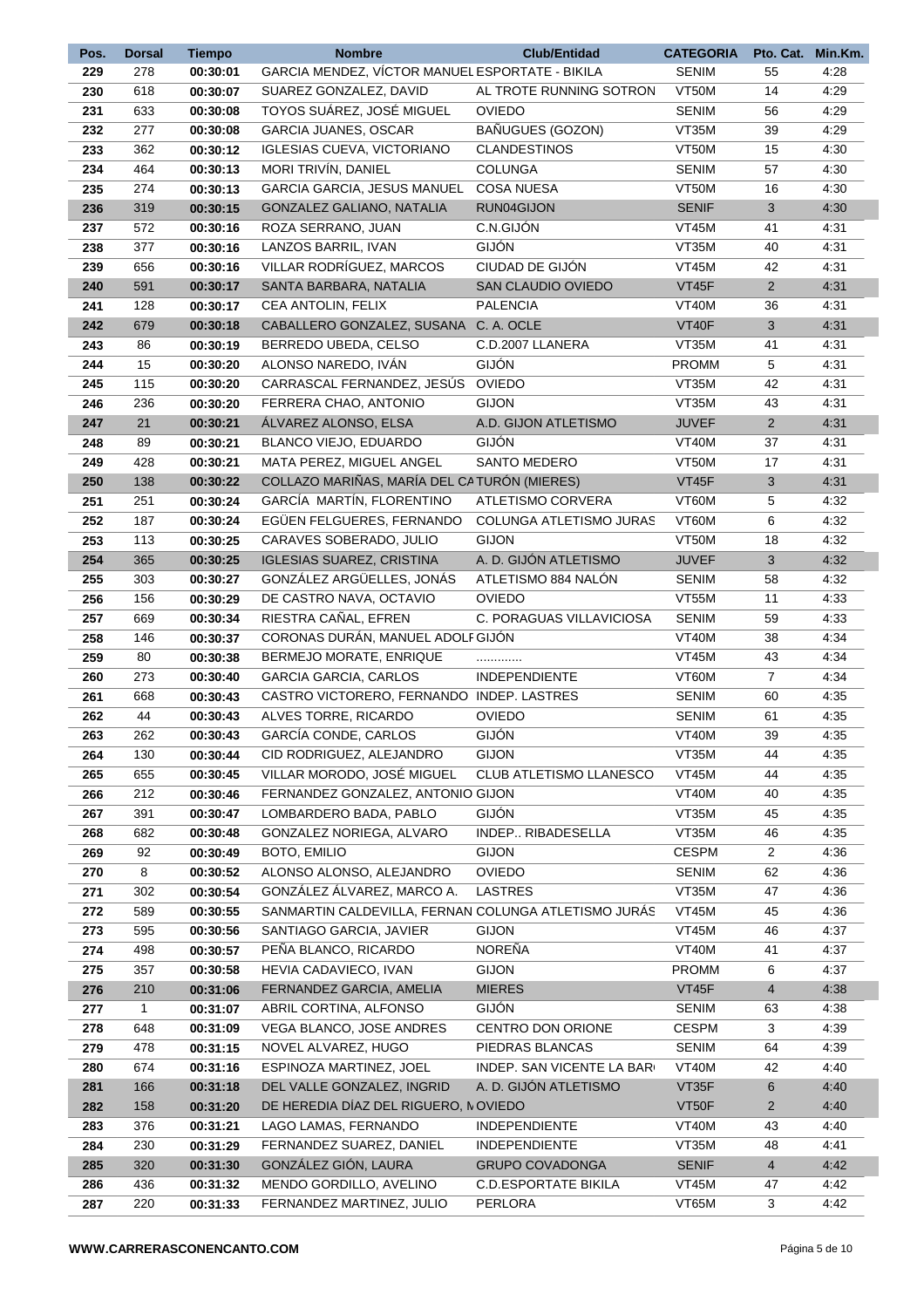| Pos. | <b>Dorsal</b> | <b>Tiempo</b> | <b>Nombre</b>                                        | <b>Club/Entidad</b>         | <b>CATEGORIA</b> |                      | Pto. Cat. Min.Km. |
|------|---------------|---------------|------------------------------------------------------|-----------------------------|------------------|----------------------|-------------------|
| 229  | 278           | 00:30:01      | GARCIA MENDEZ, VÍCTOR MANUEL ESPORTATE - BIKILA      |                             | <b>SENIM</b>     | 55                   | 4:28              |
| 230  | 618           | 00:30:07      | SUAREZ GONZALEZ, DAVID                               | AL TROTE RUNNING SOTRON     | VT50M            | 14                   | 4:29              |
| 231  | 633           | 00:30:08      | TOYOS SUÁREZ, JOSÉ MIGUEL                            | <b>OVIEDO</b>               | <b>SENIM</b>     | 56                   | 4:29              |
| 232  | 277           | 00:30:08      | GARCIA JUANES, OSCAR                                 | BAÑUGUES (GOZON)            | VT35M            | 39                   | 4:29              |
| 233  | 362           | 00:30:12      | <b>IGLESIAS CUEVA, VICTORIANO</b>                    | <b>CLANDESTINOS</b>         | VT50M            | 15                   | 4:30              |
| 234  | 464           | 00:30:13      | MORI TRIVÍN, DANIEL                                  | <b>COLUNGA</b>              | <b>SENIM</b>     | 57                   | 4:30              |
| 235  | 274           | 00:30:13      | GARCIA GARCIA, JESUS MANUEL                          | <b>COSA NUESA</b>           | VT50M            | 16                   | 4:30              |
| 236  | 319           | 00:30:15      | GONZALEZ GALIANO, NATALIA                            | RUN04GIJON                  | <b>SENIF</b>     | 3                    | 4:30              |
| 237  | 572           | 00:30:16      | ROZA SERRANO, JUAN                                   | C.N.GIJÓN                   | VT45M            | 41                   | 4:31              |
| 238  | 377           | 00:30:16      | LANZOS BARRIL, IVAN                                  | <b>GIJÓN</b>                | VT35M            | 40                   | 4:31              |
| 239  | 656           | 00:30:16      | VILLAR RODRÍGUEZ, MARCOS                             | CIUDAD DE GIJÓN             | VT45M            | 42                   | 4:31              |
| 240  | 591           | 00:30:17      | SANTA BARBARA, NATALIA                               | SAN CLAUDIO OVIEDO          | VT45F            | $\overline{2}$       | 4:31              |
| 241  | 128           | 00:30:17      | CEA ANTOLIN, FELIX                                   | <b>PALENCIA</b>             | VT40M            | 36                   | 4:31              |
| 242  | 679           | 00:30:18      | CABALLERO GONZALEZ, SUSANA                           | C. A. OCLE                  | VT40F            | 3                    | 4:31              |
| 243  | 86            | 00:30:19      | BERREDO UBEDA, CELSO                                 | C.D.2007 LLANERA            | VT35M            | 41                   | 4:31              |
| 244  | 15            | 00:30:20      | ALONSO NAREDO, IVAN                                  | <b>GIJÓN</b>                | <b>PROMM</b>     | 5                    | 4:31              |
| 245  | 115           | 00:30:20      | CARRASCAL FERNANDEZ, JESÚS OVIEDO                    |                             | VT35M            | 42                   | 4:31              |
|      |               |               | FERRERA CHAO, ANTONIO                                |                             |                  |                      |                   |
| 246  | 236           | 00:30:20      | ÁLVAREZ ALONSO, ELSA                                 | <b>GIJON</b>                | VT35M            | 43<br>$\overline{2}$ | 4:31              |
| 247  | 21            | 00:30:21      |                                                      | A.D. GIJON ATLETISMO        | <b>JUVEF</b>     |                      | 4:31              |
| 248  | 89            | 00:30:21      | BLANCO VIEJO, EDUARDO                                | GIJÓN                       | VT40M            | 37                   | 4:31              |
| 249  | 428           | 00:30:21      | MATA PEREZ, MIGUEL ANGEL                             | <b>SANTO MEDERO</b>         | VT50M            | 17                   | 4:31              |
| 250  | 138           | 00:30:22      | COLLAZO MARIÑAS, MARÍA DEL CATURÓN (MIERES)          |                             | VT45F            | $\mathbf{3}$         | 4:31              |
| 251  | 251           | 00:30:24      | GARCÍA MARTÍN, FLORENTINO                            | ATLETISMO CORVERA           | VT60M            | 5                    | 4:32              |
| 252  | 187           | 00:30:24      | EGÜEN FELGUERES, FERNANDO                            | COLUNGA ATLETISMO JURAS     | VT60M            | 6                    | 4:32              |
| 253  | 113           | 00:30:25      | CARAVES SOBERADO, JULIO                              | <b>GIJON</b>                | VT50M            | 18                   | 4:32              |
| 254  | 365           | 00:30:25      | <b>IGLESIAS SUAREZ, CRISTINA</b>                     | A. D. GIJÓN ATLETISMO       | <b>JUVEF</b>     | 3                    | 4:32              |
| 255  | 303           | 00:30:27      | GONZÁLEZ ARGÜELLES, JONÁS                            | ATLETISMO 884 NALÓN         | <b>SENIM</b>     | 58                   | 4:32              |
| 256  | 156           | 00:30:29      | DE CASTRO NAVA, OCTAVIO                              | <b>OVIEDO</b>               | VT55M            | 11                   | 4:33              |
| 257  | 669           | 00:30:34      | RIESTRA CAÑAL, EFREN                                 | C. PORAGUAS VILLAVICIOSA    | <b>SENIM</b>     | 59                   | 4:33              |
| 258  | 146           | 00:30:37      | CORONAS DURÁN, MANUEL ADOLF GIJÓN                    |                             | VT40M            | 38                   | 4:34              |
| 259  | 80            | 00:30:38      | BERMEJO MORATE, ENRIQUE                              | .                           | VT45M            | 43                   | 4:34              |
| 260  | 273           | 00:30:40      | <b>GARCIA GARCIA, CARLOS</b>                         | <b>INDEPENDIENTE</b>        | VT60M            | $\overline{7}$       | 4:34              |
| 261  | 668           | 00:30:43      | CASTRO VICTORERO, FERNANDO INDEP. LASTRES            |                             | <b>SENIM</b>     | 60                   | 4:35              |
| 262  | 44            | 00:30:43      | ALVES TORRE, RICARDO                                 | <b>OVIEDO</b>               | <b>SENIM</b>     | 61                   | 4:35              |
| 263  | 262           | 00:30:43      | GARCÍA CONDE, CARLOS                                 | <b>GIJÓN</b>                | VT40M            | 39                   | 4:35              |
| 264  | 130           | 00:30:44      | CID RODRIGUEZ, ALEJANDRO                             | <b>GIJON</b>                | VT35M            | 44                   | 4:35              |
| 265  | 655           | 00:30:45      | VILLAR MORODO, JOSÉ MIGUEL                           | CLUB ATLETISMO LLANESCO     | VT45M            | 44                   | 4:35              |
| 266  | 212           | 00:30:46      | FERNANDEZ GONZALEZ, ANTONIO GIJON                    |                             | VT40M            | 40                   | 4:35              |
| 267  | 391           | 00:30:47      | LOMBARDERO BADA, PABLO                               | <b>GIJÓN</b>                | VT35M            | 45                   | 4:35              |
| 268  | 682           | 00:30:48      | GONZALEZ NORIEGA, ALVARO                             | INDEP RIBADESELLA           | VT35M            | 46                   | 4:35              |
| 269  | 92            | 00:30:49      | BOTO, EMILIO                                         | <b>GIJON</b>                | <b>CESPM</b>     | $\overline{2}$       | 4:36              |
| 270  | 8             | 00:30:52      | ALONSO ALONSO, ALEJANDRO                             | <b>OVIEDO</b>               | <b>SENIM</b>     | 62                   | 4:36              |
| 271  | 302           | 00:30:54      | GONZÁLEZ ÁLVAREZ, MARCO A.                           | <b>LASTRES</b>              | VT35M            | 47                   | 4:36              |
| 272  | 589           | 00:30:55      | SANMARTIN CALDEVILLA, FERNAN COLUNGA ATLETISMO JURAS |                             | VT45M            | 45                   | 4:36              |
| 273  | 595           | 00:30:56      | SANTIAGO GARCIA, JAVIER                              | <b>GIJON</b>                | VT45M            | 46                   | 4:37              |
| 274  | 498           | 00:30:57      | PEÑA BLANCO, RICARDO                                 | NOREÑA                      | VT40M            | 41                   | 4:37              |
| 275  | 357           | 00:30:58      | HEVIA CADAVIECO, IVAN                                | <b>GIJON</b>                | <b>PROMM</b>     | 6                    | 4:37              |
| 276  | 210           | 00:31:06      | FERNANDEZ GARCIA, AMELIA                             | <b>MIERES</b>               | VT45F            | $\overline{4}$       | 4:38              |
| 277  | 1             | 00:31:07      | ABRIL CORTINA, ALFONSO                               | GIJÓN                       | <b>SENIM</b>     | 63                   | 4:38              |
| 278  | 648           | 00:31:09      | VEGA BLANCO, JOSE ANDRES                             | CENTRO DON ORIONE           | <b>CESPM</b>     | 3                    | 4:39              |
| 279  | 478           | 00:31:15      | NOVEL ALVAREZ, HUGO                                  | PIEDRAS BLANCAS             | <b>SENIM</b>     | 64                   | 4:39              |
| 280  | 674           | 00:31:16      | ESPINOZA MARTINEZ, JOEL                              | INDEP. SAN VICENTE LA BAR   | VT40M            | 42                   | 4:40              |
| 281  | 166           | 00:31:18      | DEL VALLE GONZALEZ, INGRID                           | A. D. GIJÓN ATLETISMO       | VT35F            | 6                    | 4:40              |
| 282  | 158           | 00:31:20      | DE HEREDIA DÍAZ DEL RIGUERO, NOVIEDO                 |                             | VT50F            | $\overline{2}$       | 4:40              |
|      | 376           |               | LAGO LAMAS, FERNANDO                                 | <b>INDEPENDIENTE</b>        | VT40M            | 43                   | 4:40              |
| 283  |               | 00:31:21      |                                                      |                             |                  |                      |                   |
| 284  | 230           | 00:31:29      | FERNANDEZ SUAREZ, DANIEL                             | <b>INDEPENDIENTE</b>        | VT35M            | 48                   | 4:41              |
| 285  | 320           | 00:31:30      | GONZÁLEZ GIÓN, LAURA                                 | <b>GRUPO COVADONGA</b>      | <b>SENIF</b>     | $\overline{4}$       | 4:42              |
| 286  | 436           | 00:31:32      | MENDO GORDILLO, AVELINO                              | <b>C.D.ESPORTATE BIKILA</b> | VT45M            | 47                   | 4:42              |
| 287  | 220           | 00:31:33      | FERNANDEZ MARTINEZ, JULIO                            | PERLORA                     | VT65M            | 3                    | 4:42              |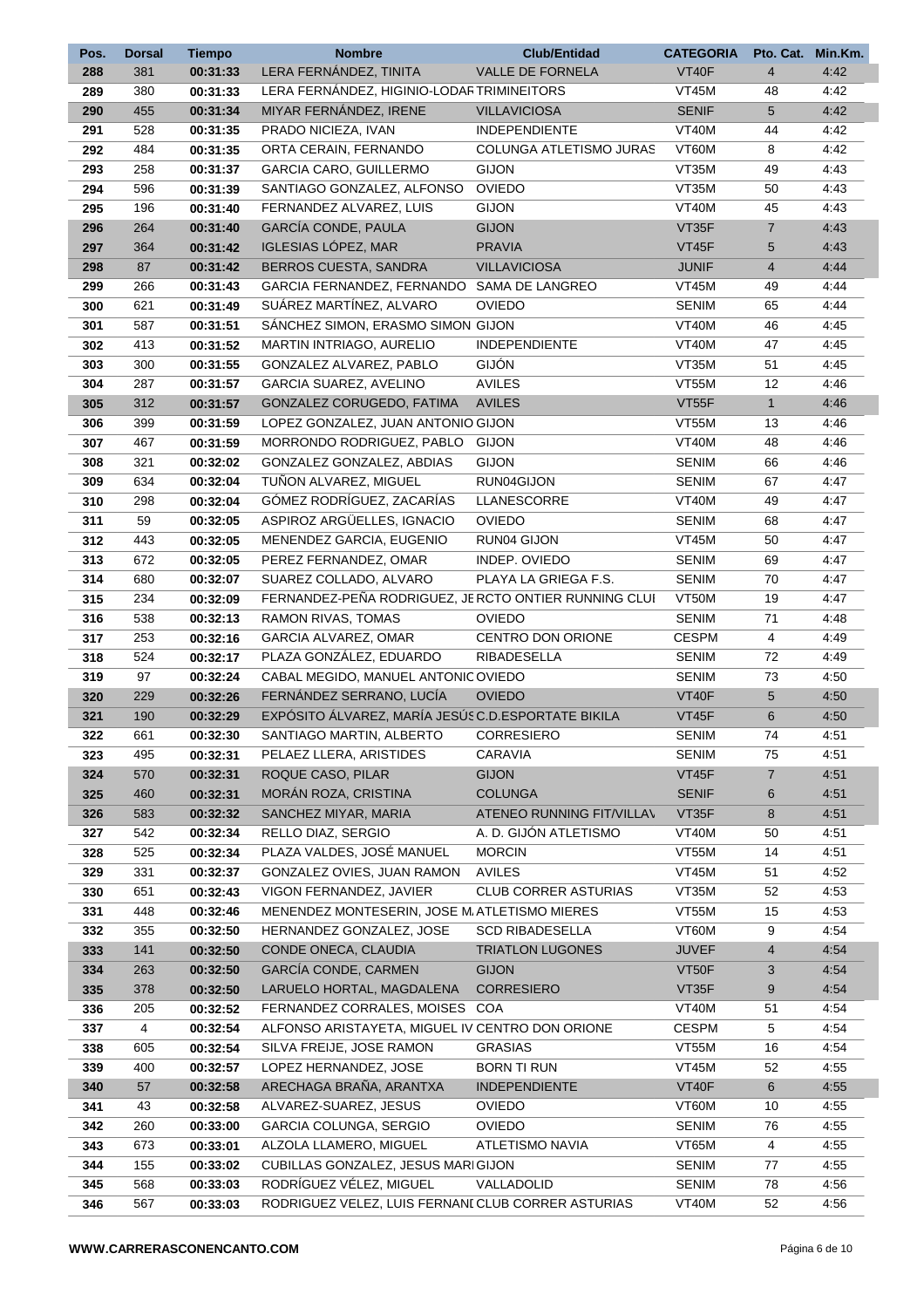| Pos. | <b>Dorsal</b> | <b>Tiempo</b>        | <b>Nombre</b><br><b>Club/Entidad</b>                  |                             | <b>CATEGORIA</b> |                 | Pto. Cat. Min.Km. |
|------|---------------|----------------------|-------------------------------------------------------|-----------------------------|------------------|-----------------|-------------------|
| 288  | 381           | 00:31:33             | LERA FERNÁNDEZ, TINITA                                | <b>VALLE DE FORNELA</b>     | VT40F            | $\overline{4}$  | 4:42              |
| 289  | 380           | 00:31:33             | LERA FERNÁNDEZ, HIGINIO-LODAF TRIMINEITORS            |                             | VT45M            | 48              | 4:42              |
| 290  | 455           | 00:31:34             | MIYAR FERNÁNDEZ, IRENE                                | <b>VILLAVICIOSA</b>         | <b>SENIF</b>     | $5\phantom{.0}$ | 4:42              |
| 291  | 528           | 00:31:35             | PRADO NICIEZA, IVAN                                   | <b>INDEPENDIENTE</b>        | VT40M            | 44              | 4:42              |
| 292  | 484           | 00:31:35             | ORTA CERAIN, FERNANDO                                 | COLUNGA ATLETISMO JURAS     | VT60M            | 8               | 4:42              |
| 293  | 258           | 00:31:37             | GARCIA CARO, GUILLERMO                                | <b>GIJON</b><br>VT35M       |                  | 49              | 4:43              |
| 294  | 596           | 00:31:39             | SANTIAGO GONZALEZ, ALFONSO                            | <b>OVIEDO</b>               | VT35M            | 50              | 4:43              |
| 295  | 196           | 00:31:40             | FERNANDEZ ALVAREZ, LUIS                               | <b>GIJON</b><br>VT40M       |                  | 45              | 4:43              |
| 296  | 264           | 00:31:40             | GARCÍA CONDE, PAULA                                   | <b>GIJON</b>                | VT35F            | $\overline{7}$  | 4:43              |
| 297  | 364           | 00:31:42             | <b>IGLESIAS LÓPEZ, MAR</b>                            | <b>PRAVIA</b><br>VT45F      |                  | 5               | 4:43              |
| 298  | 87            | 00:31:42             | BERROS CUESTA, SANDRA                                 | <b>VILLAVICIOSA</b>         | <b>JUNIF</b>     | $\overline{4}$  | 4:44              |
| 299  | 266           | 00:31:43             | GARCIA FERNANDEZ, FERNANDO SAMA DE LANGREO            |                             | VT45M            | 49              | 4:44              |
| 300  | 621           | 00:31:49             | SUÁREZ MARTÍNEZ, ALVARO                               | <b>OVIEDO</b>               | <b>SENIM</b>     | 65              | 4:44              |
| 301  | 587           | 00:31:51             | SÁNCHEZ SIMON, ERASMO SIMON GIJON                     |                             | VT40M            | 46              | 4:45              |
| 302  | 413           | 00:31:52             | MARTIN INTRIAGO, AURELIO                              | <b>INDEPENDIENTE</b>        | VT40M            | 47              | 4:45              |
| 303  | 300           | 00:31:55             | GONZALEZ ALVAREZ, PABLO                               | <b>GIJÓN</b>                | VT35M            | 51              | 4:45              |
| 304  | 287           | 00:31:57             | GARCIA SUAREZ, AVELINO                                | <b>AVILES</b>               | VT55M            | 12              | 4:46              |
| 305  | 312           | 00:31:57             | GONZALEZ CORUGEDO, FATIMA                             | <b>AVILES</b>               | VT55F            | $\mathbf{1}$    | 4:46              |
| 306  | 399           | 00:31:59             | LOPEZ GONZALEZ, JUAN ANTONIO GIJON                    |                             | VT55M            | 13              | 4:46              |
| 307  | 467           | 00:31:59             | MORRONDO RODRIGUEZ, PABLO                             | <b>GIJON</b>                | VT40M            | 48              | 4:46              |
| 308  | 321           | 00:32:02             | GONZALEZ GONZALEZ, ABDIAS                             | <b>GIJON</b>                | <b>SENIM</b>     | 66              | 4:46              |
| 309  | 634           | 00:32:04             | TUÑON ALVAREZ, MIGUEL                                 | RUN04GIJON                  | <b>SENIM</b>     | 67              | 4:47              |
| 310  | 298           | 00:32:04             | GÓMEZ RODRÍGUEZ, ZACARÍAS                             | LLANESCORRE                 | VT40M            | 49              | 4:47              |
| 311  | 59            | 00:32:05             | ASPIROZ ARGÜELLES, IGNACIO                            | <b>OVIEDO</b>               | <b>SENIM</b>     | 68              | 4:47              |
| 312  | 443           | 00:32:05             | MENENDEZ GARCIA, EUGENIO                              | RUN04 GIJON                 | VT45M            | 50              | 4:47              |
| 313  | 672           | 00:32:05             | PEREZ FERNANDEZ, OMAR                                 | INDEP. OVIEDO               | <b>SENIM</b>     | 69              | 4:47              |
| 314  | 680           | 00:32:07             | SUAREZ COLLADO, ALVARO                                | PLAYA LA GRIEGA F.S.        | <b>SENIM</b>     | 70              | 4:47              |
| 315  | 234           | 00:32:09             | FERNANDEZ-PEÑA RODRIGUEZ, JE RCTO ONTIER RUNNING CLUI |                             | VT50M            | 19              | 4:47              |
| 316  | 538           | 00:32:13             | RAMON RIVAS, TOMAS                                    | <b>OVIEDO</b>               | <b>SENIM</b>     | 71              | 4:48              |
| 317  | 253           | 00:32:16             | <b>GARCIA ALVAREZ, OMAR</b>                           | CENTRO DON ORIONE           | <b>CESPM</b>     | $\overline{4}$  | 4:49              |
| 318  | 524           | 00:32:17             | PLAZA GONZÁLEZ, EDUARDO                               | <b>RIBADESELLA</b>          | <b>SENIM</b>     | 72              | 4:49              |
| 319  | 97            | 00:32:24             | CABAL MEGIDO, MANUEL ANTONIC OVIEDO                   |                             | <b>SENIM</b>     | 73              | 4:50              |
| 320  | 229           | 00:32:26             | FERNÁNDEZ SERRANO, LUCÍA                              | <b>OVIEDO</b>               | VT40F            | $5\phantom{.0}$ | 4:50              |
| 321  | 190           | 00:32:29             | EXPÓSITO ÁLVAREZ, MARÍA JESÚS C.D. ESPORTATE BIKILA   |                             | VT45F            | 6               | 4:50              |
| 322  | 661           | 00:32:30             | SANTIAGO MARTIN, ALBERTO                              | <b>CORRESIERO</b>           | <b>SENIM</b>     | 74              | 4:51              |
| 323  | 495           | 00:32:31             | PELAEZ LLERA, ARISTIDES                               | CARAVIA                     | <b>SENIM</b>     | 75              | 4:51              |
| 324  | 570           | 00:32:31             | ROQUE CASO, PILAR                                     | <b>GIJON</b>                | VT45F            | $\overline{7}$  | 4:51              |
| 325  | 460           | 00:32:31             | MORÁN ROZA, CRISTINA                                  | <b>COLUNGA</b>              | <b>SENIF</b>     | 6               | 4:51              |
| 326  | 583           | 00:32:32             | SANCHEZ MIYAR, MARIA                                  | ATENEO RUNNING FIT/VILLAV   | VT35F            | 8               | 4:51              |
| 327  | 542           | 00:32:34             | RELLO DIAZ, SERGIO                                    | A. D. GIJÓN ATLETISMO       | VT40M            | 50              | 4:51              |
| 328  | 525           | 00:32:34             | PLAZA VALDES, JOSÉ MANUEL                             | <b>MORCIN</b>               | VT55M            | 14              | 4:51              |
| 329  | 331           | 00:32:37             | GONZALEZ OVIES, JUAN RAMON                            | <b>AVILES</b>               | VT45M            | 51              | 4:52              |
| 330  | 651           | 00:32:43             | VIGON FERNANDEZ, JAVIER                               | <b>CLUB CORRER ASTURIAS</b> | VT35M            | 52              | 4:53              |
| 331  | 448           | 00:32:46             | MENENDEZ MONTESERIN, JOSE M. ATLETISMO MIERES         |                             | VT55M            | 15              | 4:53              |
| 332  | 355           | 00:32:50             | HERNANDEZ GONZALEZ, JOSE                              | <b>SCD RIBADESELLA</b>      | VT60M            | 9               | 4:54              |
| 333  | 141           | 00:32:50             | CONDE ONECA, CLAUDIA                                  | <b>TRIATLON LUGONES</b>     | <b>JUVEF</b>     | $\overline{4}$  | 4:54              |
| 334  | 263           | 00:32:50             | GARCÍA CONDE, CARMEN                                  | <b>GIJON</b>                | VT50F            | 3               | 4:54              |
| 335  | 378           | 00:32:50             | LARUELO HORTAL, MAGDALENA                             | <b>CORRESIERO</b>           | VT35F            | 9               | 4:54              |
| 336  | 205           | 00:32:52             | FERNANDEZ CORRALES, MOISES COA                        |                             | VT40M            | 51              | 4:54              |
| 337  | 4             | 00:32:54             | ALFONSO ARISTAYETA, MIGUEL IV CENTRO DON ORIONE       |                             | <b>CESPM</b>     | 5               | 4:54              |
| 338  | 605           | 00:32:54             | SILVA FREIJE, JOSE RAMON                              | <b>GRASIAS</b>              | VT55M            | 16              | 4:54              |
| 339  | 400           | 00:32:57             | LOPEZ HERNANDEZ, JOSE                                 | <b>BORN TI RUN</b>          | VT45M            | 52              | 4:55              |
| 340  | 57            | 00:32:58             | ARECHAGA BRAÑA, ARANTXA                               | <b>INDEPENDIENTE</b>        | VT40F            | $6\phantom{1}$  | 4:55              |
| 341  | 43            | 00:32:58             | ALVAREZ-SUAREZ, JESUS                                 | <b>OVIEDO</b>               | VT60M            | 10              | 4:55              |
| 342  | 260           | 00:33:00             | GARCIA COLUNGA, SERGIO                                | <b>OVIEDO</b>               | <b>SENIM</b>     | 76              | 4:55              |
| 343  | 673           | 00:33:01             | ALZOLA LLAMERO, MIGUEL                                | ATLETISMO NAVIA             | VT65M            | $\overline{4}$  | 4:55              |
| 344  | 155           | 00:33:02             | CUBILLAS GONZALEZ, JESUS MARIGIJON                    |                             | <b>SENIM</b>     | 77              | 4:55              |
| 345  | 568           |                      | RODRÍGUEZ VÉLEZ, MIGUEL                               | VALLADOLID                  | <b>SENIM</b>     | 78              | 4:56              |
| 346  | 567           | 00:33:03<br>00:33:03 | RODRIGUEZ VELEZ, LUIS FERNANI CLUB CORRER ASTURIAS    |                             | VT40M            | 52              | 4:56              |
|      |               |                      |                                                       |                             |                  |                 |                   |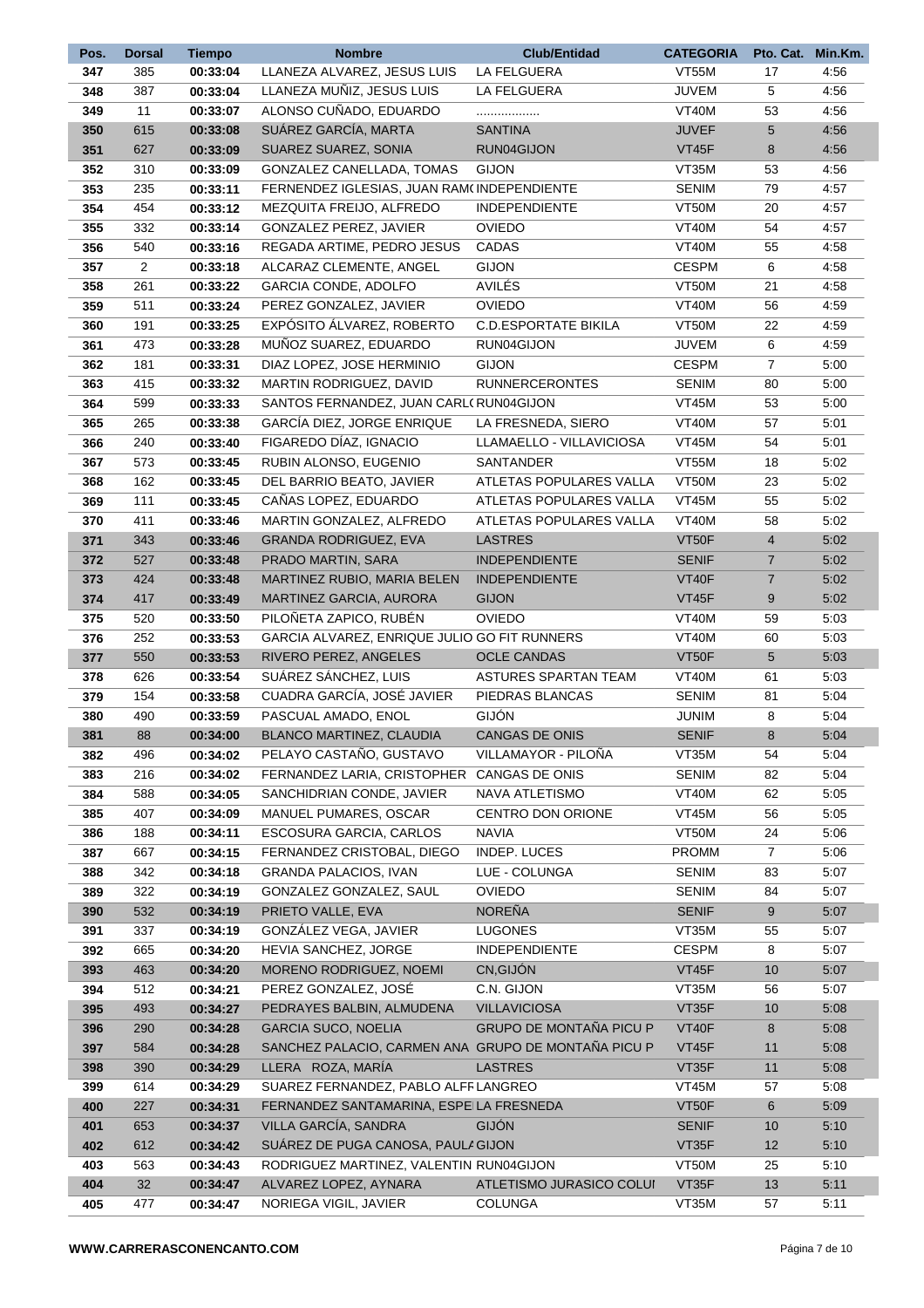| Pos. | <b>Dorsal</b>  | <b>Tiempo</b> | <b>Nombre</b><br><b>Club/Entidad</b>                |                             | <b>CATEGORIA</b> | Pto. Cat.       | Min.Km. |
|------|----------------|---------------|-----------------------------------------------------|-----------------------------|------------------|-----------------|---------|
| 347  | 385            | 00:33:04      | LLANEZA ALVAREZ, JESUS LUIS                         | LA FELGUERA                 | VT55M            | 17              | 4:56    |
| 348  | 387            | 00:33:04      | LLANEZA MUÑIZ, JESUS LUIS                           | LA FELGUERA                 | JUVEM            | $5\phantom{.0}$ | 4:56    |
| 349  | 11             | 00:33:07      | ALONSO CUÑADO, EDUARDO                              | .                           | VT40M            | 53              | 4:56    |
| 350  | 615            | 00:33:08      | SUÁREZ GARCÍA, MARTA                                | <b>SANTINA</b>              | <b>JUVEF</b>     | 5               | 4:56    |
| 351  | 627            | 00:33:09      | SUAREZ SUAREZ, SONIA                                | RUN04GIJON                  | VT45F            | $\bf 8$         | 4:56    |
| 352  | 310            | 00:33:09      | GONZALEZ CANELLADA, TOMAS                           | <b>GIJON</b>                | VT35M            | 53              | 4:56    |
| 353  | 235            | 00:33:11      | FERNENDEZ IGLESIAS, JUAN RAM(INDEPENDIENTE          |                             | <b>SENIM</b>     | 79              | 4:57    |
| 354  | 454            | 00:33:12      | MEZQUITA FREIJO, ALFREDO                            | <b>INDEPENDIENTE</b>        | VT50M            | 20              | 4:57    |
| 355  | 332            | 00:33:14      | GONZALEZ PEREZ, JAVIER                              | <b>OVIEDO</b>               | VT40M            | 54              | 4:57    |
| 356  | 540            | 00:33:16      | REGADA ARTIME, PEDRO JESUS                          | CADAS                       | VT40M            | 55              | 4:58    |
| 357  | $\overline{c}$ | 00:33:18      | ALCARAZ CLEMENTE, ANGEL                             | <b>GIJON</b>                | <b>CESPM</b>     | 6               | 4:58    |
| 358  | 261            | 00:33:22      | <b>GARCIA CONDE, ADOLFO</b>                         | AVILÉS                      | VT50M            | 21              | 4:58    |
| 359  | 511            | 00:33:24      | PEREZ GONZALEZ, JAVIER                              | <b>OVIEDO</b>               | VT40M            | 56              | 4:59    |
| 360  | 191            | 00:33:25      | EXPÓSITO ÁLVAREZ, ROBERTO                           | <b>C.D.ESPORTATE BIKILA</b> | VT50M            | 22              | 4:59    |
| 361  | 473            | 00:33:28      | MUÑOZ SUAREZ, EDUARDO                               | RUN04GIJON                  | <b>JUVEM</b>     | 6               | 4:59    |
| 362  | 181            | 00:33:31      | DIAZ LOPEZ, JOSE HERMINIO                           | <b>GIJON</b>                | <b>CESPM</b>     | $\overline{7}$  | 5:00    |
| 363  | 415            | 00:33:32      | MARTIN RODRIGUEZ, DAVID                             | <b>RUNNERCERONTES</b>       | <b>SENIM</b>     | 80              | 5:00    |
| 364  | 599            | 00:33:33      | SANTOS FERNANDEZ, JUAN CARL(RUN04GIJON              |                             | <b>VT45M</b>     | 53              | 5:00    |
| 365  | 265            | 00:33:38      | GARCÍA DIEZ, JORGE ENRIQUE                          | LA FRESNEDA, SIERO          | <b>VT40M</b>     | 57              | 5:01    |
| 366  | 240            | 00:33:40      | FIGAREDO DÍAZ, IGNACIO                              | LLAMAELLO - VILLAVICIOSA    | VT45M            | 54              | 5:01    |
| 367  | 573            | 00:33:45      | RUBIN ALONSO, EUGENIO                               | SANTANDER                   | VT55M            | 18              | 5:02    |
| 368  | 162            | 00:33:45      | DEL BARRIO BEATO, JAVIER                            | ATLETAS POPULARES VALLA     | VT50M            | 23              | 5:02    |
| 369  | 111            | 00:33:45      | CAÑAS LOPEZ, EDUARDO                                | ATLETAS POPULARES VALLA     | VT45M            | 55              | 5:02    |
| 370  | 411            | 00:33:46      | MARTIN GONZALEZ, ALFREDO                            | ATLETAS POPULARES VALLA     | VT40M            | 58              | 5:02    |
| 371  | 343            | 00:33:46      | <b>GRANDA RODRIGUEZ, EVA</b>                        | <b>LASTRES</b>              | VT50F            | $\overline{4}$  | 5:02    |
| 372  | 527            | 00:33:48      | PRADO MARTIN, SARA                                  | <b>INDEPENDIENTE</b>        | <b>SENIF</b>     | $\overline{7}$  | 5:02    |
| 373  | 424            | 00:33:48      | MARTINEZ RUBIO, MARIA BELEN                         | <b>INDEPENDIENTE</b>        | <b>VT40F</b>     | $\overline{7}$  | 5:02    |
| 374  | 417            | 00:33:49      | MARTINEZ GARCIA, AURORA                             | <b>GIJON</b>                | VT45F            | 9               | 5:02    |
| 375  | 520            | 00:33:50      | PILOÑETA ZAPICO, RUBÉN                              | <b>OVIEDO</b>               | <b>VT40M</b>     | 59              | 5:03    |
| 376  | 252            | 00:33:53      | GARCIA ALVAREZ, ENRIQUE JULIO GO FIT RUNNERS        |                             | <b>VT40M</b>     | 60              | 5:03    |
| 377  | 550            | 00:33:53      | RIVERO PEREZ, ANGELES                               | <b>OCLE CANDAS</b>          | VT50F            | $5\phantom{.0}$ | 5:03    |
| 378  | 626            | 00:33:54      | SUÁREZ SÁNCHEZ, LUIS                                | ASTURES SPARTAN TEAM        | VT40M            | 61              | 5:03    |
| 379  | 154            | 00:33:58      | CUADRA GARCÍA, JOSÉ JAVIER                          | PIEDRAS BLANCAS             | SENIM            | 81              | 5:04    |
| 380  | 490            | 00:33:59      | PASCUAL AMADO, ENOL                                 | GIJÓN                       | <b>JUNIM</b>     | 8               | 5:04    |
| 381  | 88             | 00:34:00      | BLANCO MARTINEZ, CLAUDIA                            | <b>CANGAS DE ONIS</b>       | <b>SENIF</b>     | 8               | 5:04    |
| 382  | 496            | 00:34:02      | PELAYO CASTAÑO, GUSTAVO                             | VILLAMAYOR - PILOÑA         | VT35M            | 54              | 5:04    |
| 383  | 216            | 00:34:02      | FERNANDEZ LARIA, CRISTOPHER CANGAS DE ONIS          |                             | SENIM            | 82              | 5:04    |
| 384  | 588            | 00:34:05      | SANCHIDRIAN CONDE, JAVIER                           | NAVA ATLETISMO              | VT40M            | 62              | 5:05    |
| 385  | 407            | 00:34:09      | MANUEL PUMARES, OSCAR                               | CENTRO DON ORIONE           | VT45M            | 56              | 5:05    |
| 386  | 188            | 00:34:11      | ESCOSURA GARCIA, CARLOS                             | <b>NAVIA</b>                | VT50M            | 24              | 5:06    |
| 387  | 667            | 00:34:15      | FERNANDEZ CRISTOBAL, DIEGO                          | INDEP. LUCES                | <b>PROMM</b>     | 7               | 5:06    |
| 388  | 342            | 00:34:18      | <b>GRANDA PALACIOS, IVAN</b>                        | LUE - COLUNGA               | <b>SENIM</b>     | 83              | 5:07    |
| 389  | 322            | 00:34:19      | GONZALEZ GONZALEZ, SAUL                             | <b>OVIEDO</b>               | <b>SENIM</b>     | 84              | 5:07    |
| 390  | 532            | 00:34:19      | PRIETO VALLE, EVA                                   | <b>NOREÑA</b>               | <b>SENIF</b>     | 9               | 5:07    |
| 391  | 337            | 00:34:19      | GONZÁLEZ VEGA, JAVIER                               | <b>LUGONES</b>              | VT35M            | 55              | 5:07    |
| 392  | 665            | 00:34:20      | HEVIA SANCHEZ, JORGE                                | <b>INDEPENDIENTE</b>        | <b>CESPM</b>     | 8               | 5:07    |
| 393  | 463            | 00:34:20      | MORENO RODRIGUEZ, NOEMI                             | CN, GIJÓN                   | VT45F            | 10              | 5:07    |
| 394  | 512            | 00:34:21      | PEREZ GONZALEZ, JOSÉ                                | C.N. GIJON                  | VT35M            | 56              | 5:07    |
| 395  | 493            | 00:34:27      | PEDRAYES BALBIN, ALMUDENA                           | <b>VILLAVICIOSA</b>         | VT35F            | 10              | 5:08    |
| 396  | 290            | 00:34:28      | <b>GARCIA SUCO, NOELIA</b>                          | GRUPO DE MONTAÑA PICU P     | <b>VT40F</b>     | 8               | 5:08    |
| 397  | 584            | 00:34:28      | SANCHEZ PALACIO, CARMEN ANA GRUPO DE MONTAÑA PICU P |                             | VT45F            | 11              | 5:08    |
| 398  | 390            | 00:34:29      | LLERA ROZA, MARÍA                                   | <b>LASTRES</b>              | VT35F            | 11              | 5:08    |
| 399  | 614            | 00:34:29      | SUAREZ FERNANDEZ, PABLO ALFF LANGREO                |                             | VT45M            | 57              | 5:08    |
| 400  | 227            | 00:34:31      | FERNANDEZ SANTAMARINA, ESPEI LA FRESNEDA            |                             | VT50F            | 6               | 5:09    |
| 401  | 653            | 00:34:37      | VILLA GARCÍA, SANDRA                                | <b>GIJÓN</b>                | <b>SENIF</b>     | 10              | 5:10    |
| 402  | 612            | 00:34:42      | SUÁREZ DE PUGA CANOSA, PAULA GIJON                  |                             | VT35F            | 12              | 5:10    |
| 403  | 563            | 00:34:43      | RODRIGUEZ MARTINEZ, VALENTIN RUN04GIJON             |                             | VT50M            | 25              | 5:10    |
| 404  | 32             | 00:34:47      | ALVAREZ LOPEZ, AYNARA                               | ATLETISMO JURASICO COLUI    | VT35F            | 13              | 5:11    |
| 405  | 477            | 00:34:47      | NORIEGA VIGIL, JAVIER                               | <b>COLUNGA</b>              | VT35M            | 57              | 5:11    |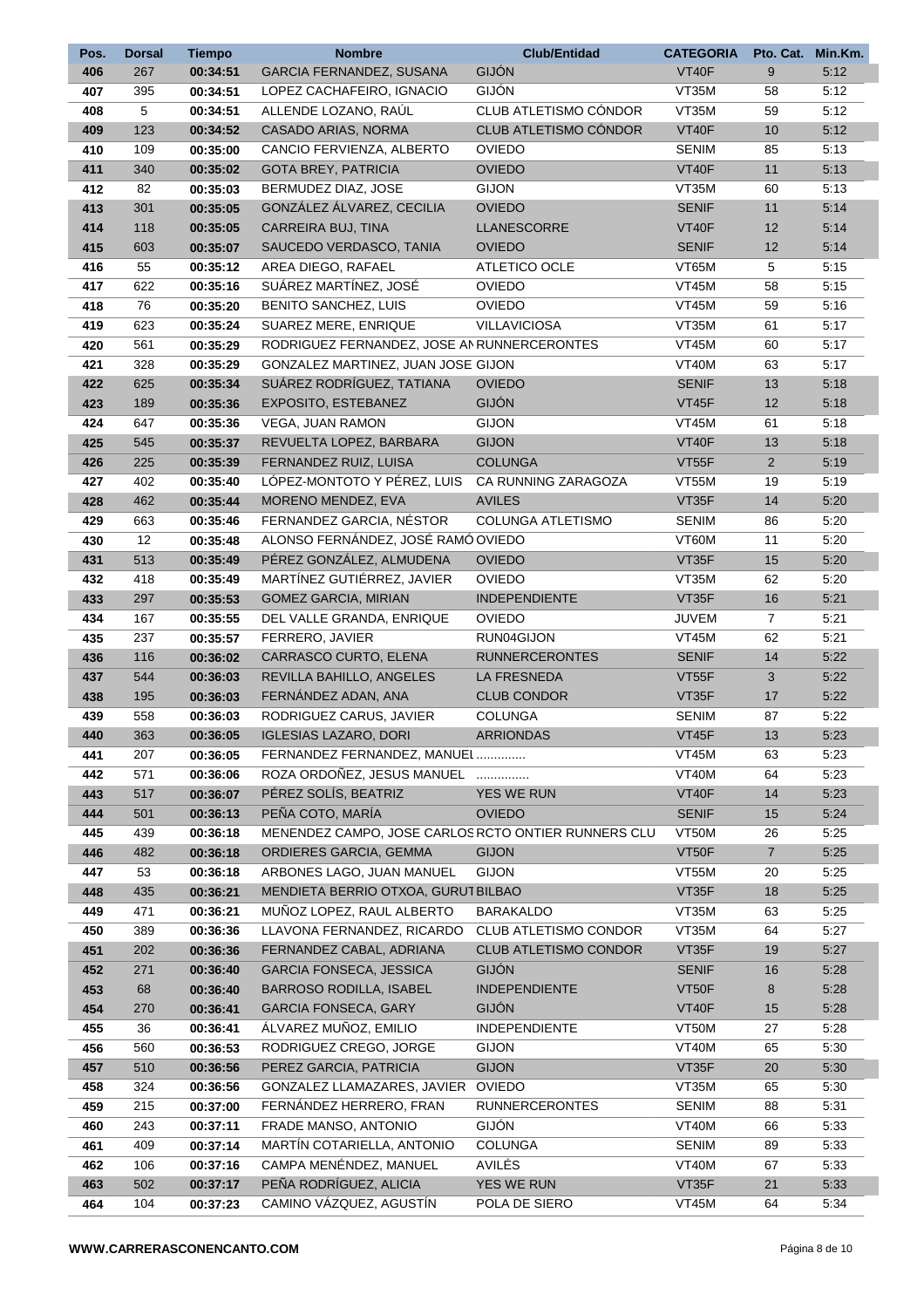| <b>GIJÓN</b><br>406<br>GARCIA FERNANDEZ, SUSANA<br><b>VT40F</b><br>9<br>267<br>00:34:51<br>GIJÓN<br>LOPEZ CACHAFEIRO, IGNACIO<br>VT35M<br>58<br>395<br>407<br>00:34:51<br>5<br>CLUB ATLETISMO CÓNDOR<br>ALLENDE LOZANO, RAÚL<br>VT35M<br>59<br>408<br>00:34:51<br>123<br>CASADO ARIAS, NORMA<br>CLUB ATLETISMO CÓNDOR<br>10<br>VT40F<br>409<br>00:34:52<br>410<br>109<br>00:35:00<br>CANCIO FERVIENZA, ALBERTO<br><b>OVIEDO</b><br><b>SENIM</b><br>85<br>VT40F<br>11<br>411<br>340<br>00:35:02<br><b>GOTA BREY, PATRICIA</b><br><b>OVIEDO</b><br><b>GIJON</b><br>82<br>BERMUDEZ DIAZ, JOSE<br>VT35M<br>60<br>412<br>00:35:03<br>301<br>GONZÁLEZ ÁLVAREZ, CECILIA<br><b>OVIEDO</b><br><b>SENIF</b><br>413<br>00:35:05<br>11<br>414<br>118<br>VT40F<br>00:35:05<br>CARREIRA BUJ, TINA<br><b>LLANESCORRE</b><br>12<br>603<br>SAUCEDO VERDASCO, TANIA<br><b>OVIEDO</b><br><b>SENIF</b><br>12<br>415<br>00:35:07<br>AREA DIEGO, RAFAEL<br>ATLETICO OCLE<br>5<br>55<br>00:35:12<br>VT65M<br>416<br>SUÁREZ MARTÍNEZ, JOSÉ<br>622<br><b>OVIEDO</b><br><b>VT45M</b><br>58<br>417<br>00:35:16<br>76<br>BENITO SANCHEZ, LUIS<br><b>OVIEDO</b><br>59<br>VT45M<br>418<br>00:35:20<br>623<br>SUAREZ MERE, ENRIQUE<br>61<br>419<br>00:35:24<br><b>VILLAVICIOSA</b><br>VT35M<br>561<br>RODRIGUEZ FERNANDEZ, JOSE AN RUNNERCERONTES<br>VT45M<br>60<br>00:35:29<br>420<br>328<br>GONZALEZ MARTINEZ, JUAN JOSE GIJON<br>VT40M<br>63<br>421<br>00:35:29<br>625<br>SUÁREZ RODRÍGUEZ, TATIANA<br><b>OVIEDO</b><br><b>SENIF</b><br>422<br>00:35:34<br>13<br><b>GIJÓN</b><br>423<br>189<br>VT45F<br>12<br>00:35:36<br>EXPOSITO, ESTEBANEZ<br>647<br><b>VEGA, JUAN RAMON</b><br><b>GIJON</b><br>VT45M<br>61<br>424<br>00:35:36<br>545<br>REVUELTA LOPEZ, BARBARA<br><b>GIJON</b><br>VT40F<br>13<br>425<br>00:35:37<br>FERNANDEZ RUIZ, LUISA<br>$\overline{2}$<br>225<br><b>COLUNGA</b><br>VT55F<br>426<br>00:35:39<br>402<br>LÓPEZ-MONTOTO Y PÉREZ. LUIS<br>CA RUNNING ZARAGOZA<br>19<br>427<br>00:35:40<br><b>VT55M</b><br><b>AVILES</b><br>14<br>462<br>MORENO MENDEZ, EVA<br>VT35F<br>428<br>00:35:44<br>FERNANDEZ GARCIA, NÉSTOR<br>COLUNGA ATLETISMO<br>429<br>663<br>00:35:46<br><b>SENIM</b><br>86<br>12<br>ALONSO FERNÁNDEZ, JOSÉ RAMÓ OVIEDO<br>11<br>VT60M<br>430<br>00:35:48<br>513<br>PÉREZ GONZÁLEZ, ALMUDENA<br>15<br>00:35:49<br><b>OVIEDO</b><br>VT35F<br>431<br>418<br>MARTÍNEZ GUTIÉRREZ, JAVIER<br><b>OVIEDO</b><br>VT35M<br>62<br>432<br>00:35:49<br>433<br>297<br>00:35:53<br><b>GOMEZ GARCIA, MIRIAN</b><br>VT35F<br>16<br><b>INDEPENDIENTE</b><br>167<br>DEL VALLE GRANDA, ENRIQUE<br><b>OVIEDO</b><br><b>JUVEM</b><br>$\overline{7}$<br>434<br>00:35:55<br>237<br>VT45M<br>00:35:57<br>FERRERO, JAVIER<br>RUN04GIJON<br>62<br>435<br>116<br>14<br>CARRASCO CURTO, ELENA<br><b>RUNNERCERONTES</b><br><b>SENIF</b><br>436<br>00:36:02<br>544<br>3<br>437<br>REVILLA BAHILLO, ANGELES<br>LA FRESNEDA<br>VT55F<br>00:36:03<br>FERNÁNDEZ ADAN, ANA<br>195<br><b>CLUB CONDOR</b><br>VT35F<br>17<br>438<br>00:36:03<br>558<br>RODRIGUEZ CARUS, JAVIER<br><b>COLUNGA</b><br><b>SENIM</b><br>87<br>439<br>00:36:03<br><b>IGLESIAS LAZARO, DORI</b><br>363<br><b>ARRIONDAS</b><br>VT45F<br>13<br>440<br>00:36:05<br>FERNANDEZ FERNANDEZ, MANUEL<br>VT45M<br>207<br>00:36:05<br>63<br>441<br>ROZA ORDOÑEZ, JESUS MANUEL<br>442<br>571<br>00:36:06<br>VT40M<br>64<br>517<br>PÉREZ SOLÍS, BEATRIZ<br>VT40F<br>443<br>00:36:07<br><b>YES WE RUN</b><br>14<br>PEÑA COTO, MARÍA<br><b>SENIF</b><br>444<br>501<br>00:36:13<br><b>OVIEDO</b><br>15<br>MENENDEZ CAMPO, JOSE CARLOS RCTO ONTIER RUNNERS CLU<br>439<br>VT50M<br>26<br>445<br>00:36:18<br>446<br>482<br>ORDIERES GARCIA, GEMMA<br>VT50F<br>00:36:18<br><b>GIJON</b><br>$\overline{7}$<br>ARBONES LAGO, JUAN MANUEL<br><b>GIJON</b><br>VT55M<br>20<br>447<br>53<br>00:36:18<br>MENDIETA BERRIO OTXOA, GURUT BILBAO<br>VT35F<br>448<br>435<br>00:36:21<br>18<br>MUÑOZ LOPEZ, RAUL ALBERTO<br><b>BARAKALDO</b><br>471<br>VT35M<br>63<br>449<br>00:36:21<br>389<br>LLAVONA FERNANDEZ, RICARDO<br><b>CLUB ATLETISMO CONDOR</b><br>VT35M<br>64<br>450<br>00:36:36<br>202<br>FERNANDEZ CABAL, ADRIANA<br><b>CLUB ATLETISMO CONDOR</b><br>VT35F<br>19<br>451<br>00:36:36<br>452<br><b>GIJÓN</b><br>271<br>00:36:40<br><b>GARCIA FONSECA, JESSICA</b><br><b>SENIF</b><br>16<br>68<br><b>BARROSO RODILLA, ISABEL</b><br><b>INDEPENDIENTE</b><br>VT50F<br>453<br>00:36:40<br>8<br>454<br>270<br><b>GIJÓN</b><br>VT40F<br>00:36:41<br><b>GARCIA FONSECA, GARY</b><br>15<br>ALVAREZ MUÑOZ, EMILIO<br>VT50M<br>455<br>36<br>00:36:41<br><b>INDEPENDIENTE</b><br>27<br>RODRIGUEZ CREGO, JORGE<br>560<br>00:36:53<br><b>GIJON</b><br>VT40M<br>65<br>456 | Pto. Cat. Min.Km. | <b>CATEGORIA</b> | <b>Club/Entidad</b> | <b>Nombre</b>          | <b>Tiempo</b> | <b>Dorsal</b> | Pos. |
|----------------------------------------------------------------------------------------------------------------------------------------------------------------------------------------------------------------------------------------------------------------------------------------------------------------------------------------------------------------------------------------------------------------------------------------------------------------------------------------------------------------------------------------------------------------------------------------------------------------------------------------------------------------------------------------------------------------------------------------------------------------------------------------------------------------------------------------------------------------------------------------------------------------------------------------------------------------------------------------------------------------------------------------------------------------------------------------------------------------------------------------------------------------------------------------------------------------------------------------------------------------------------------------------------------------------------------------------------------------------------------------------------------------------------------------------------------------------------------------------------------------------------------------------------------------------------------------------------------------------------------------------------------------------------------------------------------------------------------------------------------------------------------------------------------------------------------------------------------------------------------------------------------------------------------------------------------------------------------------------------------------------------------------------------------------------------------------------------------------------------------------------------------------------------------------------------------------------------------------------------------------------------------------------------------------------------------------------------------------------------------------------------------------------------------------------------------------------------------------------------------------------------------------------------------------------------------------------------------------------------------------------------------------------------------------------------------------------------------------------------------------------------------------------------------------------------------------------------------------------------------------------------------------------------------------------------------------------------------------------------------------------------------------------------------------------------------------------------------------------------------------------------------------------------------------------------------------------------------------------------------------------------------------------------------------------------------------------------------------------------------------------------------------------------------------------------------------------------------------------------------------------------------------------------------------------------------------------------------------------------------------------------------------------------------------------------------------------------------------------------------------------------------------------------------------------------------------------------------------------------------------------------------------------------------------------------------------------------------------------------------------------------------------------------------------------------------------------------------------------------------------------------------------------------------------------------------------------------------------------------------------------------------------------------------------------------------------------------------------------------------------------------------------------------------------------------------------------------------------------------------------------------------------------------------------------------------------------------------------------------------------------------------------------------------|-------------------|------------------|---------------------|------------------------|---------------|---------------|------|
|                                                                                                                                                                                                                                                                                                                                                                                                                                                                                                                                                                                                                                                                                                                                                                                                                                                                                                                                                                                                                                                                                                                                                                                                                                                                                                                                                                                                                                                                                                                                                                                                                                                                                                                                                                                                                                                                                                                                                                                                                                                                                                                                                                                                                                                                                                                                                                                                                                                                                                                                                                                                                                                                                                                                                                                                                                                                                                                                                                                                                                                                                                                                                                                                                                                                                                                                                                                                                                                                                                                                                                                                                                                                                                                                                                                                                                                                                                                                                                                                                                                                                                                                                                                                                                                                                                                                                                                                                                                                                                                                                                                                                                                                                  | 5:12              |                  |                     |                        |               |               |      |
|                                                                                                                                                                                                                                                                                                                                                                                                                                                                                                                                                                                                                                                                                                                                                                                                                                                                                                                                                                                                                                                                                                                                                                                                                                                                                                                                                                                                                                                                                                                                                                                                                                                                                                                                                                                                                                                                                                                                                                                                                                                                                                                                                                                                                                                                                                                                                                                                                                                                                                                                                                                                                                                                                                                                                                                                                                                                                                                                                                                                                                                                                                                                                                                                                                                                                                                                                                                                                                                                                                                                                                                                                                                                                                                                                                                                                                                                                                                                                                                                                                                                                                                                                                                                                                                                                                                                                                                                                                                                                                                                                                                                                                                                                  | 5:12              |                  |                     |                        |               |               |      |
|                                                                                                                                                                                                                                                                                                                                                                                                                                                                                                                                                                                                                                                                                                                                                                                                                                                                                                                                                                                                                                                                                                                                                                                                                                                                                                                                                                                                                                                                                                                                                                                                                                                                                                                                                                                                                                                                                                                                                                                                                                                                                                                                                                                                                                                                                                                                                                                                                                                                                                                                                                                                                                                                                                                                                                                                                                                                                                                                                                                                                                                                                                                                                                                                                                                                                                                                                                                                                                                                                                                                                                                                                                                                                                                                                                                                                                                                                                                                                                                                                                                                                                                                                                                                                                                                                                                                                                                                                                                                                                                                                                                                                                                                                  | 5:12              |                  |                     |                        |               |               |      |
|                                                                                                                                                                                                                                                                                                                                                                                                                                                                                                                                                                                                                                                                                                                                                                                                                                                                                                                                                                                                                                                                                                                                                                                                                                                                                                                                                                                                                                                                                                                                                                                                                                                                                                                                                                                                                                                                                                                                                                                                                                                                                                                                                                                                                                                                                                                                                                                                                                                                                                                                                                                                                                                                                                                                                                                                                                                                                                                                                                                                                                                                                                                                                                                                                                                                                                                                                                                                                                                                                                                                                                                                                                                                                                                                                                                                                                                                                                                                                                                                                                                                                                                                                                                                                                                                                                                                                                                                                                                                                                                                                                                                                                                                                  | 5:12              |                  |                     |                        |               |               |      |
|                                                                                                                                                                                                                                                                                                                                                                                                                                                                                                                                                                                                                                                                                                                                                                                                                                                                                                                                                                                                                                                                                                                                                                                                                                                                                                                                                                                                                                                                                                                                                                                                                                                                                                                                                                                                                                                                                                                                                                                                                                                                                                                                                                                                                                                                                                                                                                                                                                                                                                                                                                                                                                                                                                                                                                                                                                                                                                                                                                                                                                                                                                                                                                                                                                                                                                                                                                                                                                                                                                                                                                                                                                                                                                                                                                                                                                                                                                                                                                                                                                                                                                                                                                                                                                                                                                                                                                                                                                                                                                                                                                                                                                                                                  | 5:13              |                  |                     |                        |               |               |      |
|                                                                                                                                                                                                                                                                                                                                                                                                                                                                                                                                                                                                                                                                                                                                                                                                                                                                                                                                                                                                                                                                                                                                                                                                                                                                                                                                                                                                                                                                                                                                                                                                                                                                                                                                                                                                                                                                                                                                                                                                                                                                                                                                                                                                                                                                                                                                                                                                                                                                                                                                                                                                                                                                                                                                                                                                                                                                                                                                                                                                                                                                                                                                                                                                                                                                                                                                                                                                                                                                                                                                                                                                                                                                                                                                                                                                                                                                                                                                                                                                                                                                                                                                                                                                                                                                                                                                                                                                                                                                                                                                                                                                                                                                                  | 5:13              |                  |                     |                        |               |               |      |
|                                                                                                                                                                                                                                                                                                                                                                                                                                                                                                                                                                                                                                                                                                                                                                                                                                                                                                                                                                                                                                                                                                                                                                                                                                                                                                                                                                                                                                                                                                                                                                                                                                                                                                                                                                                                                                                                                                                                                                                                                                                                                                                                                                                                                                                                                                                                                                                                                                                                                                                                                                                                                                                                                                                                                                                                                                                                                                                                                                                                                                                                                                                                                                                                                                                                                                                                                                                                                                                                                                                                                                                                                                                                                                                                                                                                                                                                                                                                                                                                                                                                                                                                                                                                                                                                                                                                                                                                                                                                                                                                                                                                                                                                                  | 5:13              |                  |                     |                        |               |               |      |
|                                                                                                                                                                                                                                                                                                                                                                                                                                                                                                                                                                                                                                                                                                                                                                                                                                                                                                                                                                                                                                                                                                                                                                                                                                                                                                                                                                                                                                                                                                                                                                                                                                                                                                                                                                                                                                                                                                                                                                                                                                                                                                                                                                                                                                                                                                                                                                                                                                                                                                                                                                                                                                                                                                                                                                                                                                                                                                                                                                                                                                                                                                                                                                                                                                                                                                                                                                                                                                                                                                                                                                                                                                                                                                                                                                                                                                                                                                                                                                                                                                                                                                                                                                                                                                                                                                                                                                                                                                                                                                                                                                                                                                                                                  | 5:14              |                  |                     |                        |               |               |      |
|                                                                                                                                                                                                                                                                                                                                                                                                                                                                                                                                                                                                                                                                                                                                                                                                                                                                                                                                                                                                                                                                                                                                                                                                                                                                                                                                                                                                                                                                                                                                                                                                                                                                                                                                                                                                                                                                                                                                                                                                                                                                                                                                                                                                                                                                                                                                                                                                                                                                                                                                                                                                                                                                                                                                                                                                                                                                                                                                                                                                                                                                                                                                                                                                                                                                                                                                                                                                                                                                                                                                                                                                                                                                                                                                                                                                                                                                                                                                                                                                                                                                                                                                                                                                                                                                                                                                                                                                                                                                                                                                                                                                                                                                                  | 5:14              |                  |                     |                        |               |               |      |
|                                                                                                                                                                                                                                                                                                                                                                                                                                                                                                                                                                                                                                                                                                                                                                                                                                                                                                                                                                                                                                                                                                                                                                                                                                                                                                                                                                                                                                                                                                                                                                                                                                                                                                                                                                                                                                                                                                                                                                                                                                                                                                                                                                                                                                                                                                                                                                                                                                                                                                                                                                                                                                                                                                                                                                                                                                                                                                                                                                                                                                                                                                                                                                                                                                                                                                                                                                                                                                                                                                                                                                                                                                                                                                                                                                                                                                                                                                                                                                                                                                                                                                                                                                                                                                                                                                                                                                                                                                                                                                                                                                                                                                                                                  | 5:14              |                  |                     |                        |               |               |      |
|                                                                                                                                                                                                                                                                                                                                                                                                                                                                                                                                                                                                                                                                                                                                                                                                                                                                                                                                                                                                                                                                                                                                                                                                                                                                                                                                                                                                                                                                                                                                                                                                                                                                                                                                                                                                                                                                                                                                                                                                                                                                                                                                                                                                                                                                                                                                                                                                                                                                                                                                                                                                                                                                                                                                                                                                                                                                                                                                                                                                                                                                                                                                                                                                                                                                                                                                                                                                                                                                                                                                                                                                                                                                                                                                                                                                                                                                                                                                                                                                                                                                                                                                                                                                                                                                                                                                                                                                                                                                                                                                                                                                                                                                                  | 5:15              |                  |                     |                        |               |               |      |
|                                                                                                                                                                                                                                                                                                                                                                                                                                                                                                                                                                                                                                                                                                                                                                                                                                                                                                                                                                                                                                                                                                                                                                                                                                                                                                                                                                                                                                                                                                                                                                                                                                                                                                                                                                                                                                                                                                                                                                                                                                                                                                                                                                                                                                                                                                                                                                                                                                                                                                                                                                                                                                                                                                                                                                                                                                                                                                                                                                                                                                                                                                                                                                                                                                                                                                                                                                                                                                                                                                                                                                                                                                                                                                                                                                                                                                                                                                                                                                                                                                                                                                                                                                                                                                                                                                                                                                                                                                                                                                                                                                                                                                                                                  | 5:15              |                  |                     |                        |               |               |      |
|                                                                                                                                                                                                                                                                                                                                                                                                                                                                                                                                                                                                                                                                                                                                                                                                                                                                                                                                                                                                                                                                                                                                                                                                                                                                                                                                                                                                                                                                                                                                                                                                                                                                                                                                                                                                                                                                                                                                                                                                                                                                                                                                                                                                                                                                                                                                                                                                                                                                                                                                                                                                                                                                                                                                                                                                                                                                                                                                                                                                                                                                                                                                                                                                                                                                                                                                                                                                                                                                                                                                                                                                                                                                                                                                                                                                                                                                                                                                                                                                                                                                                                                                                                                                                                                                                                                                                                                                                                                                                                                                                                                                                                                                                  | 5:16              |                  |                     |                        |               |               |      |
|                                                                                                                                                                                                                                                                                                                                                                                                                                                                                                                                                                                                                                                                                                                                                                                                                                                                                                                                                                                                                                                                                                                                                                                                                                                                                                                                                                                                                                                                                                                                                                                                                                                                                                                                                                                                                                                                                                                                                                                                                                                                                                                                                                                                                                                                                                                                                                                                                                                                                                                                                                                                                                                                                                                                                                                                                                                                                                                                                                                                                                                                                                                                                                                                                                                                                                                                                                                                                                                                                                                                                                                                                                                                                                                                                                                                                                                                                                                                                                                                                                                                                                                                                                                                                                                                                                                                                                                                                                                                                                                                                                                                                                                                                  | 5:17              |                  |                     |                        |               |               |      |
|                                                                                                                                                                                                                                                                                                                                                                                                                                                                                                                                                                                                                                                                                                                                                                                                                                                                                                                                                                                                                                                                                                                                                                                                                                                                                                                                                                                                                                                                                                                                                                                                                                                                                                                                                                                                                                                                                                                                                                                                                                                                                                                                                                                                                                                                                                                                                                                                                                                                                                                                                                                                                                                                                                                                                                                                                                                                                                                                                                                                                                                                                                                                                                                                                                                                                                                                                                                                                                                                                                                                                                                                                                                                                                                                                                                                                                                                                                                                                                                                                                                                                                                                                                                                                                                                                                                                                                                                                                                                                                                                                                                                                                                                                  | 5:17              |                  |                     |                        |               |               |      |
|                                                                                                                                                                                                                                                                                                                                                                                                                                                                                                                                                                                                                                                                                                                                                                                                                                                                                                                                                                                                                                                                                                                                                                                                                                                                                                                                                                                                                                                                                                                                                                                                                                                                                                                                                                                                                                                                                                                                                                                                                                                                                                                                                                                                                                                                                                                                                                                                                                                                                                                                                                                                                                                                                                                                                                                                                                                                                                                                                                                                                                                                                                                                                                                                                                                                                                                                                                                                                                                                                                                                                                                                                                                                                                                                                                                                                                                                                                                                                                                                                                                                                                                                                                                                                                                                                                                                                                                                                                                                                                                                                                                                                                                                                  | 5:17              |                  |                     |                        |               |               |      |
|                                                                                                                                                                                                                                                                                                                                                                                                                                                                                                                                                                                                                                                                                                                                                                                                                                                                                                                                                                                                                                                                                                                                                                                                                                                                                                                                                                                                                                                                                                                                                                                                                                                                                                                                                                                                                                                                                                                                                                                                                                                                                                                                                                                                                                                                                                                                                                                                                                                                                                                                                                                                                                                                                                                                                                                                                                                                                                                                                                                                                                                                                                                                                                                                                                                                                                                                                                                                                                                                                                                                                                                                                                                                                                                                                                                                                                                                                                                                                                                                                                                                                                                                                                                                                                                                                                                                                                                                                                                                                                                                                                                                                                                                                  | 5:18              |                  |                     |                        |               |               |      |
|                                                                                                                                                                                                                                                                                                                                                                                                                                                                                                                                                                                                                                                                                                                                                                                                                                                                                                                                                                                                                                                                                                                                                                                                                                                                                                                                                                                                                                                                                                                                                                                                                                                                                                                                                                                                                                                                                                                                                                                                                                                                                                                                                                                                                                                                                                                                                                                                                                                                                                                                                                                                                                                                                                                                                                                                                                                                                                                                                                                                                                                                                                                                                                                                                                                                                                                                                                                                                                                                                                                                                                                                                                                                                                                                                                                                                                                                                                                                                                                                                                                                                                                                                                                                                                                                                                                                                                                                                                                                                                                                                                                                                                                                                  | 5:18              |                  |                     |                        |               |               |      |
|                                                                                                                                                                                                                                                                                                                                                                                                                                                                                                                                                                                                                                                                                                                                                                                                                                                                                                                                                                                                                                                                                                                                                                                                                                                                                                                                                                                                                                                                                                                                                                                                                                                                                                                                                                                                                                                                                                                                                                                                                                                                                                                                                                                                                                                                                                                                                                                                                                                                                                                                                                                                                                                                                                                                                                                                                                                                                                                                                                                                                                                                                                                                                                                                                                                                                                                                                                                                                                                                                                                                                                                                                                                                                                                                                                                                                                                                                                                                                                                                                                                                                                                                                                                                                                                                                                                                                                                                                                                                                                                                                                                                                                                                                  | 5:18              |                  |                     |                        |               |               |      |
|                                                                                                                                                                                                                                                                                                                                                                                                                                                                                                                                                                                                                                                                                                                                                                                                                                                                                                                                                                                                                                                                                                                                                                                                                                                                                                                                                                                                                                                                                                                                                                                                                                                                                                                                                                                                                                                                                                                                                                                                                                                                                                                                                                                                                                                                                                                                                                                                                                                                                                                                                                                                                                                                                                                                                                                                                                                                                                                                                                                                                                                                                                                                                                                                                                                                                                                                                                                                                                                                                                                                                                                                                                                                                                                                                                                                                                                                                                                                                                                                                                                                                                                                                                                                                                                                                                                                                                                                                                                                                                                                                                                                                                                                                  | 5:18              |                  |                     |                        |               |               |      |
|                                                                                                                                                                                                                                                                                                                                                                                                                                                                                                                                                                                                                                                                                                                                                                                                                                                                                                                                                                                                                                                                                                                                                                                                                                                                                                                                                                                                                                                                                                                                                                                                                                                                                                                                                                                                                                                                                                                                                                                                                                                                                                                                                                                                                                                                                                                                                                                                                                                                                                                                                                                                                                                                                                                                                                                                                                                                                                                                                                                                                                                                                                                                                                                                                                                                                                                                                                                                                                                                                                                                                                                                                                                                                                                                                                                                                                                                                                                                                                                                                                                                                                                                                                                                                                                                                                                                                                                                                                                                                                                                                                                                                                                                                  | 5:19              |                  |                     |                        |               |               |      |
|                                                                                                                                                                                                                                                                                                                                                                                                                                                                                                                                                                                                                                                                                                                                                                                                                                                                                                                                                                                                                                                                                                                                                                                                                                                                                                                                                                                                                                                                                                                                                                                                                                                                                                                                                                                                                                                                                                                                                                                                                                                                                                                                                                                                                                                                                                                                                                                                                                                                                                                                                                                                                                                                                                                                                                                                                                                                                                                                                                                                                                                                                                                                                                                                                                                                                                                                                                                                                                                                                                                                                                                                                                                                                                                                                                                                                                                                                                                                                                                                                                                                                                                                                                                                                                                                                                                                                                                                                                                                                                                                                                                                                                                                                  |                   |                  |                     |                        |               |               |      |
|                                                                                                                                                                                                                                                                                                                                                                                                                                                                                                                                                                                                                                                                                                                                                                                                                                                                                                                                                                                                                                                                                                                                                                                                                                                                                                                                                                                                                                                                                                                                                                                                                                                                                                                                                                                                                                                                                                                                                                                                                                                                                                                                                                                                                                                                                                                                                                                                                                                                                                                                                                                                                                                                                                                                                                                                                                                                                                                                                                                                                                                                                                                                                                                                                                                                                                                                                                                                                                                                                                                                                                                                                                                                                                                                                                                                                                                                                                                                                                                                                                                                                                                                                                                                                                                                                                                                                                                                                                                                                                                                                                                                                                                                                  | 5:19              |                  |                     |                        |               |               |      |
|                                                                                                                                                                                                                                                                                                                                                                                                                                                                                                                                                                                                                                                                                                                                                                                                                                                                                                                                                                                                                                                                                                                                                                                                                                                                                                                                                                                                                                                                                                                                                                                                                                                                                                                                                                                                                                                                                                                                                                                                                                                                                                                                                                                                                                                                                                                                                                                                                                                                                                                                                                                                                                                                                                                                                                                                                                                                                                                                                                                                                                                                                                                                                                                                                                                                                                                                                                                                                                                                                                                                                                                                                                                                                                                                                                                                                                                                                                                                                                                                                                                                                                                                                                                                                                                                                                                                                                                                                                                                                                                                                                                                                                                                                  | 5:20              |                  |                     |                        |               |               |      |
|                                                                                                                                                                                                                                                                                                                                                                                                                                                                                                                                                                                                                                                                                                                                                                                                                                                                                                                                                                                                                                                                                                                                                                                                                                                                                                                                                                                                                                                                                                                                                                                                                                                                                                                                                                                                                                                                                                                                                                                                                                                                                                                                                                                                                                                                                                                                                                                                                                                                                                                                                                                                                                                                                                                                                                                                                                                                                                                                                                                                                                                                                                                                                                                                                                                                                                                                                                                                                                                                                                                                                                                                                                                                                                                                                                                                                                                                                                                                                                                                                                                                                                                                                                                                                                                                                                                                                                                                                                                                                                                                                                                                                                                                                  | 5:20              |                  |                     |                        |               |               |      |
|                                                                                                                                                                                                                                                                                                                                                                                                                                                                                                                                                                                                                                                                                                                                                                                                                                                                                                                                                                                                                                                                                                                                                                                                                                                                                                                                                                                                                                                                                                                                                                                                                                                                                                                                                                                                                                                                                                                                                                                                                                                                                                                                                                                                                                                                                                                                                                                                                                                                                                                                                                                                                                                                                                                                                                                                                                                                                                                                                                                                                                                                                                                                                                                                                                                                                                                                                                                                                                                                                                                                                                                                                                                                                                                                                                                                                                                                                                                                                                                                                                                                                                                                                                                                                                                                                                                                                                                                                                                                                                                                                                                                                                                                                  | 5:20              |                  |                     |                        |               |               |      |
|                                                                                                                                                                                                                                                                                                                                                                                                                                                                                                                                                                                                                                                                                                                                                                                                                                                                                                                                                                                                                                                                                                                                                                                                                                                                                                                                                                                                                                                                                                                                                                                                                                                                                                                                                                                                                                                                                                                                                                                                                                                                                                                                                                                                                                                                                                                                                                                                                                                                                                                                                                                                                                                                                                                                                                                                                                                                                                                                                                                                                                                                                                                                                                                                                                                                                                                                                                                                                                                                                                                                                                                                                                                                                                                                                                                                                                                                                                                                                                                                                                                                                                                                                                                                                                                                                                                                                                                                                                                                                                                                                                                                                                                                                  | 5:20              |                  |                     |                        |               |               |      |
|                                                                                                                                                                                                                                                                                                                                                                                                                                                                                                                                                                                                                                                                                                                                                                                                                                                                                                                                                                                                                                                                                                                                                                                                                                                                                                                                                                                                                                                                                                                                                                                                                                                                                                                                                                                                                                                                                                                                                                                                                                                                                                                                                                                                                                                                                                                                                                                                                                                                                                                                                                                                                                                                                                                                                                                                                                                                                                                                                                                                                                                                                                                                                                                                                                                                                                                                                                                                                                                                                                                                                                                                                                                                                                                                                                                                                                                                                                                                                                                                                                                                                                                                                                                                                                                                                                                                                                                                                                                                                                                                                                                                                                                                                  | 5:20              |                  |                     |                        |               |               |      |
|                                                                                                                                                                                                                                                                                                                                                                                                                                                                                                                                                                                                                                                                                                                                                                                                                                                                                                                                                                                                                                                                                                                                                                                                                                                                                                                                                                                                                                                                                                                                                                                                                                                                                                                                                                                                                                                                                                                                                                                                                                                                                                                                                                                                                                                                                                                                                                                                                                                                                                                                                                                                                                                                                                                                                                                                                                                                                                                                                                                                                                                                                                                                                                                                                                                                                                                                                                                                                                                                                                                                                                                                                                                                                                                                                                                                                                                                                                                                                                                                                                                                                                                                                                                                                                                                                                                                                                                                                                                                                                                                                                                                                                                                                  | 5:21              |                  |                     |                        |               |               |      |
|                                                                                                                                                                                                                                                                                                                                                                                                                                                                                                                                                                                                                                                                                                                                                                                                                                                                                                                                                                                                                                                                                                                                                                                                                                                                                                                                                                                                                                                                                                                                                                                                                                                                                                                                                                                                                                                                                                                                                                                                                                                                                                                                                                                                                                                                                                                                                                                                                                                                                                                                                                                                                                                                                                                                                                                                                                                                                                                                                                                                                                                                                                                                                                                                                                                                                                                                                                                                                                                                                                                                                                                                                                                                                                                                                                                                                                                                                                                                                                                                                                                                                                                                                                                                                                                                                                                                                                                                                                                                                                                                                                                                                                                                                  | 5:21              |                  |                     |                        |               |               |      |
|                                                                                                                                                                                                                                                                                                                                                                                                                                                                                                                                                                                                                                                                                                                                                                                                                                                                                                                                                                                                                                                                                                                                                                                                                                                                                                                                                                                                                                                                                                                                                                                                                                                                                                                                                                                                                                                                                                                                                                                                                                                                                                                                                                                                                                                                                                                                                                                                                                                                                                                                                                                                                                                                                                                                                                                                                                                                                                                                                                                                                                                                                                                                                                                                                                                                                                                                                                                                                                                                                                                                                                                                                                                                                                                                                                                                                                                                                                                                                                                                                                                                                                                                                                                                                                                                                                                                                                                                                                                                                                                                                                                                                                                                                  | 5:21              |                  |                     |                        |               |               |      |
|                                                                                                                                                                                                                                                                                                                                                                                                                                                                                                                                                                                                                                                                                                                                                                                                                                                                                                                                                                                                                                                                                                                                                                                                                                                                                                                                                                                                                                                                                                                                                                                                                                                                                                                                                                                                                                                                                                                                                                                                                                                                                                                                                                                                                                                                                                                                                                                                                                                                                                                                                                                                                                                                                                                                                                                                                                                                                                                                                                                                                                                                                                                                                                                                                                                                                                                                                                                                                                                                                                                                                                                                                                                                                                                                                                                                                                                                                                                                                                                                                                                                                                                                                                                                                                                                                                                                                                                                                                                                                                                                                                                                                                                                                  | 5:22              |                  |                     |                        |               |               |      |
|                                                                                                                                                                                                                                                                                                                                                                                                                                                                                                                                                                                                                                                                                                                                                                                                                                                                                                                                                                                                                                                                                                                                                                                                                                                                                                                                                                                                                                                                                                                                                                                                                                                                                                                                                                                                                                                                                                                                                                                                                                                                                                                                                                                                                                                                                                                                                                                                                                                                                                                                                                                                                                                                                                                                                                                                                                                                                                                                                                                                                                                                                                                                                                                                                                                                                                                                                                                                                                                                                                                                                                                                                                                                                                                                                                                                                                                                                                                                                                                                                                                                                                                                                                                                                                                                                                                                                                                                                                                                                                                                                                                                                                                                                  | 5:22              |                  |                     |                        |               |               |      |
|                                                                                                                                                                                                                                                                                                                                                                                                                                                                                                                                                                                                                                                                                                                                                                                                                                                                                                                                                                                                                                                                                                                                                                                                                                                                                                                                                                                                                                                                                                                                                                                                                                                                                                                                                                                                                                                                                                                                                                                                                                                                                                                                                                                                                                                                                                                                                                                                                                                                                                                                                                                                                                                                                                                                                                                                                                                                                                                                                                                                                                                                                                                                                                                                                                                                                                                                                                                                                                                                                                                                                                                                                                                                                                                                                                                                                                                                                                                                                                                                                                                                                                                                                                                                                                                                                                                                                                                                                                                                                                                                                                                                                                                                                  | 5:22              |                  |                     |                        |               |               |      |
|                                                                                                                                                                                                                                                                                                                                                                                                                                                                                                                                                                                                                                                                                                                                                                                                                                                                                                                                                                                                                                                                                                                                                                                                                                                                                                                                                                                                                                                                                                                                                                                                                                                                                                                                                                                                                                                                                                                                                                                                                                                                                                                                                                                                                                                                                                                                                                                                                                                                                                                                                                                                                                                                                                                                                                                                                                                                                                                                                                                                                                                                                                                                                                                                                                                                                                                                                                                                                                                                                                                                                                                                                                                                                                                                                                                                                                                                                                                                                                                                                                                                                                                                                                                                                                                                                                                                                                                                                                                                                                                                                                                                                                                                                  | 5:22              |                  |                     |                        |               |               |      |
|                                                                                                                                                                                                                                                                                                                                                                                                                                                                                                                                                                                                                                                                                                                                                                                                                                                                                                                                                                                                                                                                                                                                                                                                                                                                                                                                                                                                                                                                                                                                                                                                                                                                                                                                                                                                                                                                                                                                                                                                                                                                                                                                                                                                                                                                                                                                                                                                                                                                                                                                                                                                                                                                                                                                                                                                                                                                                                                                                                                                                                                                                                                                                                                                                                                                                                                                                                                                                                                                                                                                                                                                                                                                                                                                                                                                                                                                                                                                                                                                                                                                                                                                                                                                                                                                                                                                                                                                                                                                                                                                                                                                                                                                                  | 5:23              |                  |                     |                        |               |               |      |
|                                                                                                                                                                                                                                                                                                                                                                                                                                                                                                                                                                                                                                                                                                                                                                                                                                                                                                                                                                                                                                                                                                                                                                                                                                                                                                                                                                                                                                                                                                                                                                                                                                                                                                                                                                                                                                                                                                                                                                                                                                                                                                                                                                                                                                                                                                                                                                                                                                                                                                                                                                                                                                                                                                                                                                                                                                                                                                                                                                                                                                                                                                                                                                                                                                                                                                                                                                                                                                                                                                                                                                                                                                                                                                                                                                                                                                                                                                                                                                                                                                                                                                                                                                                                                                                                                                                                                                                                                                                                                                                                                                                                                                                                                  | 5:23              |                  |                     |                        |               |               |      |
|                                                                                                                                                                                                                                                                                                                                                                                                                                                                                                                                                                                                                                                                                                                                                                                                                                                                                                                                                                                                                                                                                                                                                                                                                                                                                                                                                                                                                                                                                                                                                                                                                                                                                                                                                                                                                                                                                                                                                                                                                                                                                                                                                                                                                                                                                                                                                                                                                                                                                                                                                                                                                                                                                                                                                                                                                                                                                                                                                                                                                                                                                                                                                                                                                                                                                                                                                                                                                                                                                                                                                                                                                                                                                                                                                                                                                                                                                                                                                                                                                                                                                                                                                                                                                                                                                                                                                                                                                                                                                                                                                                                                                                                                                  | 5:23              |                  |                     |                        |               |               |      |
|                                                                                                                                                                                                                                                                                                                                                                                                                                                                                                                                                                                                                                                                                                                                                                                                                                                                                                                                                                                                                                                                                                                                                                                                                                                                                                                                                                                                                                                                                                                                                                                                                                                                                                                                                                                                                                                                                                                                                                                                                                                                                                                                                                                                                                                                                                                                                                                                                                                                                                                                                                                                                                                                                                                                                                                                                                                                                                                                                                                                                                                                                                                                                                                                                                                                                                                                                                                                                                                                                                                                                                                                                                                                                                                                                                                                                                                                                                                                                                                                                                                                                                                                                                                                                                                                                                                                                                                                                                                                                                                                                                                                                                                                                  | 5:23              |                  |                     |                        |               |               |      |
|                                                                                                                                                                                                                                                                                                                                                                                                                                                                                                                                                                                                                                                                                                                                                                                                                                                                                                                                                                                                                                                                                                                                                                                                                                                                                                                                                                                                                                                                                                                                                                                                                                                                                                                                                                                                                                                                                                                                                                                                                                                                                                                                                                                                                                                                                                                                                                                                                                                                                                                                                                                                                                                                                                                                                                                                                                                                                                                                                                                                                                                                                                                                                                                                                                                                                                                                                                                                                                                                                                                                                                                                                                                                                                                                                                                                                                                                                                                                                                                                                                                                                                                                                                                                                                                                                                                                                                                                                                                                                                                                                                                                                                                                                  | 5:24              |                  |                     |                        |               |               |      |
|                                                                                                                                                                                                                                                                                                                                                                                                                                                                                                                                                                                                                                                                                                                                                                                                                                                                                                                                                                                                                                                                                                                                                                                                                                                                                                                                                                                                                                                                                                                                                                                                                                                                                                                                                                                                                                                                                                                                                                                                                                                                                                                                                                                                                                                                                                                                                                                                                                                                                                                                                                                                                                                                                                                                                                                                                                                                                                                                                                                                                                                                                                                                                                                                                                                                                                                                                                                                                                                                                                                                                                                                                                                                                                                                                                                                                                                                                                                                                                                                                                                                                                                                                                                                                                                                                                                                                                                                                                                                                                                                                                                                                                                                                  | 5:25              |                  |                     |                        |               |               |      |
|                                                                                                                                                                                                                                                                                                                                                                                                                                                                                                                                                                                                                                                                                                                                                                                                                                                                                                                                                                                                                                                                                                                                                                                                                                                                                                                                                                                                                                                                                                                                                                                                                                                                                                                                                                                                                                                                                                                                                                                                                                                                                                                                                                                                                                                                                                                                                                                                                                                                                                                                                                                                                                                                                                                                                                                                                                                                                                                                                                                                                                                                                                                                                                                                                                                                                                                                                                                                                                                                                                                                                                                                                                                                                                                                                                                                                                                                                                                                                                                                                                                                                                                                                                                                                                                                                                                                                                                                                                                                                                                                                                                                                                                                                  | 5:25              |                  |                     |                        |               |               |      |
|                                                                                                                                                                                                                                                                                                                                                                                                                                                                                                                                                                                                                                                                                                                                                                                                                                                                                                                                                                                                                                                                                                                                                                                                                                                                                                                                                                                                                                                                                                                                                                                                                                                                                                                                                                                                                                                                                                                                                                                                                                                                                                                                                                                                                                                                                                                                                                                                                                                                                                                                                                                                                                                                                                                                                                                                                                                                                                                                                                                                                                                                                                                                                                                                                                                                                                                                                                                                                                                                                                                                                                                                                                                                                                                                                                                                                                                                                                                                                                                                                                                                                                                                                                                                                                                                                                                                                                                                                                                                                                                                                                                                                                                                                  | 5:25              |                  |                     |                        |               |               |      |
|                                                                                                                                                                                                                                                                                                                                                                                                                                                                                                                                                                                                                                                                                                                                                                                                                                                                                                                                                                                                                                                                                                                                                                                                                                                                                                                                                                                                                                                                                                                                                                                                                                                                                                                                                                                                                                                                                                                                                                                                                                                                                                                                                                                                                                                                                                                                                                                                                                                                                                                                                                                                                                                                                                                                                                                                                                                                                                                                                                                                                                                                                                                                                                                                                                                                                                                                                                                                                                                                                                                                                                                                                                                                                                                                                                                                                                                                                                                                                                                                                                                                                                                                                                                                                                                                                                                                                                                                                                                                                                                                                                                                                                                                                  | 5:25              |                  |                     |                        |               |               |      |
|                                                                                                                                                                                                                                                                                                                                                                                                                                                                                                                                                                                                                                                                                                                                                                                                                                                                                                                                                                                                                                                                                                                                                                                                                                                                                                                                                                                                                                                                                                                                                                                                                                                                                                                                                                                                                                                                                                                                                                                                                                                                                                                                                                                                                                                                                                                                                                                                                                                                                                                                                                                                                                                                                                                                                                                                                                                                                                                                                                                                                                                                                                                                                                                                                                                                                                                                                                                                                                                                                                                                                                                                                                                                                                                                                                                                                                                                                                                                                                                                                                                                                                                                                                                                                                                                                                                                                                                                                                                                                                                                                                                                                                                                                  | 5:25              |                  |                     |                        |               |               |      |
|                                                                                                                                                                                                                                                                                                                                                                                                                                                                                                                                                                                                                                                                                                                                                                                                                                                                                                                                                                                                                                                                                                                                                                                                                                                                                                                                                                                                                                                                                                                                                                                                                                                                                                                                                                                                                                                                                                                                                                                                                                                                                                                                                                                                                                                                                                                                                                                                                                                                                                                                                                                                                                                                                                                                                                                                                                                                                                                                                                                                                                                                                                                                                                                                                                                                                                                                                                                                                                                                                                                                                                                                                                                                                                                                                                                                                                                                                                                                                                                                                                                                                                                                                                                                                                                                                                                                                                                                                                                                                                                                                                                                                                                                                  | 5:27              |                  |                     |                        |               |               |      |
|                                                                                                                                                                                                                                                                                                                                                                                                                                                                                                                                                                                                                                                                                                                                                                                                                                                                                                                                                                                                                                                                                                                                                                                                                                                                                                                                                                                                                                                                                                                                                                                                                                                                                                                                                                                                                                                                                                                                                                                                                                                                                                                                                                                                                                                                                                                                                                                                                                                                                                                                                                                                                                                                                                                                                                                                                                                                                                                                                                                                                                                                                                                                                                                                                                                                                                                                                                                                                                                                                                                                                                                                                                                                                                                                                                                                                                                                                                                                                                                                                                                                                                                                                                                                                                                                                                                                                                                                                                                                                                                                                                                                                                                                                  | 5:27              |                  |                     |                        |               |               |      |
|                                                                                                                                                                                                                                                                                                                                                                                                                                                                                                                                                                                                                                                                                                                                                                                                                                                                                                                                                                                                                                                                                                                                                                                                                                                                                                                                                                                                                                                                                                                                                                                                                                                                                                                                                                                                                                                                                                                                                                                                                                                                                                                                                                                                                                                                                                                                                                                                                                                                                                                                                                                                                                                                                                                                                                                                                                                                                                                                                                                                                                                                                                                                                                                                                                                                                                                                                                                                                                                                                                                                                                                                                                                                                                                                                                                                                                                                                                                                                                                                                                                                                                                                                                                                                                                                                                                                                                                                                                                                                                                                                                                                                                                                                  | 5:28              |                  |                     |                        |               |               |      |
|                                                                                                                                                                                                                                                                                                                                                                                                                                                                                                                                                                                                                                                                                                                                                                                                                                                                                                                                                                                                                                                                                                                                                                                                                                                                                                                                                                                                                                                                                                                                                                                                                                                                                                                                                                                                                                                                                                                                                                                                                                                                                                                                                                                                                                                                                                                                                                                                                                                                                                                                                                                                                                                                                                                                                                                                                                                                                                                                                                                                                                                                                                                                                                                                                                                                                                                                                                                                                                                                                                                                                                                                                                                                                                                                                                                                                                                                                                                                                                                                                                                                                                                                                                                                                                                                                                                                                                                                                                                                                                                                                                                                                                                                                  | 5:28              |                  |                     |                        |               |               |      |
|                                                                                                                                                                                                                                                                                                                                                                                                                                                                                                                                                                                                                                                                                                                                                                                                                                                                                                                                                                                                                                                                                                                                                                                                                                                                                                                                                                                                                                                                                                                                                                                                                                                                                                                                                                                                                                                                                                                                                                                                                                                                                                                                                                                                                                                                                                                                                                                                                                                                                                                                                                                                                                                                                                                                                                                                                                                                                                                                                                                                                                                                                                                                                                                                                                                                                                                                                                                                                                                                                                                                                                                                                                                                                                                                                                                                                                                                                                                                                                                                                                                                                                                                                                                                                                                                                                                                                                                                                                                                                                                                                                                                                                                                                  | 5:28              |                  |                     |                        |               |               |      |
|                                                                                                                                                                                                                                                                                                                                                                                                                                                                                                                                                                                                                                                                                                                                                                                                                                                                                                                                                                                                                                                                                                                                                                                                                                                                                                                                                                                                                                                                                                                                                                                                                                                                                                                                                                                                                                                                                                                                                                                                                                                                                                                                                                                                                                                                                                                                                                                                                                                                                                                                                                                                                                                                                                                                                                                                                                                                                                                                                                                                                                                                                                                                                                                                                                                                                                                                                                                                                                                                                                                                                                                                                                                                                                                                                                                                                                                                                                                                                                                                                                                                                                                                                                                                                                                                                                                                                                                                                                                                                                                                                                                                                                                                                  | 5:28              |                  |                     |                        |               |               |      |
|                                                                                                                                                                                                                                                                                                                                                                                                                                                                                                                                                                                                                                                                                                                                                                                                                                                                                                                                                                                                                                                                                                                                                                                                                                                                                                                                                                                                                                                                                                                                                                                                                                                                                                                                                                                                                                                                                                                                                                                                                                                                                                                                                                                                                                                                                                                                                                                                                                                                                                                                                                                                                                                                                                                                                                                                                                                                                                                                                                                                                                                                                                                                                                                                                                                                                                                                                                                                                                                                                                                                                                                                                                                                                                                                                                                                                                                                                                                                                                                                                                                                                                                                                                                                                                                                                                                                                                                                                                                                                                                                                                                                                                                                                  | 5:30              |                  |                     |                        |               |               |      |
| 510<br>00:36:56<br><b>GIJON</b><br>VT35F<br>20                                                                                                                                                                                                                                                                                                                                                                                                                                                                                                                                                                                                                                                                                                                                                                                                                                                                                                                                                                                                                                                                                                                                                                                                                                                                                                                                                                                                                                                                                                                                                                                                                                                                                                                                                                                                                                                                                                                                                                                                                                                                                                                                                                                                                                                                                                                                                                                                                                                                                                                                                                                                                                                                                                                                                                                                                                                                                                                                                                                                                                                                                                                                                                                                                                                                                                                                                                                                                                                                                                                                                                                                                                                                                                                                                                                                                                                                                                                                                                                                                                                                                                                                                                                                                                                                                                                                                                                                                                                                                                                                                                                                                                   | 5:30              |                  |                     | PEREZ GARCIA, PATRICIA |               |               | 457  |
| 458<br>324<br>00:36:56<br>GONZALEZ LLAMAZARES, JAVIER<br><b>OVIEDO</b><br>VT35M<br>65                                                                                                                                                                                                                                                                                                                                                                                                                                                                                                                                                                                                                                                                                                                                                                                                                                                                                                                                                                                                                                                                                                                                                                                                                                                                                                                                                                                                                                                                                                                                                                                                                                                                                                                                                                                                                                                                                                                                                                                                                                                                                                                                                                                                                                                                                                                                                                                                                                                                                                                                                                                                                                                                                                                                                                                                                                                                                                                                                                                                                                                                                                                                                                                                                                                                                                                                                                                                                                                                                                                                                                                                                                                                                                                                                                                                                                                                                                                                                                                                                                                                                                                                                                                                                                                                                                                                                                                                                                                                                                                                                                                            | 5:30              |                  |                     |                        |               |               |      |
| FERNÁNDEZ HERRERO, FRAN<br><b>RUNNERCERONTES</b><br>459<br>215<br><b>SENIM</b><br>88<br>00:37:00                                                                                                                                                                                                                                                                                                                                                                                                                                                                                                                                                                                                                                                                                                                                                                                                                                                                                                                                                                                                                                                                                                                                                                                                                                                                                                                                                                                                                                                                                                                                                                                                                                                                                                                                                                                                                                                                                                                                                                                                                                                                                                                                                                                                                                                                                                                                                                                                                                                                                                                                                                                                                                                                                                                                                                                                                                                                                                                                                                                                                                                                                                                                                                                                                                                                                                                                                                                                                                                                                                                                                                                                                                                                                                                                                                                                                                                                                                                                                                                                                                                                                                                                                                                                                                                                                                                                                                                                                                                                                                                                                                                 | 5:31              |                  |                     |                        |               |               |      |
| GIJÓN<br>FRADE MANSO, ANTONIO<br>243<br>VT40M<br>66<br>460<br>00:37:11                                                                                                                                                                                                                                                                                                                                                                                                                                                                                                                                                                                                                                                                                                                                                                                                                                                                                                                                                                                                                                                                                                                                                                                                                                                                                                                                                                                                                                                                                                                                                                                                                                                                                                                                                                                                                                                                                                                                                                                                                                                                                                                                                                                                                                                                                                                                                                                                                                                                                                                                                                                                                                                                                                                                                                                                                                                                                                                                                                                                                                                                                                                                                                                                                                                                                                                                                                                                                                                                                                                                                                                                                                                                                                                                                                                                                                                                                                                                                                                                                                                                                                                                                                                                                                                                                                                                                                                                                                                                                                                                                                                                           | 5:33              |                  |                     |                        |               |               |      |
| MARTÍN COTARIELLA, ANTONIO<br><b>COLUNGA</b><br>461<br>409<br>00:37:14<br><b>SENIM</b><br>89                                                                                                                                                                                                                                                                                                                                                                                                                                                                                                                                                                                                                                                                                                                                                                                                                                                                                                                                                                                                                                                                                                                                                                                                                                                                                                                                                                                                                                                                                                                                                                                                                                                                                                                                                                                                                                                                                                                                                                                                                                                                                                                                                                                                                                                                                                                                                                                                                                                                                                                                                                                                                                                                                                                                                                                                                                                                                                                                                                                                                                                                                                                                                                                                                                                                                                                                                                                                                                                                                                                                                                                                                                                                                                                                                                                                                                                                                                                                                                                                                                                                                                                                                                                                                                                                                                                                                                                                                                                                                                                                                                                     | 5:33              |                  |                     |                        |               |               |      |
| CAMPA MENÉNDEZ, MANUEL<br>AVILÉS<br>106<br>VT40M<br>67<br>462<br>00:37:16                                                                                                                                                                                                                                                                                                                                                                                                                                                                                                                                                                                                                                                                                                                                                                                                                                                                                                                                                                                                                                                                                                                                                                                                                                                                                                                                                                                                                                                                                                                                                                                                                                                                                                                                                                                                                                                                                                                                                                                                                                                                                                                                                                                                                                                                                                                                                                                                                                                                                                                                                                                                                                                                                                                                                                                                                                                                                                                                                                                                                                                                                                                                                                                                                                                                                                                                                                                                                                                                                                                                                                                                                                                                                                                                                                                                                                                                                                                                                                                                                                                                                                                                                                                                                                                                                                                                                                                                                                                                                                                                                                                                        | 5:33              |                  |                     |                        |               |               |      |
| 502<br>PEÑA RODRÍGUEZ, ALICIA<br>YES WE RUN<br>463<br>00:37:17<br>VT35F<br>21                                                                                                                                                                                                                                                                                                                                                                                                                                                                                                                                                                                                                                                                                                                                                                                                                                                                                                                                                                                                                                                                                                                                                                                                                                                                                                                                                                                                                                                                                                                                                                                                                                                                                                                                                                                                                                                                                                                                                                                                                                                                                                                                                                                                                                                                                                                                                                                                                                                                                                                                                                                                                                                                                                                                                                                                                                                                                                                                                                                                                                                                                                                                                                                                                                                                                                                                                                                                                                                                                                                                                                                                                                                                                                                                                                                                                                                                                                                                                                                                                                                                                                                                                                                                                                                                                                                                                                                                                                                                                                                                                                                                    | 5:33              |                  |                     |                        |               |               |      |
| CAMINO VÁZQUEZ, AGUSTÍN<br>104<br>POLA DE SIERO<br>VT45M<br>64<br>464<br>00:37:23                                                                                                                                                                                                                                                                                                                                                                                                                                                                                                                                                                                                                                                                                                                                                                                                                                                                                                                                                                                                                                                                                                                                                                                                                                                                                                                                                                                                                                                                                                                                                                                                                                                                                                                                                                                                                                                                                                                                                                                                                                                                                                                                                                                                                                                                                                                                                                                                                                                                                                                                                                                                                                                                                                                                                                                                                                                                                                                                                                                                                                                                                                                                                                                                                                                                                                                                                                                                                                                                                                                                                                                                                                                                                                                                                                                                                                                                                                                                                                                                                                                                                                                                                                                                                                                                                                                                                                                                                                                                                                                                                                                                | 5:34              |                  |                     |                        |               |               |      |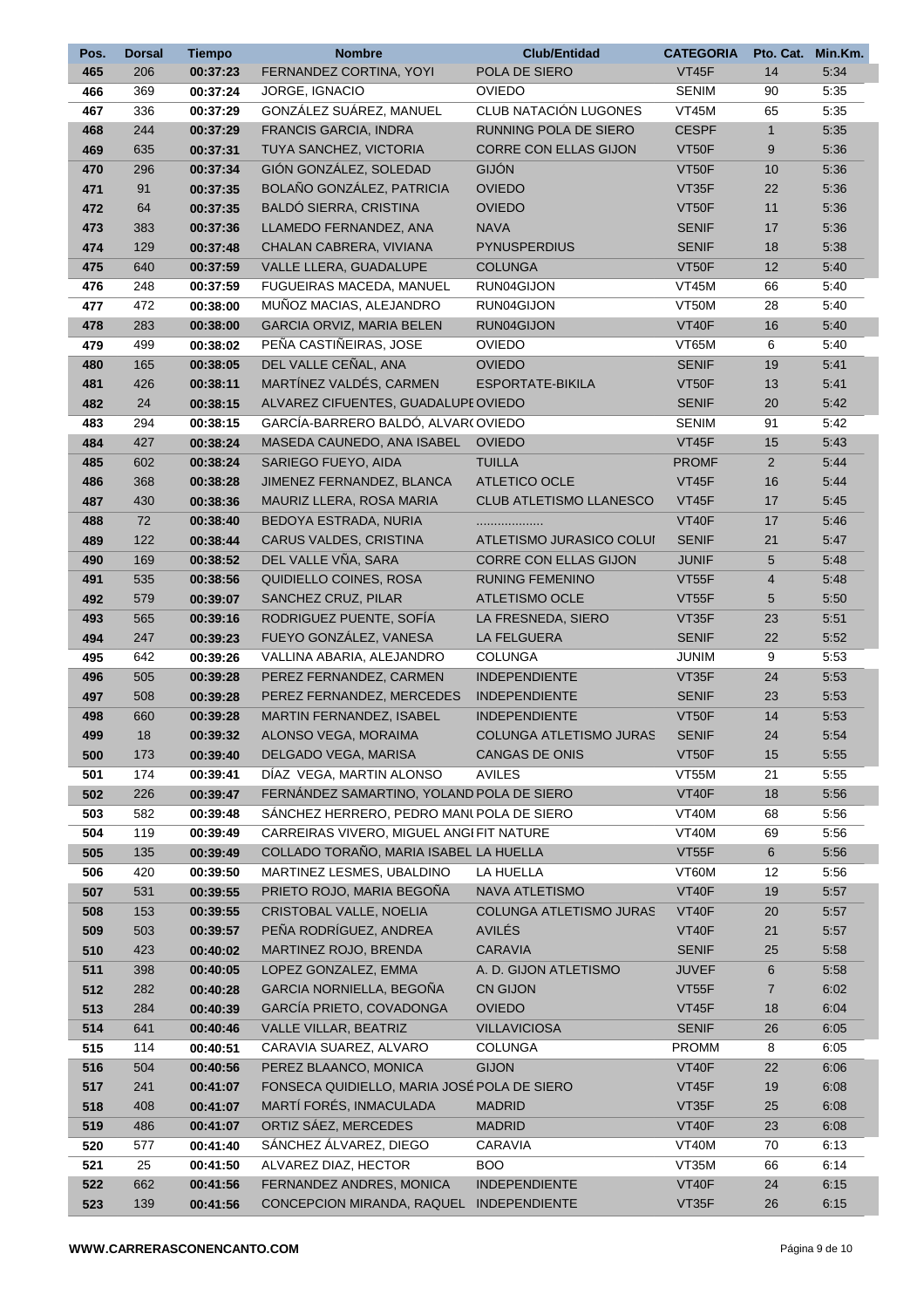| Pos.       | <b>Dorsal</b> | <b>Tiempo</b>                                              | <b>Nombre</b>                                                              | <b>Club/Entidad</b><br><b>CATEGORIA</b> |              |                | Pto. Cat. Min.Km. |
|------------|---------------|------------------------------------------------------------|----------------------------------------------------------------------------|-----------------------------------------|--------------|----------------|-------------------|
| 465        | 206           | 00:37:23                                                   | FERNANDEZ CORTINA, YOYI                                                    | POLA DE SIERO                           | VT45F        | 14             | 5:34              |
| 466        | 369           | 00:37:24                                                   | JORGE, IGNACIO                                                             | <b>OVIEDO</b>                           | <b>SENIM</b> | 90             | 5:35              |
| 467        | 336           | 00:37:29                                                   | GONZÁLEZ SUÁREZ, MANUEL                                                    | CLUB NATACIÓN LUGONES                   | <b>VT45M</b> | 65             | 5:35              |
| 468        | 244           | 00:37:29                                                   | <b>FRANCIS GARCIA, INDRA</b>                                               | <b>RUNNING POLA DE SIERO</b>            | <b>CESPF</b> | $\mathbf{1}$   | 5:35              |
| 469        | 635           | 00:37:31                                                   | TUYA SANCHEZ, VICTORIA                                                     | CORRE CON ELLAS GIJON                   | VT50F        | 9              | 5:36              |
| 470        | 296           | 00:37:34                                                   | GIÓN GONZÁLEZ, SOLEDAD                                                     | GIJÓN                                   | VT50F        | $10$           | 5:36              |
| 471        | 91            | 00:37:35                                                   | BOLAÑO GONZÁLEZ, PATRICIA                                                  | <b>OVIEDO</b>                           | VT35F        | 22             | 5:36              |
| 472        | 64            | 00:37:35                                                   | BALDÓ SIERRA, CRISTINA                                                     | <b>OVIEDO</b>                           | VT50F        | 11             | 5:36              |
| 473        | 383           | 00:37:36                                                   | LLAMEDO FERNANDEZ. ANA                                                     | <b>NAVA</b>                             | <b>SENIF</b> | 17             | 5:36              |
| 474        | 129           | 00:37:48                                                   | CHALAN CABRERA, VIVIANA                                                    | <b>PYNUSPERDIUS</b>                     | <b>SENIF</b> | 18             | 5:38              |
| 475        | 640           | 00:37:59                                                   | VALLE LLERA, GUADALUPE                                                     | <b>COLUNGA</b>                          | VT50F        | 12             | 5:40              |
| 476        | 248           | 00:37:59                                                   | FUGUEIRAS MACEDA, MANUEL                                                   | RUN04GIJON                              | VT45M        | 66             | 5:40              |
| 477        | 472           | 00:38:00                                                   | MUÑOZ MACIAS, ALEJANDRO                                                    | RUN04GIJON<br>VT50M                     |              | 28             | 5:40              |
| 478        | 283           | 00:38:00                                                   | GARCIA ORVIZ, MARIA BELEN                                                  | RUN04GIJON                              | VT40F        | 16             | 5:40              |
| 479        | 499           | 00:38:02                                                   | PEÑA CASTIÑEIRAS, JOSE                                                     | <b>OVIEDO</b>                           | VT65M        | 6              | 5:40              |
| 480        | 165           | 00:38:05                                                   | DEL VALLE CEÑAL, ANA                                                       | <b>OVIEDO</b>                           | <b>SENIF</b> | 19             | 5:41              |
| 481        | 426           | 00:38:11                                                   | MARTÍNEZ VALDÉS, CARMEN                                                    | <b>ESPORTATE-BIKILA</b>                 | VT50F        | 13             | 5:41              |
| 482        | 24            | 00:38:15                                                   | ALVAREZ CIFUENTES, GUADALUPE OVIEDO                                        |                                         | <b>SENIF</b> | 20             | 5:42              |
| 483        | 294           | 00:38:15                                                   | GARCÍA-BARRERO BALDÓ, ALVARI OVIEDO                                        |                                         | <b>SENIM</b> | 91             | 5:42              |
| 484        | 427           | 00:38:24                                                   | MASEDA CAUNEDO, ANA ISABEL                                                 | <b>OVIEDO</b>                           | VT45F        | 15             | 5:43              |
| 485        | 602           | 00:38:24                                                   | SARIEGO FUEYO, AIDA                                                        | <b>TUILLA</b>                           | <b>PROMF</b> | $\overline{2}$ | 5:44              |
| 486        | 368           | 00:38:28                                                   | JIMENEZ FERNANDEZ, BLANCA                                                  | <b>ATLETICO OCLE</b>                    | <b>VT45F</b> | 16             | 5:44              |
| 487        | 430           | 00:38:36                                                   | MAURIZ LLERA, ROSA MARIA                                                   | CLUB ATLETISMO LLANESCO                 | VT45F        | 17             | 5:45              |
| 488        | 72            | 00:38:40                                                   | BEDOYA ESTRADA, NURIA                                                      | .                                       | <b>VT40F</b> | 17             | 5:46              |
| 489        | 122           | 00:38:44                                                   | CARUS VALDES, CRISTINA                                                     | ATLETISMO JURASICO COLUI                | <b>SENIF</b> | 21             | 5:47              |
| 490        | 169           | 00:38:52                                                   | DEL VALLE VÑA, SARA                                                        | <b>CORRE CON ELLAS GIJON</b>            | <b>JUNIF</b> | 5              | 5:48              |
| 491        | 535           | 00:38:56                                                   | QUIDIELLO COINES, ROSA                                                     | <b>RUNING FEMENINO</b>                  | VT55F        | 4              | 5:48              |
| 492        | 579           | 00:39:07                                                   | SANCHEZ CRUZ, PILAR                                                        | <b>ATLETISMO OCLE</b>                   | VT55F        | 5              | 5:50              |
| 493        | 565           | 00:39:16                                                   | RODRIGUEZ PUENTE, SOFÍA                                                    | LA FRESNEDA, SIERO                      | VT35F        | 23             | 5:51              |
| 494        | 247           | 00:39:23                                                   | FUEYO GONZÁLEZ, VANESA                                                     | LA FELGUERA                             | <b>SENIF</b> | 22             | 5:52              |
| 495        | 642           | 00:39:26                                                   | VALLINA ABARIA, ALEJANDRO                                                  | <b>COLUNGA</b>                          | <b>JUNIM</b> | 9              | 5:53              |
| 496        | 505           | 00:39:28                                                   | PEREZ FERNANDEZ, CARMEN                                                    | <b>INDEPENDIENTE</b>                    | VT35F        | 24             | 5:53              |
| 497        | 508           | 00:39:28                                                   | PEREZ FERNANDEZ, MERCEDES                                                  | <b>INDEPENDIENTE</b>                    | <b>SENIF</b> | 23             | 5:53              |
| 498        | 660           | 00:39:28                                                   | MARTIN FERNANDEZ, ISABEL                                                   | <b>INDEPENDIENTE</b>                    | VT50F        | 14             | 5:53              |
| 499        | 18            | 00:39:32                                                   | ALONSO VEGA, MORAIMA                                                       | <b>COLUNGA ATLETISMO JURAS</b>          | <b>SENIF</b> | 24             | 5:54              |
| 500        | 173           | 00:39:40                                                   | DELGADO VEGA, MARISA                                                       | <b>CANGAS DE ONIS</b>                   | VT50F        | 15             | 5:55              |
| 501        | 174           | 00:39:41                                                   | DÍAZ VEGA, MARTIN ALONSO                                                   | <b>AVILES</b>                           | VT55M        | 21             | 5:55              |
| 502        | 226           | 00:39:47                                                   | FERNÁNDEZ SAMARTINO, YOLAND POLA DE SIERO                                  |                                         | VT40F        | 18             | 5:56              |
| 503        | 582           | 00:39:48                                                   | SÁNCHEZ HERRERO, PEDRO MANI POLA DE SIERO                                  |                                         | VT40M        | 68             | 5:56              |
| 504        | 119           | 00:39:49                                                   | CARREIRAS VIVERO, MIGUEL ANGI FIT NATURE                                   |                                         | VT40M        | 69             | 5:56              |
| 505        | 135           | 00:39:49                                                   | COLLADO TORAÑO, MARIA ISABEL LA HUELLA                                     |                                         | VT55F        | 6              | 5:56              |
| 506        | 420           | 00:39:50                                                   | MARTINEZ LESMES, UBALDINO                                                  | LA HUELLA                               | VT60M        | 12             | 5:56              |
| 507        | 531           | 00:39:55                                                   | PRIETO ROJO, MARIA BEGOÑA                                                  | NAVA ATLETISMO                          | VT40F        | 19             | 5:57              |
| 508        | 153           | 00:39:55                                                   | CRISTOBAL VALLE, NOELIA                                                    | COLUNGA ATLETISMO JURAS                 | VT40F        | 20             | 5:57              |
| 509        | 503           | 00:39:57                                                   | PEÑA RODRÍGUEZ, ANDREA                                                     | AVILÉS                                  | VT40F        | 21             | 5:57              |
| 510        | 423           | 00:40:02                                                   | MARTINEZ ROJO, BRENDA                                                      | <b>CARAVIA</b>                          | <b>SENIF</b> | 25             | 5:58              |
| 511        | 398           | 00:40:05                                                   | LOPEZ GONZALEZ, EMMA                                                       | A. D. GIJON ATLETISMO                   | <b>JUVEF</b> | 6              | 5:58              |
| 512        | 282           | 00:40:28                                                   | GARCIA NORNIELLA, BEGOÑA                                                   | <b>CN GIJON</b>                         | VT55F        | 7              | 6:02              |
| 513        | 284           | 00:40:39                                                   | GARCÍA PRIETO, COVADONGA                                                   | <b>OVIEDO</b>                           | VT45F        | 18             | 6:04              |
| 514        | 641           | 00:40:46                                                   | VALLE VILLAR, BEATRIZ                                                      | <b>VILLAVICIOSA</b>                     | <b>SENIF</b> | 26             | 6:05              |
| 515        | 114           | 00:40:51                                                   | CARAVIA SUAREZ, ALVARO                                                     | <b>COLUNGA</b>                          | PROMM        | 8              | 6:05              |
| 516        | 504           | 00:40:56                                                   | PEREZ BLAANCO, MONICA                                                      | <b>GIJON</b>                            | VT40F        | 22             | 6:06              |
| 517        | 241           | 00:41:07                                                   | FONSECA QUIDIELLO, MARIA JOSÉ POLA DE SIERO                                |                                         | <b>VT45F</b> | 19             | 6:08              |
| 518        | 408           | 00:41:07                                                   | MARTÍ FORÉS, INMACULADA                                                    | <b>MADRID</b>                           | VT35F        | 25             | 6:08              |
|            | 486           |                                                            |                                                                            |                                         | VT40F        | 23             | 6:08              |
| 519<br>520 | 577           | 00:41:07                                                   | ORTIZ SÁEZ, MERCEDES<br><b>MADRID</b><br>SÁNCHEZ ÁLVAREZ, DIEGO<br>CARAVIA |                                         | VT40M        | 70             | 6:13              |
|            | 25            | 00:41:40<br>ALVAREZ DIAZ, HECTOR<br><b>BOO</b><br>00:41:50 |                                                                            | VT35M                                   |              | 6:14           |                   |
| 521        |               | FERNANDEZ ANDRES, MONICA<br><b>INDEPENDIENTE</b>           |                                                                            |                                         | 66           |                |                   |
| 522        | 662           | 00:41:56                                                   |                                                                            |                                         | VT40F        | 24             | 6:15              |
| 523        | 139           | 00:41:56                                                   | CONCEPCION MIRANDA, RAQUEL INDEPENDIENTE                                   |                                         | VT35F        | 26             | 6:15              |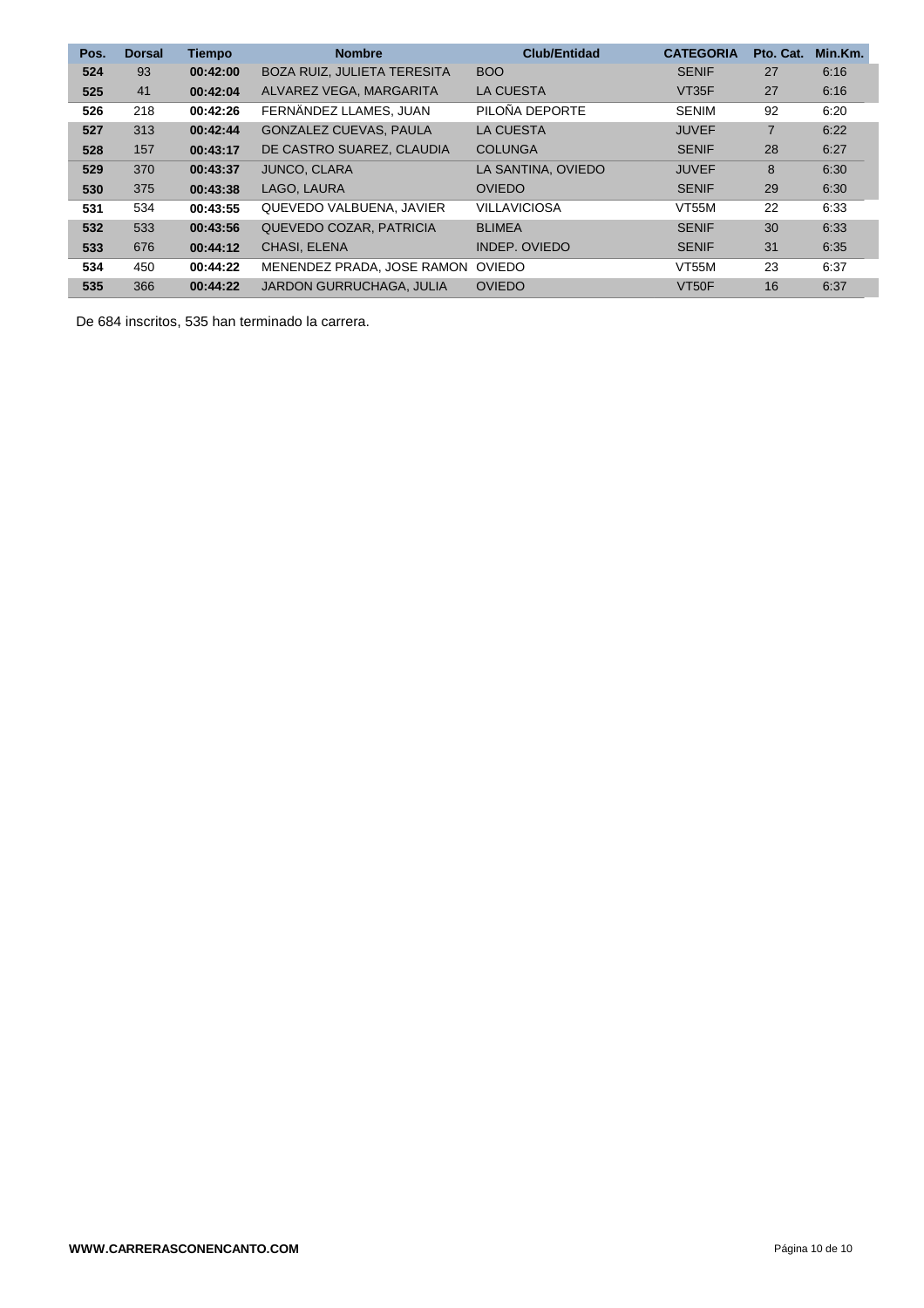| Pos. | <b>Dorsal</b> | <b>Tiempo</b> | <b>Nombre</b>                   | <b>Club/Entidad</b> | <b>CATEGORIA</b> | Pto. Cat.      | Min.Km. |
|------|---------------|---------------|---------------------------------|---------------------|------------------|----------------|---------|
| 524  | 93            | 00:42:00      | BOZA RUIZ, JULIETA TERESITA     | <b>BOO</b>          | <b>SENIF</b>     | 27             | 6:16    |
| 525  | 41            | 00:42:04      | ALVAREZ VEGA, MARGARITA         | <b>LA CUESTA</b>    | VT35F            | 27             | 6:16    |
| 526  | 218           | 00:42:26      | FERNÄNDEZ LLAMES, JUAN          | PILOÑA DEPORTE      | <b>SENIM</b>     | 92             | 6:20    |
| 527  | 313           | 00:42:44      | <b>GONZALEZ CUEVAS, PAULA</b>   | <b>LA CUESTA</b>    | <b>JUVEF</b>     | $\overline{7}$ | 6:22    |
| 528  | 157           | 00:43:17      | DE CASTRO SUAREZ, CLAUDIA       | <b>COLUNGA</b>      | <b>SENIF</b>     | 28             | 6:27    |
| 529  | 370           | 00:43:37      | <b>JUNCO, CLARA</b>             | LA SANTINA, OVIEDO  | <b>JUVEF</b>     | 8              | 6:30    |
| 530  | 375           | 00:43:38      | LAGO. LAURA                     | <b>OVIEDO</b>       | <b>SENIF</b>     | 29             | 6:30    |
| 531  | 534           | 00:43:55      | QUEVEDO VALBUENA, JAVIER        | <b>VILLAVICIOSA</b> | VT55M            | 22             | 6:33    |
| 532  | 533           | 00:43:56      | QUEVEDO COZAR, PATRICIA         | <b>BLIMEA</b>       | <b>SENIF</b>     | 30             | 6:33    |
| 533  | 676           | 00:44:12      | <b>CHASI, ELENA</b>             | INDEP. OVIEDO       | <b>SENIF</b>     | 31             | 6:35    |
| 534  | 450           | 00:44:22      | MENENDEZ PRADA, JOSE RAMON      | OVIEDO              | VT55M            | 23             | 6:37    |
| 535  | 366           | 00:44:22      | <b>JARDON GURRUCHAGA, JULIA</b> | <b>OVIEDO</b>       | VT50F            | 16             | 6:37    |

De 684 inscritos, 535 han terminado la carrera.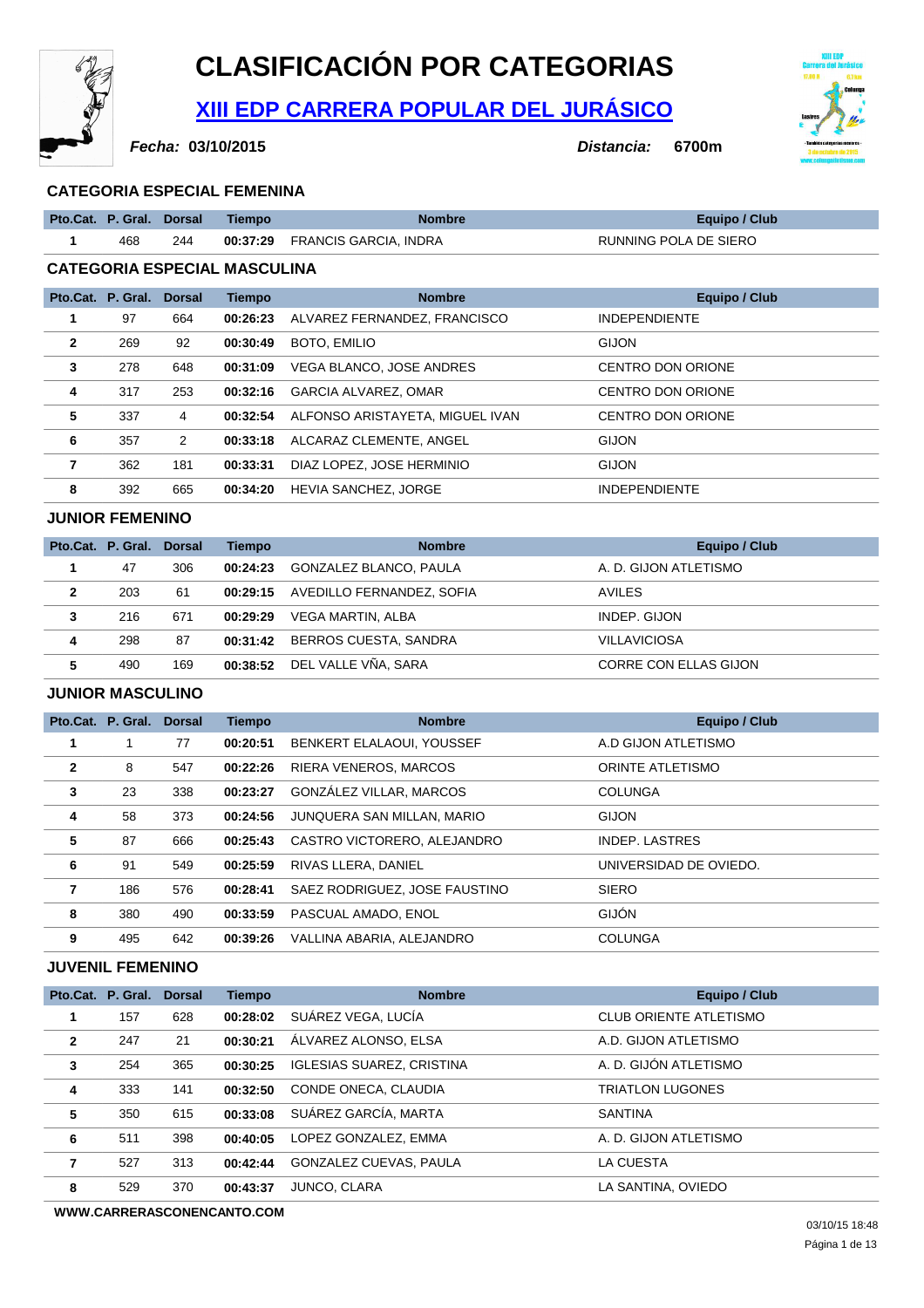

## **CLASIFICACIÓN POR CATEGORIAS**

## **XIII EDP CARRERA POPULAR DEL JURÁSICO**

**Fecha:**

**03/10/2015 Distancia: 6700m**



#### **CATEGORIA ESPECIAL FEMENINA**

|              | Pto.Cat. P. Gral.                   | <b>Dorsal</b> | <b>Tiempo</b> | <b>Nombre</b>                   | Equipo / Club            |  |  |  |  |  |
|--------------|-------------------------------------|---------------|---------------|---------------------------------|--------------------------|--|--|--|--|--|
| 1            | 468                                 | 244           | 00:37:29      | <b>FRANCIS GARCIA, INDRA</b>    | RUNNING POLA DE SIERO    |  |  |  |  |  |
|              | <b>CATEGORIA ESPECIAL MASCULINA</b> |               |               |                                 |                          |  |  |  |  |  |
|              | Pto.Cat. P. Gral. Dorsal            |               | <b>Tiempo</b> | <b>Nombre</b>                   | Equipo / Club            |  |  |  |  |  |
|              | 97                                  | 664           | 00:26:23      | ALVAREZ FERNANDEZ, FRANCISCO    | <b>INDEPENDIENTE</b>     |  |  |  |  |  |
| $\mathbf{2}$ | 269                                 | 92            | 00:30:49      | <b>BOTO, EMILIO</b>             | <b>GIJON</b>             |  |  |  |  |  |
| 3            | 278                                 | 648           | 00:31:09      | VEGA BLANCO, JOSE ANDRES        | CENTRO DON ORIONE        |  |  |  |  |  |
| 4            | 317                                 | 253           | 00:32:16      | GARCIA ALVAREZ, OMAR            | CENTRO DON ORIONE        |  |  |  |  |  |
| 5            | 337                                 | 4             | 00:32:54      | ALFONSO ARISTAYETA, MIGUEL IVAN | <b>CENTRO DON ORIONE</b> |  |  |  |  |  |
| 6            | 357                                 | 2             | 00:33:18      | ALCARAZ CLEMENTE, ANGEL         | <b>GIJON</b>             |  |  |  |  |  |
| 7            | 362                                 | 181           | 00:33:31      | DIAZ LOPEZ, JOSE HERMINIO       | <b>GIJON</b>             |  |  |  |  |  |
| 8            | 392                                 | 665           | 00:34:20      | HEVIA SANCHEZ, JORGE            | <b>INDEPENDIENTE</b>     |  |  |  |  |  |

#### **JUNIOR FEMENINO**

|              | Pto.Cat. P. Gral. Dorsal |     | Tiempo   | <b>Nombre</b>             | Equipo / Club                |
|--------------|--------------------------|-----|----------|---------------------------|------------------------------|
|              | 47                       | 306 | 00:24:23 | GONZALEZ BLANCO, PAULA    | A. D. GIJON ATLETISMO        |
| $\mathbf{2}$ | 203                      | 61  | 00:29:15 | AVEDILLO FERNANDEZ, SOFIA | AVILES                       |
| 3            | 216                      | 671 | 00:29:29 | VEGA MARTIN, ALBA         | INDEP. GIJON                 |
| 4            | 298                      | 87  | 00:31:42 | BERROS CUESTA, SANDRA     | <b>VILLAVICIOSA</b>          |
| 5            | 490                      | 169 | 00:38:52 | DEL VALLE VÑA, SARA       | <b>CORRE CON ELLAS GIJON</b> |

#### **JUNIOR MASCULINO**

|                | Pto.Cat. P. Gral. Dorsal |     | <b>Tiempo</b> | <b>Nombre</b>                 | <b>Equipo / Club</b>   |  |
|----------------|--------------------------|-----|---------------|-------------------------------|------------------------|--|
| 1              |                          | 77  | 00:20:51      | BENKERT ELALAOUI, YOUSSEF     | A.D GIJON ATLETISMO    |  |
| $\overline{2}$ | 8                        | 547 | 00:22:26      | RIERA VENEROS, MARCOS         | ORINTE ATLETISMO       |  |
| 3              | 23                       | 338 | 00:23:27      | GONZÁLEZ VILLAR, MARCOS       | <b>COLUNGA</b>         |  |
| 4              | 58                       | 373 | 00:24:56      | JUNQUERA SAN MILLAN, MARIO    | <b>GIJON</b>           |  |
| 5              | 87                       | 666 | 00:25:43      | CASTRO VICTORERO, ALEJANDRO   | INDEP. LASTRES         |  |
| 6              | 91                       | 549 | 00:25:59      | RIVAS LLERA, DANIEL           | UNIVERSIDAD DE OVIEDO. |  |
| $\overline{7}$ | 186                      | 576 | 00:28:41      | SAEZ RODRIGUEZ, JOSE FAUSTINO | <b>SIERO</b>           |  |
| 8              | 380                      | 490 | 00:33:59      | PASCUAL AMADO, ENOL           | <b>GIJÓN</b>           |  |
| 9              | 495                      | 642 | 00:39:26      | VALLINA ABARIA, ALEJANDRO     | <b>COLUNGA</b>         |  |

### **JUVENIL FEMENINO**

|              | Pto.Cat. P. Gral. Dorsal |     | <b>Tiempo</b> | <b>Nombre</b>                    | Equipo / Club                 |
|--------------|--------------------------|-----|---------------|----------------------------------|-------------------------------|
| 1            | 157                      | 628 | 00:28:02      | SUÁREZ VEGA, LUCÍA               | <b>CLUB ORIENTE ATLETISMO</b> |
| $\mathbf{2}$ | 247                      | 21  | 00:30:21      | ALVAREZ ALONSO, ELSA             | A.D. GIJON ATLETISMO          |
| 3            | 254                      | 365 | 00:30:25      | <b>IGLESIAS SUAREZ, CRISTINA</b> | A. D. GIJÓN ATLETISMO         |
| 4            | 333                      | 141 | 00:32:50      | CONDE ONECA, CLAUDIA             | <b>TRIATLON LUGONES</b>       |
| 5            | 350                      | 615 | 00:33:08      | SUÁREZ GARCÍA, MARTA             | <b>SANTINA</b>                |
| 6            | 511                      | 398 | 00:40:05      | LOPEZ GONZALEZ. EMMA             | A. D. GIJON ATLETISMO         |
|              | 527                      | 313 | 00:42:44      | GONZALEZ CUEVAS, PAULA           | LA CUESTA                     |
| 8            | 529                      | 370 | 00:43:37      | <b>JUNCO, CLARA</b>              | LA SANTINA, OVIEDO            |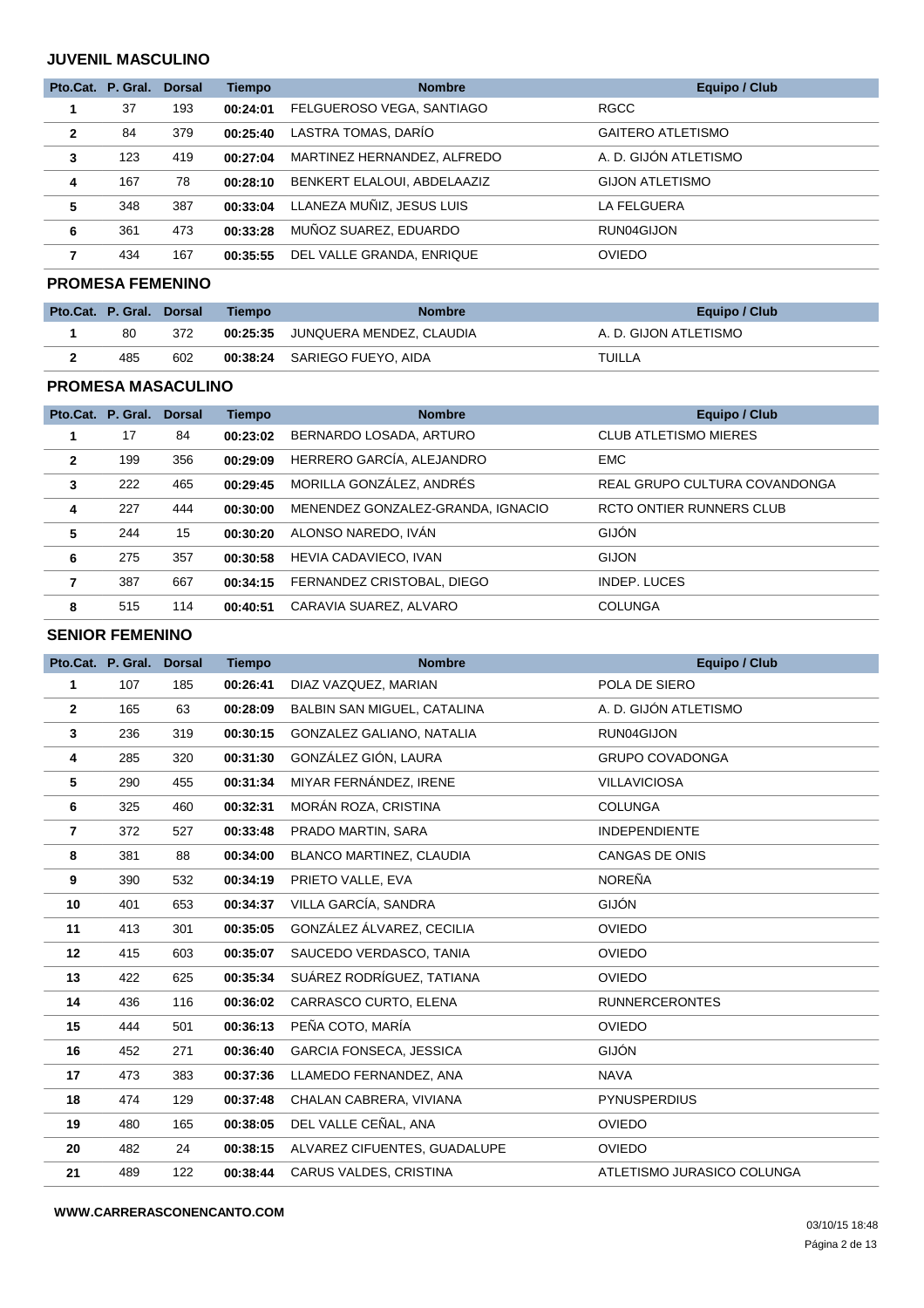#### **JUVENIL MASCULINO**

|                | Pto.Cat. P. Gral. | <b>Dorsal</b> | <b>Tiempo</b> | <b>Nombre</b>               | <b>Equipo / Club</b>     |  |
|----------------|-------------------|---------------|---------------|-----------------------------|--------------------------|--|
|                | 37                | 193           | 00:24:01      | FELGUEROSO VEGA, SANTIAGO   | <b>RGCC</b>              |  |
| $\overline{2}$ | 84                | 379           | 00:25:40      | LASTRA TOMAS, DARÍO         | <b>GAITERO ATLETISMO</b> |  |
| 3              | 123               | 419           | 00:27:04      | MARTINEZ HERNANDEZ, ALFREDO | A. D. GIJÓN ATLETISMO    |  |
| 4              | 167               | 78            | 00:28:10      | BENKERT ELALOUI, ABDELAAZIZ | <b>GIJON ATLETISMO</b>   |  |
| 5              | 348               | 387           | 00:33:04      | LLANEZA MUÑIZ, JESUS LUIS   | LA FELGUERA              |  |
| 6              | 361               | 473           | 00:33:28      | MUÑOZ SUAREZ, EDUARDO       | RUN04GIJON               |  |
| 7              | 434               | 167           | 00:35:55      | DEL VALLE GRANDA, ENRIQUE   | <b>OVIEDO</b>            |  |

### **PROMESA FEMENINO**

| Pto.Cat. P. Gral. Dorsal |     | <b>Tiempo</b> | Equipo / Club<br><b>Nombre</b>    |                       |
|--------------------------|-----|---------------|-----------------------------------|-----------------------|
| 80                       | 372 |               | 00:25:35 JUNQUERA MENDEZ, CLAUDIA | A. D. GIJON ATLETISMO |
| 485                      | 602 |               | 00:38:24 SARIEGO FUEYO, AIDA      | TUILLA                |

#### **PROMESA MASACULINO**

|              | Pto.Cat. P. Gral. Dorsal |     | <b>Tiempo</b> | <b>Nombre</b><br><b>Equipo / Club</b>                   |                                 |  |
|--------------|--------------------------|-----|---------------|---------------------------------------------------------|---------------------------------|--|
|              | 17                       | 84  | 00:23:02      | <b>CLUB ATLETISMO MIERES</b><br>BERNARDO LOSADA, ARTURO |                                 |  |
| $\mathbf{2}$ | 199                      | 356 | 00:29:09      | HERRERO GARCÍA, ALEJANDRO                               | <b>EMC</b>                      |  |
| 3            | 222                      | 465 | 00:29:45      | MORILLA GONZÁLEZ, ANDRÉS                                | REAL GRUPO CULTURA COVANDONGA   |  |
| 4            | 227                      | 444 | 00:30:00      | MENENDEZ GONZALEZ-GRANDA, IGNACIO                       | <b>RCTO ONTIER RUNNERS CLUB</b> |  |
| 5            | 244                      | 15  | 00:30:20      | ALONSO NAREDO, IVÁN                                     | <b>GIJÓN</b>                    |  |
| 6            | 275                      | 357 | 00:30:58      | HEVIA CADAVIECO, IVAN                                   | <b>GIJON</b>                    |  |
| 7            | 387                      | 667 | 00:34:15      | FERNANDEZ CRISTOBAL, DIEGO                              | INDEP. LUCES                    |  |
| 8            | 515                      | 114 | 00:40:51      | CARAVIA SUAREZ, ALVARO                                  | <b>COLUNGA</b>                  |  |

#### **SENIOR FEMENINO**

|              | Pto.Cat. P. Gral. | <b>Dorsal</b> | <b>Tiempo</b> | <b>Nombre</b>                  | <b>Equipo / Club</b>       |
|--------------|-------------------|---------------|---------------|--------------------------------|----------------------------|
| 1            | 107               | 185           | 00:26:41      | DIAZ VAZQUEZ, MARIAN           | POLA DE SIERO              |
| $\mathbf{2}$ | 165               | 63            | 00:28:09      | BALBIN SAN MIGUEL, CATALINA    | A. D. GIJÓN ATLETISMO      |
| 3            | 236               | 319           | 00:30:15      | GONZALEZ GALIANO, NATALIA      | RUN04GIJON                 |
| 4            | 285               | 320           | 00:31:30      | GONZÁLEZ GIÓN, LAURA           | <b>GRUPO COVADONGA</b>     |
| 5            | 290               | 455           | 00:31:34      | MIYAR FERNÁNDEZ, IRENE         | <b>VILLAVICIOSA</b>        |
| 6            | 325               | 460           | 00:32:31      | MORÁN ROZA, CRISTINA           | <b>COLUNGA</b>             |
| 7            | 372               | 527           | 00:33:48      | PRADO MARTIN, SARA             | <b>INDEPENDIENTE</b>       |
| 8            | 381               | 88            | 00:34:00      | BLANCO MARTINEZ, CLAUDIA       | <b>CANGAS DE ONIS</b>      |
| 9            | 390               | 532           | 00:34:19      | PRIETO VALLE, EVA              | NOREÑA                     |
| 10           | 401               | 653           | 00:34:37      | VILLA GARCÍA, SANDRA           | GIJÓN                      |
| 11           | 413               | 301           | 00:35:05      | GONZÁLEZ ÁLVAREZ, CECILIA      | <b>OVIEDO</b>              |
| 12           | 415               | 603           | 00:35:07      | SAUCEDO VERDASCO, TANIA        | <b>OVIEDO</b>              |
| 13           | 422               | 625           | 00:35:34      | SUÁREZ RODRÍGUEZ, TATIANA      | <b>OVIEDO</b>              |
| 14           | 436               | 116           | 00:36:02      | CARRASCO CURTO, ELENA          | <b>RUNNERCERONTES</b>      |
| 15           | 444               | 501           | 00:36:13      | PEÑA COTO, MARÍA               | <b>OVIEDO</b>              |
| 16           | 452               | 271           | 00:36:40      | <b>GARCIA FONSECA, JESSICA</b> | <b>GIJÓN</b>               |
| 17           | 473               | 383           | 00:37:36      | LLAMEDO FERNANDEZ, ANA         | <b>NAVA</b>                |
| 18           | 474               | 129           | 00:37:48      | CHALAN CABRERA, VIVIANA        | PYNUSPERDIUS               |
| 19           | 480               | 165           | 00:38:05      | DEL VALLE CEÑAL, ANA           | <b>OVIEDO</b>              |
| 20           | 482               | 24            | 00:38:15      | ALVAREZ CIFUENTES, GUADALUPE   | <b>OVIEDO</b>              |
| 21           | 489               | 122           | 00:38:44      | CARUS VALDES, CRISTINA         | ATLETISMO JURASICO COLUNGA |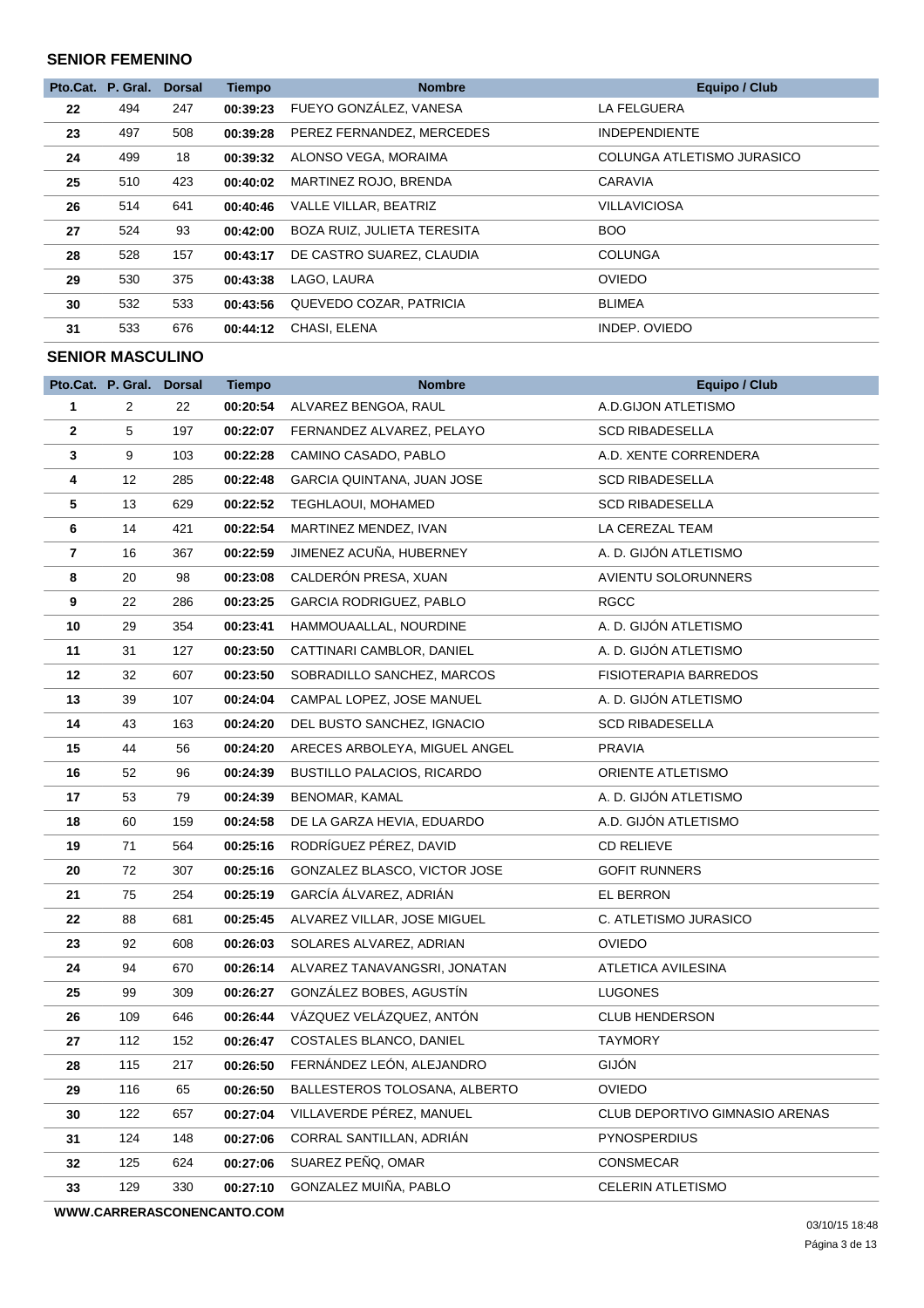#### **SENIOR FEMENINO**

|    | Pto.Cat. P. Gral. | <b>Dorsal</b> | <b>Tiempo</b> | <b>Nombre</b>                      | <b>Equipo / Club</b>       |  |
|----|-------------------|---------------|---------------|------------------------------------|----------------------------|--|
| 22 | 494               | 247           | 00:39:23      | FUEYO GONZÁLEZ, VANESA             | LA FELGUERA                |  |
| 23 | 497               | 508           | 00:39:28      | PEREZ FERNANDEZ, MERCEDES          | <b>INDEPENDIENTE</b>       |  |
| 24 | 499               | 18            | 00:39:32      | ALONSO VEGA, MORAIMA               | COLUNGA ATLETISMO JURASICO |  |
| 25 | 510               | 423           | 00:40:02      | MARTINEZ ROJO, BRENDA              | CARAVIA                    |  |
| 26 | 514               | 641           | 00:40:46      | VALLE VILLAR, BEATRIZ              | <b>VILLAVICIOSA</b>        |  |
| 27 | 524               | 93            | 00:42:00      | <b>BOZA RUIZ, JULIETA TERESITA</b> | <b>BOO</b>                 |  |
| 28 | 528               | 157           | 00:43:17      | DE CASTRO SUAREZ, CLAUDIA          | <b>COLUNGA</b>             |  |
| 29 | 530               | 375           | 00:43:38      | LAGO. LAURA                        | <b>OVIEDO</b>              |  |
| 30 | 532               | 533           | 00:43:56      | QUEVEDO COZAR, PATRICIA            | <b>BLIMEA</b>              |  |
| 31 | 533               | 676           | 00:44:12      | CHASI, ELENA                       | INDEP. OVIEDO              |  |

### **SENIOR MASCULINO**

|              | Pto.Cat. P. Gral. Dorsal |     | <b>Tiempo</b> | <b>Nombre</b>                     | <b>Equipo / Club</b>           |  |
|--------------|--------------------------|-----|---------------|-----------------------------------|--------------------------------|--|
| $\mathbf{1}$ | 2                        | 22  | 00:20:54      | ALVAREZ BENGOA, RAUL              | A.D.GIJON ATLETISMO            |  |
| 2            | 5                        | 197 | 00:22:07      | FERNANDEZ ALVAREZ, PELAYO         | <b>SCD RIBADESELLA</b>         |  |
| 3            | 9                        | 103 | 00:22:28      | CAMINO CASADO, PABLO              | A.D. XENTE CORRENDERA          |  |
| 4            | 12                       | 285 | 00:22:48      | GARCIA QUINTANA, JUAN JOSE        | <b>SCD RIBADESELLA</b>         |  |
| 5            | 13                       | 629 | 00:22:52      | TEGHLAOUI, MOHAMED                | <b>SCD RIBADESELLA</b>         |  |
| 6            | 14                       | 421 | 00:22:54      | MARTINEZ MENDEZ, IVAN             | LA CEREZAL TEAM                |  |
| 7            | 16                       | 367 | 00:22:59      | JIMENEZ ACUÑA, HUBERNEY           | A. D. GIJÓN ATLETISMO          |  |
| 8            | 20                       | 98  | 00:23:08      | CALDERÓN PRESA, XUAN              | AVIENTU SOLORUNNERS            |  |
| 9            | 22                       | 286 | 00:23:25      | <b>GARCIA RODRIGUEZ, PABLO</b>    | <b>RGCC</b>                    |  |
| 10           | 29                       | 354 | 00:23:41      | HAMMOUAALLAL, NOURDINE            | A. D. GIJÓN ATLETISMO          |  |
| 11           | 31                       | 127 | 00:23:50      | CATTINARI CAMBLOR, DANIEL         | A. D. GIJÓN ATLETISMO          |  |
| 12           | 32                       | 607 | 00:23:50      | SOBRADILLO SANCHEZ, MARCOS        | <b>FISIOTERAPIA BARREDOS</b>   |  |
| 13           | 39                       | 107 | 00:24:04      | CAMPAL LOPEZ, JOSE MANUEL         | A. D. GIJÓN ATLETISMO          |  |
| 14           | 43                       | 163 | 00:24:20      | DEL BUSTO SANCHEZ, IGNACIO        | <b>SCD RIBADESELLA</b>         |  |
| 15           | 44                       | 56  | 00:24:20      | ARECES ARBOLEYA, MIGUEL ANGEL     | PRAVIA                         |  |
| 16           | 52                       | 96  | 00:24:39      | <b>BUSTILLO PALACIOS, RICARDO</b> | <b>ORIENTE ATLETISMO</b>       |  |
| 17           | 53                       | 79  | 00:24:39      | <b>BENOMAR, KAMAL</b>             | A. D. GIJÓN ATLETISMO          |  |
| 18           | 60                       | 159 | 00:24:58      | DE LA GARZA HEVIA, EDUARDO        | A.D. GIJÓN ATLETISMO           |  |
| 19           | 71                       | 564 | 00:25:16      | RODRÍGUEZ PÉREZ, DAVID            | <b>CD RELIEVE</b>              |  |
| 20           | 72                       | 307 | 00:25:16      | GONZALEZ BLASCO, VICTOR JOSE      | <b>GOFIT RUNNERS</b>           |  |
| 21           | 75                       | 254 | 00:25:19      | GARCÍA ÁLVAREZ, ADRIÁN            | EL BERRON                      |  |
| 22           | 88                       | 681 | 00:25:45      | ALVAREZ VILLAR, JOSE MIGUEL       | C. ATLETISMO JURASICO          |  |
| 23           | 92                       | 608 | 00:26:03      | SOLARES ALVAREZ, ADRIAN           | <b>OVIEDO</b>                  |  |
| 24           | 94                       | 670 | 00:26:14      | ALVAREZ TANAVANGSRI, JONATAN      | ATLETICA AVILESINA             |  |
| 25           | 99                       | 309 | 00:26:27      | GONZÁLEZ BOBES, AGUSTÍN           | <b>LUGONES</b>                 |  |
| 26           | 109                      | 646 | 00:26:44      | VÁZQUEZ VELÁZQUEZ, ANTÓN          | <b>CLUB HENDERSON</b>          |  |
| 27           | 112                      | 152 | 00:26:47      | COSTALES BLANCO, DANIEL           | <b>TAYMORY</b>                 |  |
| 28           | 115                      | 217 | 00:26:50      | FERNÁNDEZ LEÓN, ALEJANDRO         | GIJÓN                          |  |
| 29           | 116                      | 65  | 00:26:50      | BALLESTEROS TOLOSANA, ALBERTO     | <b>OVIEDO</b>                  |  |
| 30           | 122                      | 657 | 00:27:04      | VILLAVERDE PÉREZ, MANUEL          | CLUB DEPORTIVO GIMNASIO ARENAS |  |
| 31           | 124                      | 148 | 00:27:06      | CORRAL SANTILLAN, ADRIÁN          | PYNOSPERDIUS                   |  |
| 32           | 125                      | 624 | 00:27:06      | SUAREZ PEÑQ, OMAR                 | CONSMECAR                      |  |
| 33           | 129                      | 330 | 00:27:10      | GONZALEZ MUIÑA, PABLO             | <b>CELERIN ATLETISMO</b>       |  |
|              |                          |     |               |                                   |                                |  |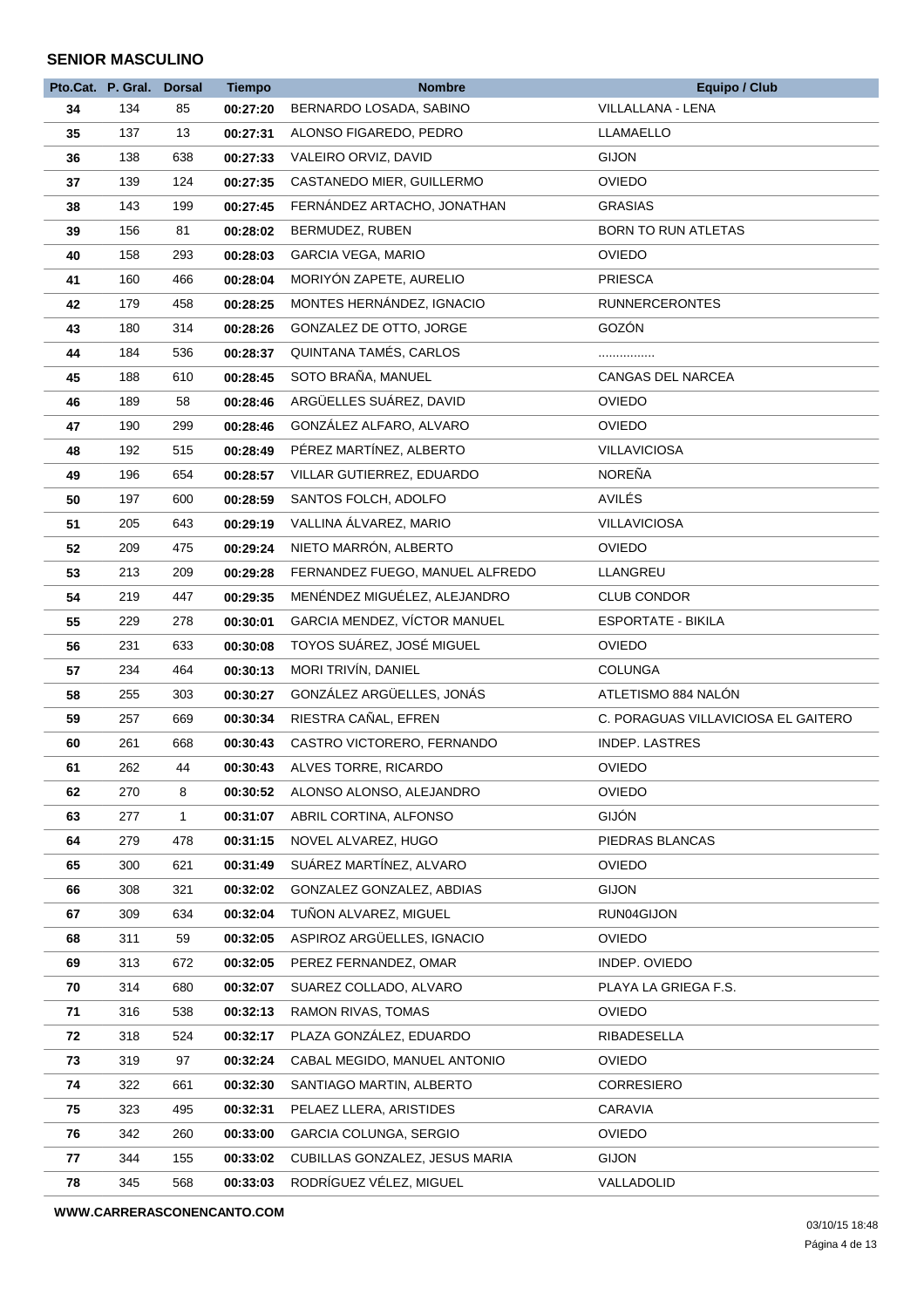#### **SENIOR MASCULINO**

|    | Pto.Cat. P. Gral. | <b>Dorsal</b> | <b>Tiempo</b> | <b>Nombre</b>                   | <b>Equipo / Club</b>                |  |
|----|-------------------|---------------|---------------|---------------------------------|-------------------------------------|--|
| 34 | 134               | 85            | 00:27:20      | BERNARDO LOSADA, SABINO         | VILLALLANA - LENA                   |  |
| 35 | 137               | 13            | 00:27:31      | ALONSO FIGAREDO, PEDRO          | LLAMAELLO                           |  |
| 36 | 138               | 638           | 00:27:33      | VALEIRO ORVIZ, DAVID            | <b>GIJON</b>                        |  |
| 37 | 139               | 124           | 00:27:35      | CASTANEDO MIER, GUILLERMO       | <b>OVIEDO</b>                       |  |
| 38 | 143               | 199           | 00:27:45      | FERNÁNDEZ ARTACHO, JONATHAN     | <b>GRASIAS</b>                      |  |
| 39 | 156               | 81            | 00:28:02      | BERMUDEZ, RUBEN                 | BORN TO RUN ATLETAS                 |  |
| 40 | 158               | 293           | 00:28:03      | <b>GARCIA VEGA, MARIO</b>       | <b>OVIEDO</b>                       |  |
| 41 | 160               | 466           | 00:28:04      | MORIYÓN ZAPETE, AURELIO         | <b>PRIESCA</b>                      |  |
| 42 | 179               | 458           | 00:28:25      | MONTES HERNÁNDEZ, IGNACIO       | <b>RUNNERCERONTES</b>               |  |
| 43 | 180               | 314           | 00:28:26      | GONZALEZ DE OTTO, JORGE         | GOZÓN                               |  |
| 44 | 184               | 536           | 00:28:37      | QUINTANA TAMÉS, CARLOS          |                                     |  |
| 45 | 188               | 610           | 00:28:45      | SOTO BRAÑA, MANUEL              | CANGAS DEL NARCEA                   |  |
| 46 | 189               | 58            | 00:28:46      | ARGÜELLES SUÁREZ, DAVID         | <b>OVIEDO</b>                       |  |
| 47 | 190               | 299           | 00:28:46      | GONZÁLEZ ALFARO, ALVARO         | <b>OVIEDO</b>                       |  |
| 48 | 192               | 515           | 00:28:49      | PÉREZ MARTÍNEZ, ALBERTO         | <b>VILLAVICIOSA</b>                 |  |
| 49 | 196               | 654           | 00:28:57      | VILLAR GUTIERREZ, EDUARDO       | NOREÑA                              |  |
| 50 | 197               | 600           | 00:28:59      | SANTOS FOLCH, ADOLFO            | AVILÉS                              |  |
| 51 | 205               | 643           | 00:29:19      | VALLINA ÁLVAREZ, MARIO          | <b>VILLAVICIOSA</b>                 |  |
| 52 | 209               | 475           | 00:29:24      | NIETO MARRÓN, ALBERTO           | <b>OVIEDO</b>                       |  |
| 53 | 213               | 209           | 00:29:28      | FERNANDEZ FUEGO, MANUEL ALFREDO | LLANGREU                            |  |
| 54 | 219               | 447           | 00:29:35      | MENÉNDEZ MIGUÉLEZ, ALEJANDRO    | <b>CLUB CONDOR</b>                  |  |
| 55 | 229               | 278           | 00:30:01      | GARCIA MENDEZ, VÍCTOR MANUEL    | <b>ESPORTATE - BIKILA</b>           |  |
| 56 | 231               | 633           | 00:30:08      | TOYOS SUÁREZ, JOSÉ MIGUEL       | <b>OVIEDO</b>                       |  |
| 57 | 234               | 464           | 00:30:13      | MORI TRIVÍN, DANIEL             | <b>COLUNGA</b>                      |  |
| 58 | 255               | 303           | 00:30:27      | GONZÁLEZ ARGÜELLES, JONÁS       | ATLETISMO 884 NALÓN                 |  |
| 59 | 257               | 669           | 00:30:34      | RIESTRA CAÑAL, EFREN            | C. PORAGUAS VILLAVICIOSA EL GAITERO |  |
| 60 | 261               | 668           | 00:30:43      | CASTRO VICTORERO, FERNANDO      | <b>INDEP. LASTRES</b>               |  |
| 61 | 262               | 44            | 00:30:43      | ALVES TORRE, RICARDO            | <b>OVIEDO</b>                       |  |
| 62 | 270               | 8             | 00:30:52      | ALONSO ALONSO, ALEJANDRO        | <b>OVIEDO</b>                       |  |
| 63 | 277               | $\mathbf{1}$  | 00:31:07      | ABRIL CORTINA, ALFONSO          | <b>GIJÓN</b>                        |  |
| 64 | 279               | 478           | 00:31:15      | NOVEL ALVAREZ, HUGO             | PIEDRAS BLANCAS                     |  |
| 65 | 300               | 621           | 00:31:49      | SUÁREZ MARTÍNEZ, ALVARO         | <b>OVIEDO</b>                       |  |
| 66 | 308               | 321           | 00:32:02      | GONZALEZ GONZALEZ, ABDIAS       | <b>GIJON</b>                        |  |
| 67 | 309               | 634           | 00:32:04      | TUÑON ALVAREZ, MIGUEL           | RUN04GIJON                          |  |
| 68 | 311               | 59            | 00:32:05      | ASPIROZ ARGÜELLES, IGNACIO      | <b>OVIEDO</b>                       |  |
| 69 | 313               | 672           | 00:32:05      | PEREZ FERNANDEZ, OMAR           | INDEP. OVIEDO                       |  |
| 70 | 314               | 680           | 00:32:07      | SUAREZ COLLADO, ALVARO          | PLAYA LA GRIEGA F.S.                |  |
| 71 | 316               | 538           | 00:32:13      | RAMON RIVAS, TOMAS              | <b>OVIEDO</b>                       |  |
| 72 | 318               | 524           | 00:32:17      | PLAZA GONZÁLEZ, EDUARDO         | <b>RIBADESELLA</b>                  |  |
| 73 | 319               | 97            | 00:32:24      | CABAL MEGIDO, MANUEL ANTONIO    | <b>OVIEDO</b>                       |  |
| 74 | 322               | 661           | 00:32:30      | SANTIAGO MARTIN, ALBERTO        | <b>CORRESIERO</b>                   |  |
| 75 | 323               | 495           | 00:32:31      | PELAEZ LLERA, ARISTIDES         | CARAVIA                             |  |
| 76 | 342               | 260           | 00:33:00      | GARCIA COLUNGA, SERGIO          | <b>OVIEDO</b>                       |  |
| 77 | 344               | 155           | 00:33:02      | CUBILLAS GONZALEZ, JESUS MARIA  | <b>GIJON</b>                        |  |
| 78 | 345               | 568           | 00:33:03      | RODRÍGUEZ VÉLEZ, MIGUEL         | VALLADOLID                          |  |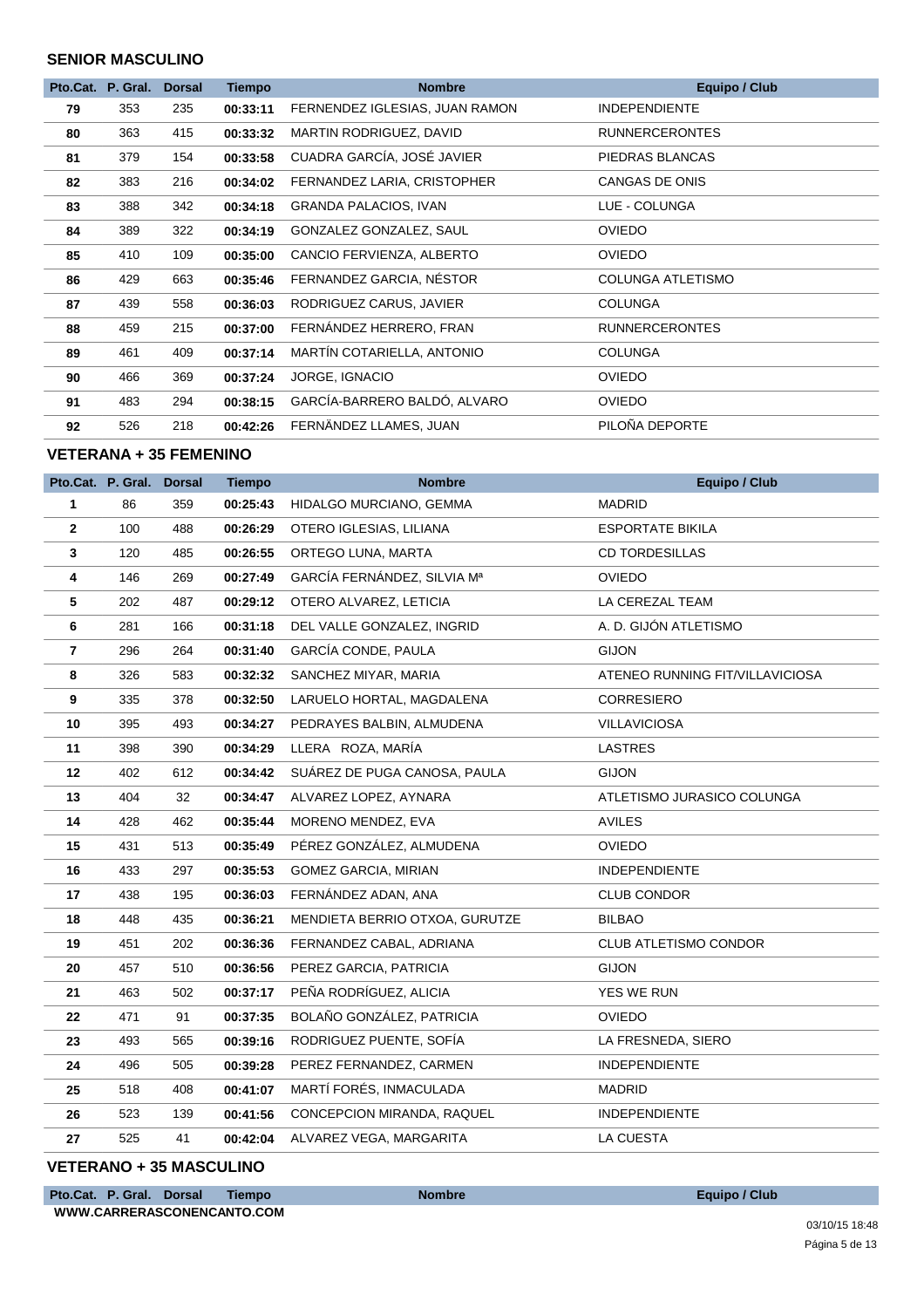#### **SENIOR MASCULINO**

| Pto.Cat. | P. Gral. | <b>Dorsal</b> | <b>Tiempo</b> | <b>Nombre</b>                  | <b>Equipo / Club</b>  |  |
|----------|----------|---------------|---------------|--------------------------------|-----------------------|--|
| 79       | 353      | 235           | 00:33:11      | FERNENDEZ IGLESIAS, JUAN RAMON | <b>INDEPENDIENTE</b>  |  |
| 80       | 363      | 415           | 00:33:32      | MARTIN RODRIGUEZ, DAVID        | <b>RUNNERCERONTES</b> |  |
| 81       | 379      | 154           | 00:33:58      | CUADRA GARCÍA, JOSÉ JAVIER     | PIEDRAS BLANCAS       |  |
| 82       | 383      | 216           | 00:34:02      | FERNANDEZ LARIA, CRISTOPHER    | CANGAS DE ONIS        |  |
| 83       | 388      | 342           | 00:34:18      | <b>GRANDA PALACIOS, IVAN</b>   | LUE - COLUNGA         |  |
| 84       | 389      | 322           | 00:34:19      | GONZALEZ GONZALEZ, SAUL        | <b>OVIEDO</b>         |  |
| 85       | 410      | 109           | 00:35:00      | CANCIO FERVIENZA, ALBERTO      | <b>OVIEDO</b>         |  |
| 86       | 429      | 663           | 00:35:46      | FERNANDEZ GARCIA, NÉSTOR       | COLUNGA ATLETISMO     |  |
| 87       | 439      | 558           | 00:36:03      | RODRIGUEZ CARUS, JAVIER        | <b>COLUNGA</b>        |  |
| 88       | 459      | 215           | 00:37:00      | FERNÁNDEZ HERRERO, FRAN        | <b>RUNNERCERONTES</b> |  |
| 89       | 461      | 409           | 00:37:14      | MARTÍN COTARIELLA, ANTONIO     | <b>COLUNGA</b>        |  |
| 90       | 466      | 369           | 00:37:24      | JORGE, IGNACIO                 | <b>OVIEDO</b>         |  |
| 91       | 483      | 294           | 00:38:15      | GARCÍA-BARRERO BALDÓ, ALVARO   | <b>OVIEDO</b>         |  |
| 92       | 526      | 218           | 00:42:26      | FERNÄNDEZ LLAMES, JUAN         | PILOÑA DEPORTE        |  |

#### **VETERANA + 35 FEMENINO**

|                | Pto.Cat. P. Gral. | <b>Dorsal</b> | <b>Tiempo</b> | <b>Nombre</b>                  | <b>Equipo / Club</b>            |  |
|----------------|-------------------|---------------|---------------|--------------------------------|---------------------------------|--|
| 1              | 86                | 359           | 00:25:43      | HIDALGO MURCIANO, GEMMA        | <b>MADRID</b>                   |  |
| $\overline{2}$ | 100               | 488           | 00:26:29      | OTERO IGLESIAS, LILIANA        | <b>ESPORTATE BIKILA</b>         |  |
| $\mathbf{3}$   | 120               | 485           | 00:26:55      | ORTEGO LUNA, MARTA             | <b>CD TORDESILLAS</b>           |  |
| 4              | 146               | 269           | 00:27:49      | GARCÍA FERNÁNDEZ, SILVIA Mª    | <b>OVIEDO</b>                   |  |
| 5              | 202               | 487           | 00:29:12      | OTERO ALVAREZ, LETICIA         | LA CEREZAL TEAM                 |  |
| 6              | 281               | 166           | 00:31:18      | DEL VALLE GONZALEZ, INGRID     | A. D. GIJÓN ATLETISMO           |  |
| 7              | 296               | 264           | 00:31:40      | GARCÍA CONDE, PAULA            | <b>GIJON</b>                    |  |
| 8              | 326               | 583           | 00:32:32      | SANCHEZ MIYAR, MARIA           | ATENEO RUNNING FIT/VILLAVICIOSA |  |
| 9              | 335               | 378           | 00:32:50      | LARUELO HORTAL, MAGDALENA      | <b>CORRESIERO</b>               |  |
| 10             | 395               | 493           | 00:34:27      | PEDRAYES BALBIN, ALMUDENA      | <b>VILLAVICIOSA</b>             |  |
| 11             | 398               | 390           | 00:34:29      | LLERA ROZA, MARÍA              | <b>LASTRES</b>                  |  |
| 12             | 402               | 612           | 00:34:42      | SUÁREZ DE PUGA CANOSA, PAULA   | <b>GIJON</b>                    |  |
| 13             | 404               | 32            | 00:34:47      | ALVAREZ LOPEZ, AYNARA          | ATLETISMO JURASICO COLUNGA      |  |
| 14             | 428               | 462           | 00:35:44      | MORENO MENDEZ, EVA             | <b>AVILES</b>                   |  |
| 15             | 431               | 513           | 00:35:49      | PÉREZ GONZÁLEZ, ALMUDENA       | <b>OVIEDO</b>                   |  |
| 16             | 433               | 297           | 00:35:53      | <b>GOMEZ GARCIA, MIRIAN</b>    | <b>INDEPENDIENTE</b>            |  |
| 17             | 438               | 195           | 00:36:03      | FERNÁNDEZ ADAN, ANA            | <b>CLUB CONDOR</b>              |  |
| 18             | 448               | 435           | 00:36:21      | MENDIETA BERRIO OTXOA, GURUTZE | <b>BILBAO</b>                   |  |
| 19             | 451               | 202           | 00:36:36      | FERNANDEZ CABAL, ADRIANA       | CLUB ATLETISMO CONDOR           |  |
| 20             | 457               | 510           | 00:36:56      | PEREZ GARCIA, PATRICIA         | <b>GIJON</b>                    |  |
| 21             | 463               | 502           | 00:37:17      | PEÑA RODRÍGUEZ, ALICIA         | YES WE RUN                      |  |
| 22             | 471               | 91            | 00:37:35      | BOLAÑO GONZÁLEZ, PATRICIA      | <b>OVIEDO</b>                   |  |
| 23             | 493               | 565           | 00:39:16      | RODRIGUEZ PUENTE, SOFÍA        | LA FRESNEDA, SIERO              |  |
| 24             | 496               | 505           | 00:39:28      | PEREZ FERNANDEZ, CARMEN        | <b>INDEPENDIENTE</b>            |  |
| 25             | 518               | 408           | 00:41:07      | MARTÍ FORÉS, INMACULADA        | <b>MADRID</b>                   |  |
| 26             | 523               | 139           | 00:41:56      | CONCEPCION MIRANDA, RAQUEL     | <b>INDEPENDIENTE</b>            |  |
| 27             | 525               | 41            | 00:42:04      | ALVAREZ VEGA, MARGARITA        | <b>LA CUESTA</b>                |  |

#### **VETERANO + 35 MASCULINO**

| Pto.Cat. P. Gral. Dorsal   | <b>Tiempo</b> | Nombre | <b>Equipo / Club</b> |
|----------------------------|---------------|--------|----------------------|
| WWW.CARRERASCONENCANTO.COM |               |        |                      |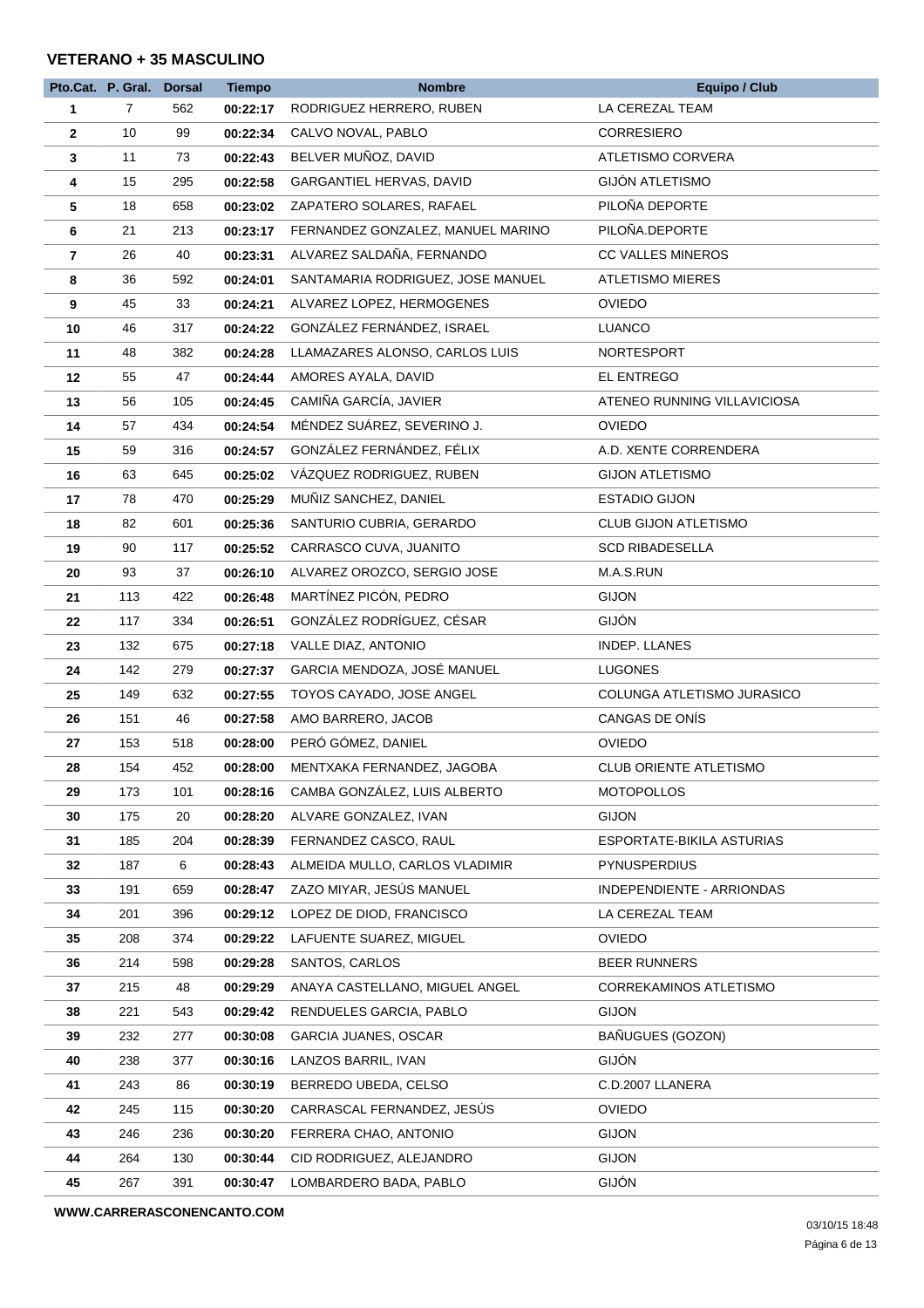#### **VETERANO + 35 MASCULINO**

|              | Pto.Cat. P. Gral. Dorsal |     | <b>Tiempo</b> | <b>Nombre</b>                     | <b>Equipo / Club</b>          |
|--------------|--------------------------|-----|---------------|-----------------------------------|-------------------------------|
| 1            | 7                        | 562 | 00:22:17      | RODRIGUEZ HERRERO, RUBEN          | LA CEREZAL TEAM               |
| $\mathbf{2}$ | 10                       | 99  | 00:22:34      | CALVO NOVAL, PABLO                | <b>CORRESIERO</b>             |
| 3            | 11                       | 73  | 00:22:43      | BELVER MUÑOZ, DAVID               | ATLETISMO CORVERA             |
| 4            | 15                       | 295 | 00:22:58      | GARGANTIEL HERVAS, DAVID          | <b>GIJÓN ATLETISMO</b>        |
| 5            | 18                       | 658 | 00:23:02      | ZAPATERO SOLARES, RAFAEL          | PILOÑA DEPORTE                |
| 6            | 21                       | 213 | 00:23:17      | FERNANDEZ GONZALEZ, MANUEL MARINO | PILOÑA.DEPORTE                |
| 7            | 26                       | 40  | 00:23:31      | ALVAREZ SALDAÑA, FERNANDO         | <b>CC VALLES MINEROS</b>      |
| 8            | 36                       | 592 | 00:24:01      | SANTAMARIA RODRIGUEZ, JOSE MANUEL | <b>ATLETISMO MIERES</b>       |
| 9            | 45                       | 33  | 00:24:21      | ALVAREZ LOPEZ, HERMOGENES         | <b>OVIEDO</b>                 |
| 10           | 46                       | 317 | 00:24:22      | GONZÁLEZ FERNÁNDEZ, ISRAEL        | <b>LUANCO</b>                 |
| 11           | 48                       | 382 | 00:24:28      | LLAMAZARES ALONSO, CARLOS LUIS    | <b>NORTESPORT</b>             |
| 12           | 55                       | 47  | 00:24:44      | AMORES AYALA, DAVID               | EL ENTREGO                    |
| 13           | 56                       | 105 | 00:24:45      | CAMIÑA GARCÍA, JAVIER             | ATENEO RUNNING VILLAVICIOSA   |
| 14           | 57                       | 434 | 00:24:54      | MÉNDEZ SUÁREZ, SEVERINO J.        | <b>OVIEDO</b>                 |
| 15           | 59                       | 316 | 00:24:57      | GONZÁLEZ FERNÁNDEZ, FÉLIX         | A.D. XENTE CORRENDERA         |
| 16           | 63                       | 645 | 00:25:02      | VÁZQUEZ RODRIGUEZ, RUBEN          | <b>GIJON ATLETISMO</b>        |
| 17           | 78                       | 470 | 00:25:29      | MUÑIZ SANCHEZ, DANIEL             | <b>ESTADIO GIJON</b>          |
| 18           | 82                       | 601 | 00:25:36      | SANTURIO CUBRIA, GERARDO          | <b>CLUB GIJON ATLETISMO</b>   |
| 19           | 90                       | 117 | 00:25:52      | CARRASCO CUVA, JUANITO            | <b>SCD RIBADESELLA</b>        |
| 20           | 93                       | 37  | 00:26:10      | ALVAREZ OROZCO, SERGIO JOSE       | M.A.S.RUN                     |
| 21           | 113                      | 422 | 00:26:48      | MARTÍNEZ PICÓN, PEDRO             | <b>GIJON</b>                  |
| 22           | 117                      | 334 | 00:26:51      | GONZÁLEZ RODRÍGUEZ, CÉSAR         | GIJÓN                         |
| 23           | 132                      | 675 | 00:27:18      | VALLE DIAZ, ANTONIO               | INDEP. LLANES                 |
| 24           | 142                      | 279 | 00:27:37      | GARCIA MENDOZA, JOSÉ MANUEL       | <b>LUGONES</b>                |
| 25           | 149                      | 632 | 00:27:55      | TOYOS CAYADO, JOSE ANGEL          | COLUNGA ATLETISMO JURASICO    |
| 26           | 151                      | 46  | 00:27:58      | AMO BARRERO, JACOB                | CANGAS DE ONÍS                |
| 27           | 153                      | 518 | 00:28:00      | PERÓ GÓMEZ, DANIEL                | <b>OVIEDO</b>                 |
| 28           | 154                      | 452 | 00:28:00      | MENTXAKA FERNANDEZ, JAGOBA        | <b>CLUB ORIENTE ATLETISMO</b> |
| 29           | 173                      | 101 | 00:28:16      | CAMBA GONZÁLEZ, LUIS ALBERTO      | <b>MOTOPOLLOS</b>             |
| 30           | 175                      | 20  | 00:28:20      | ALVARE GONZALEZ, IVAN             | <b>GIJON</b>                  |
| 31           | 185                      | 204 | 00:28:39      | FERNANDEZ CASCO, RAUL             | ESPORTATE-BIKILA ASTURIAS     |
| 32           | 187                      | 6   | 00:28:43      | ALMEIDA MULLO, CARLOS VLADIMIR    | <b>PYNUSPERDIUS</b>           |
| 33           | 191                      | 659 | 00:28:47      | ZAZO MIYAR, JESÚS MANUEL          | INDEPENDIENTE - ARRIONDAS     |
| 34           | 201                      | 396 | 00:29:12      | LOPEZ DE DIOD, FRANCISCO          | LA CEREZAL TEAM               |
| 35           | 208                      | 374 | 00:29:22      | LAFUENTE SUAREZ, MIGUEL           | <b>OVIEDO</b>                 |
| 36           | 214                      | 598 | 00:29:28      | SANTOS, CARLOS                    | <b>BEER RUNNERS</b>           |
| 37           | 215                      | 48  | 00:29:29      | ANAYA CASTELLANO, MIGUEL ANGEL    | CORREKAMINOS ATLETISMO        |
| 38           | 221                      | 543 | 00:29:42      | RENDUELES GARCIA, PABLO           | <b>GIJON</b>                  |
| 39           | 232                      | 277 | 00:30:08      | <b>GARCIA JUANES, OSCAR</b>       | BAÑUGUES (GOZON)              |
| 40           | 238                      | 377 | 00:30:16      | LANZOS BARRIL, IVAN               | <b>GIJÓN</b>                  |
| 41           | 243                      | 86  | 00:30:19      | BERREDO UBEDA, CELSO              | C.D.2007 LLANERA              |
| 42           | 245                      | 115 | 00:30:20      | CARRASCAL FERNANDEZ, JESUS        | <b>OVIEDO</b>                 |
| 43           | 246                      | 236 | 00:30:20      | FERRERA CHAO, ANTONIO             | <b>GIJON</b>                  |
| 44           | 264                      | 130 | 00:30:44      | CID RODRIGUEZ, ALEJANDRO          | <b>GIJON</b>                  |
| 45           | 267                      | 391 | 00:30:47      | LOMBARDERO BADA, PABLO            | GIJÓN                         |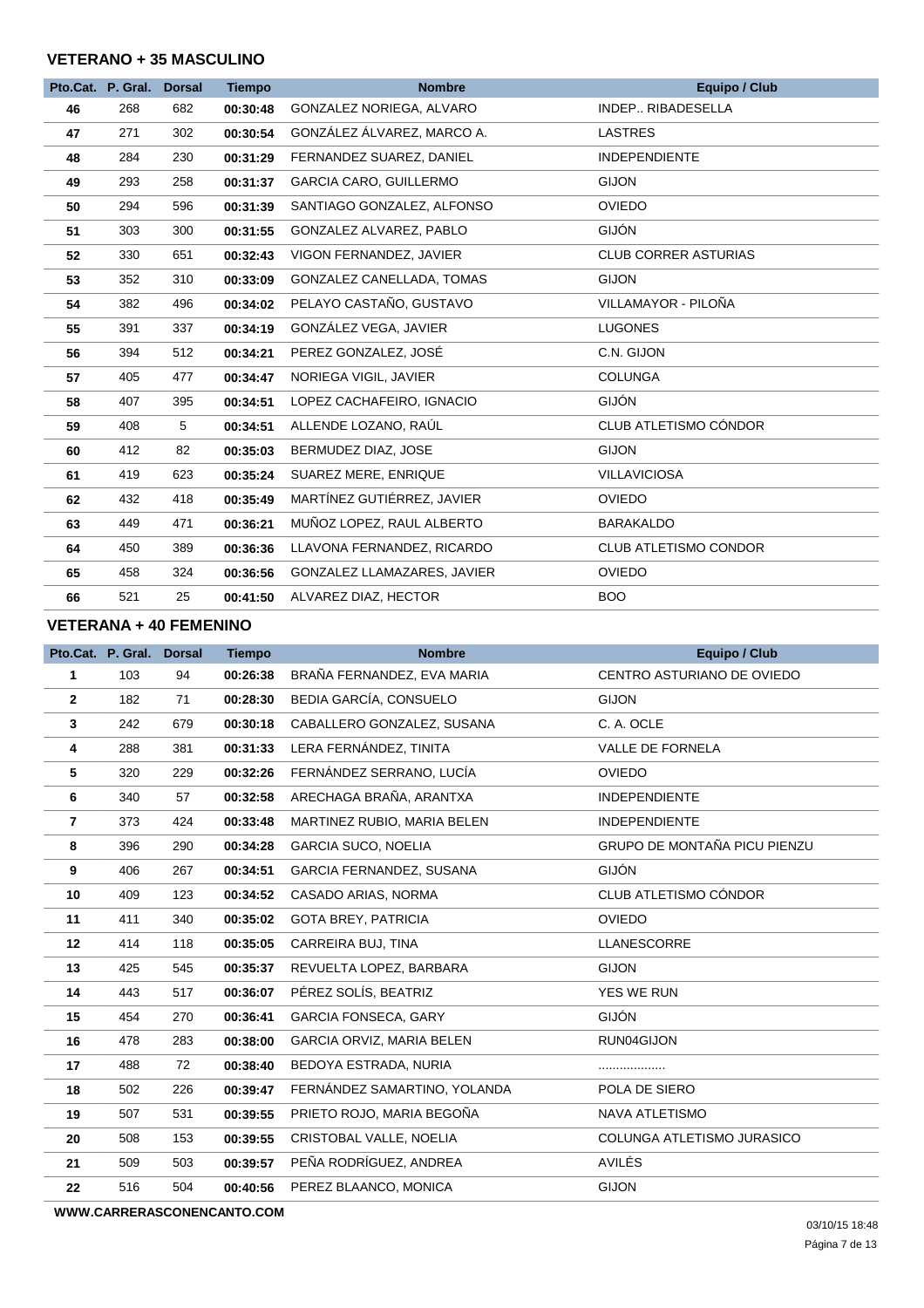#### **VETERANO + 35 MASCULINO**

|    | Pto.Cat. P. Gral. | <b>Dorsal</b> | <b>Tiempo</b> | <b>Nombre</b>                 | Equipo / Club                |
|----|-------------------|---------------|---------------|-------------------------------|------------------------------|
| 46 | 268               | 682           | 00:30:48      | GONZALEZ NORIEGA, ALVARO      | INDEP., RIBADESELLA          |
| 47 | 271               | 302           | 00:30:54      | GONZÁLEZ ÁLVAREZ, MARCO A.    | <b>LASTRES</b>               |
| 48 | 284               | 230           | 00:31:29      | FERNANDEZ SUAREZ, DANIEL      | <b>INDEPENDIENTE</b>         |
| 49 | 293               | 258           | 00:31:37      | <b>GARCIA CARO, GUILLERMO</b> | <b>GIJON</b>                 |
| 50 | 294               | 596           | 00:31:39      | SANTIAGO GONZALEZ, ALFONSO    | <b>OVIEDO</b>                |
| 51 | 303               | 300           | 00:31:55      | GONZALEZ ALVAREZ, PABLO       | <b>GIJÓN</b>                 |
| 52 | 330               | 651           | 00:32:43      | VIGON FERNANDEZ, JAVIER       | <b>CLUB CORRER ASTURIAS</b>  |
| 53 | 352               | 310           | 00:33:09      | GONZALEZ CANELLADA, TOMAS     | <b>GIJON</b>                 |
| 54 | 382               | 496           | 00:34:02      | PELAYO CASTAÑO, GUSTAVO       | VILLAMAYOR - PILOÑA          |
| 55 | 391               | 337           | 00:34:19      | GONZÁLEZ VEGA, JAVIER         | <b>LUGONES</b>               |
| 56 | 394               | 512           | 00:34:21      | PEREZ GONZALEZ, JOSÉ          | C.N. GIJON                   |
| 57 | 405               | 477           | 00:34:47      | NORIEGA VIGIL, JAVIER         | <b>COLUNGA</b>               |
| 58 | 407               | 395           | 00:34:51      | LOPEZ CACHAFEIRO, IGNACIO     | <b>GIJÓN</b>                 |
| 59 | 408               | 5             | 00:34:51      | ALLENDE LOZANO, RAÚL          | CLUB ATLETISMO CÓNDOR        |
| 60 | 412               | 82            | 00:35:03      | BERMUDEZ DIAZ, JOSE           | <b>GIJON</b>                 |
| 61 | 419               | 623           | 00:35:24      | SUAREZ MERE, ENRIQUE          | <b>VILLAVICIOSA</b>          |
| 62 | 432               | 418           | 00:35:49      | MARTÍNEZ GUTIÉRREZ, JAVIER    | <b>OVIEDO</b>                |
| 63 | 449               | 471           | 00:36:21      | MUÑOZ LOPEZ, RAUL ALBERTO     | <b>BARAKALDO</b>             |
| 64 | 450               | 389           | 00:36:36      | LLAVONA FERNANDEZ, RICARDO    | <b>CLUB ATLETISMO CONDOR</b> |
| 65 | 458               | 324           | 00:36:56      | GONZALEZ LLAMAZARES, JAVIER   | <b>OVIEDO</b>                |
| 66 | 521               | 25            | 00:41:50      | ALVAREZ DIAZ, HECTOR          | <b>BOO</b>                   |

### **VETERANA + 40 FEMENINO**

|                | Pto.Cat. P. Gral. | <b>Dorsal</b> | <b>Tiempo</b> | <b>Nombre</b>                    | Equipo / Club                |
|----------------|-------------------|---------------|---------------|----------------------------------|------------------------------|
| 1              | 103               | 94            | 00:26:38      | BRAÑA FERNANDEZ, EVA MARIA       | CENTRO ASTURIANO DE OVIEDO   |
| $\mathbf{2}$   | 182               | 71            | 00:28:30      | BEDIA GARCÍA, CONSUELO           | <b>GIJON</b>                 |
| 3              | 242               | 679           | 00:30:18      | CABALLERO GONZALEZ, SUSANA       | C. A. OCLE                   |
| 4              | 288               | 381           | 00:31:33      | LERA FERNÁNDEZ, TINITA           | VALLE DE FORNELA             |
| 5              | 320               | 229           | 00:32:26      | FERNÁNDEZ SERRANO, LUCÍA         | <b>OVIEDO</b>                |
| 6              | 340               | 57            | 00:32:58      | ARECHAGA BRAÑA, ARANTXA          | <b>INDEPENDIENTE</b>         |
| $\overline{7}$ | 373               | 424           | 00:33:48      | MARTINEZ RUBIO, MARIA BELEN      | <b>INDEPENDIENTE</b>         |
| 8              | 396               | 290           | 00:34:28      | <b>GARCIA SUCO, NOELIA</b>       | GRUPO DE MONTAÑA PICU PIENZU |
| 9              | 406               | 267           | 00:34:51      | GARCIA FERNANDEZ, SUSANA         | <b>GIJÓN</b>                 |
| 10             | 409               | 123           | 00:34:52      | CASADO ARIAS, NORMA              | CLUB ATLETISMO CÓNDOR        |
| 11             | 411               | 340           | 00:35:02      | <b>GOTA BREY, PATRICIA</b>       | <b>OVIEDO</b>                |
| 12             | 414               | 118           | 00:35:05      | CARREIRA BUJ, TINA               | LLANESCORRE                  |
| 13             | 425               | 545           | 00:35:37      | REVUELTA LOPEZ, BARBARA          | <b>GIJON</b>                 |
| 14             | 443               | 517           | 00:36:07      | PÉREZ SOLÍS, BEATRIZ             | YES WE RUN                   |
| 15             | 454               | 270           | 00:36:41      | <b>GARCIA FONSECA, GARY</b>      | <b>GIJÓN</b>                 |
| 16             | 478               | 283           | 00:38:00      | <b>GARCIA ORVIZ, MARIA BELEN</b> | RUN04GIJON                   |
| 17             | 488               | 72            | 00:38:40      | BEDOYA ESTRADA, NURIA            |                              |
| 18             | 502               | 226           | 00:39:47      | FERNÁNDEZ SAMARTINO, YOLANDA     | POLA DE SIERO                |
| 19             | 507               | 531           | 00:39:55      | PRIETO ROJO, MARIA BEGOÑA        | NAVA ATLETISMO               |
| 20             | 508               | 153           | 00:39:55      | CRISTOBAL VALLE, NOELIA          | COLUNGA ATLETISMO JURASICO   |
| 21             | 509               | 503           | 00:39:57      | PEÑA RODRÍGUEZ, ANDREA           | AVILÉS                       |
| 22             | 516               | 504           | 00:40:56      | PEREZ BLAANCO, MONICA            | <b>GIJON</b>                 |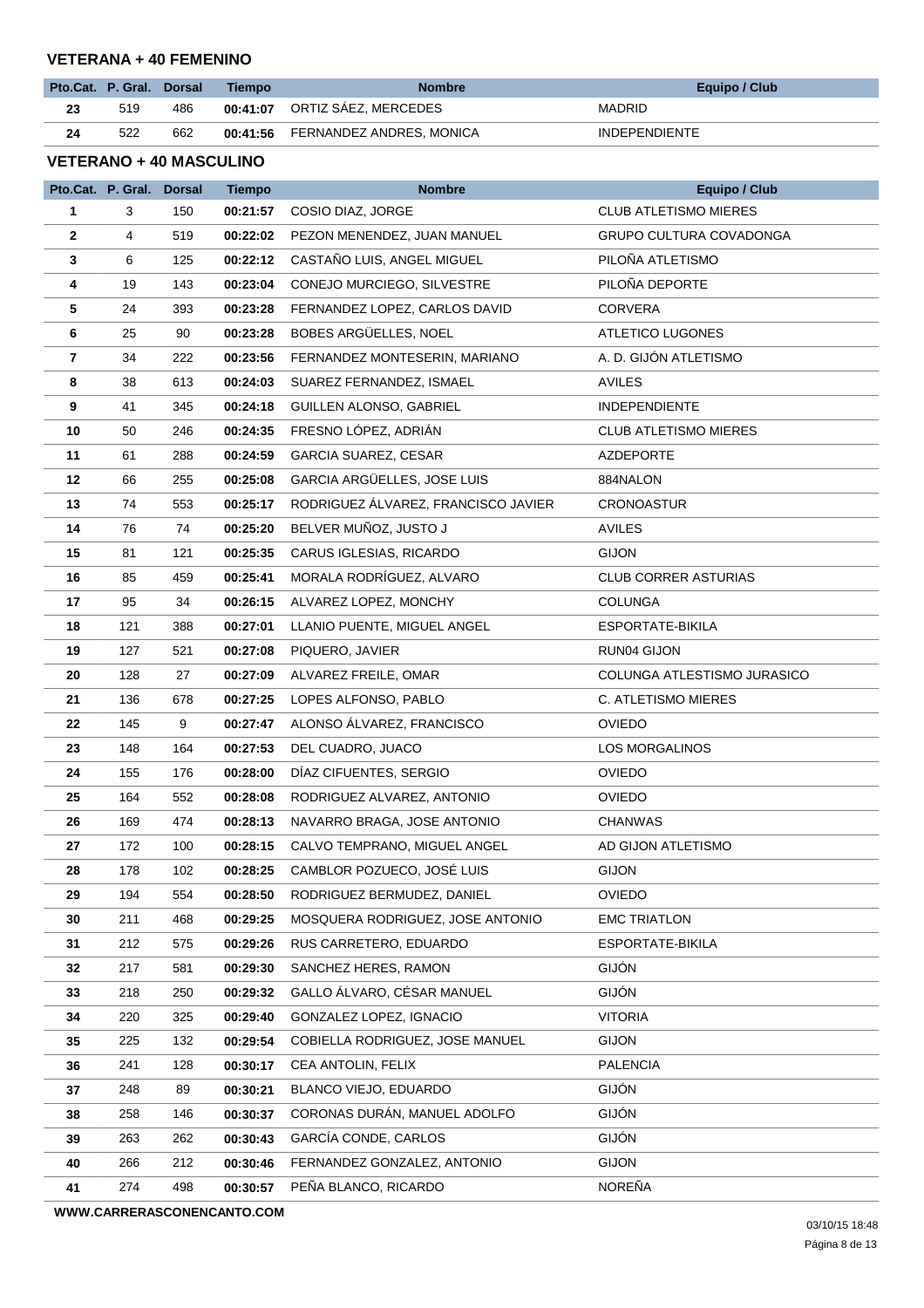#### **VETERANA + 40 FEMENINO**

| Pto.Cat. P. Gral. Dorsal |     |     | <b>Tiempo</b> | <b>Nombre</b>                     | Equipo / Club        |
|--------------------------|-----|-----|---------------|-----------------------------------|----------------------|
| 23                       | 519 | 486 |               | 00:41:07 ORTIZ SÁEZ. MERCEDES     | <b>MADRID</b>        |
| 24                       | 522 | 662 |               | 00:41:56 FERNANDEZ ANDRES, MONICA | <b>INDEPENDIENTE</b> |

#### **VETERANO + 40 MASCULINO**

|              | Pto.Cat. P. Gral. Dorsal |     | <b>Tiempo</b> | <b>Nombre</b>                       | <b>Equipo / Club</b>         |
|--------------|--------------------------|-----|---------------|-------------------------------------|------------------------------|
| 1            | 3                        | 150 | 00:21:57      | COSIO DIAZ, JORGE                   | <b>CLUB ATLETISMO MIERES</b> |
| $\mathbf{2}$ | 4                        | 519 | 00:22:02      | PEZON MENENDEZ, JUAN MANUEL         | GRUPO CULTURA COVADONGA      |
| $\mathbf{3}$ | 6                        | 125 | 00:22:12      | CASTAÑO LUIS, ANGEL MIGUEL          | PILOÑA ATLETISMO             |
| 4            | 19                       | 143 | 00:23:04      | CONEJO MURCIEGO, SILVESTRE          | PILOÑA DEPORTE               |
| 5            | 24                       | 393 | 00:23:28      | FERNANDEZ LOPEZ, CARLOS DAVID       | <b>CORVERA</b>               |
| 6            | 25                       | 90  | 00:23:28      | BOBES ARGÜELLES, NOEL               | <b>ATLETICO LUGONES</b>      |
| 7            | 34                       | 222 | 00:23:56      | FERNANDEZ MONTESERIN, MARIANO       | A. D. GIJÓN ATLETISMO        |
| 8            | 38                       | 613 | 00:24:03      | SUAREZ FERNANDEZ, ISMAEL            | <b>AVILES</b>                |
| 9            | 41                       | 345 | 00:24:18      | GUILLEN ALONSO, GABRIEL             | <b>INDEPENDIENTE</b>         |
| 10           | 50                       | 246 | 00:24:35      | FRESNO LÓPEZ, ADRIÁN                | <b>CLUB ATLETISMO MIERES</b> |
| 11           | 61                       | 288 | 00:24:59      | <b>GARCIA SUAREZ, CESAR</b>         | <b>AZDEPORTE</b>             |
| 12           | 66                       | 255 | 00:25:08      | GARCIA ARGÜELLES, JOSE LUIS         | 884NALON                     |
| 13           | 74                       | 553 | 00:25:17      | RODRIGUEZ ÁLVAREZ, FRANCISCO JAVIER | <b>CRONOASTUR</b>            |
| 14           | 76                       | 74  | 00:25:20      | BELVER MUÑOZ, JUSTO J               | <b>AVILES</b>                |
| 15           | 81                       | 121 | 00:25:35      | CARUS IGLESIAS, RICARDO             | <b>GIJON</b>                 |
| 16           | 85                       | 459 | 00:25:41      | MORALA RODRÍGUEZ, ALVARO            | <b>CLUB CORRER ASTURIAS</b>  |
| 17           | 95                       | 34  | 00:26:15      | ALVAREZ LOPEZ, MONCHY               | <b>COLUNGA</b>               |
| 18           | 121                      | 388 | 00:27:01      | LLANIO PUENTE, MIGUEL ANGEL         | ESPORTATE-BIKILA             |
| 19           | 127                      | 521 | 00:27:08      | PIQUERO, JAVIER                     | RUN04 GIJON                  |
| 20           | 128                      | 27  | 00:27:09      | ALVAREZ FREILE, OMAR                | COLUNGA ATLESTISMO JURASICO  |
| 21           | 136                      | 678 | 00:27:25      | LOPES ALFONSO, PABLO                | C. ATLETISMO MIERES          |
| 22           | 145                      | 9   | 00:27:47      | ALONSO ÁLVAREZ, FRANCISCO           | <b>OVIEDO</b>                |
| 23           | 148                      | 164 | 00:27:53      | DEL CUADRO, JUACO                   | <b>LOS MORGALINOS</b>        |
| 24           | 155                      | 176 | 00:28:00      | DIAZ CIFUENTES, SERGIO              | <b>OVIEDO</b>                |
| 25           | 164                      | 552 | 00:28:08      | RODRIGUEZ ALVAREZ, ANTONIO          | <b>OVIEDO</b>                |
| 26           | 169                      | 474 | 00:28:13      | NAVARRO BRAGA, JOSE ANTONIO         | <b>CHANWAS</b>               |
| 27           | 172                      | 100 | 00:28:15      | CALVO TEMPRANO, MIGUEL ANGEL        | AD GIJON ATLETISMO           |
| 28           | 178                      | 102 | 00:28:25      | CAMBLOR POZUECO, JOSÉ LUIS          | <b>GIJON</b>                 |
| 29           | 194                      | 554 | 00:28:50      | RODRIGUEZ BERMUDEZ, DANIEL          | <b>OVIEDO</b>                |
| 30           | 211                      | 468 | 00:29:25      | MOSQUERA RODRIGUEZ, JOSE ANTONIO    | <b>EMC TRIATLON</b>          |
| 31           | 212                      | 575 | 00:29:26      | RUS CARRETERO, EDUARDO              | ESPORTATE-BIKILA             |
| 32           | 217                      | 581 | 00:29:30      | SANCHEZ HERES, RAMON                | GIJÓN                        |
| 33           | 218                      | 250 | 00:29:32      | GALLO ÁLVARO, CÉSAR MANUEL          | GIJÓN                        |
| 34           | 220                      | 325 | 00:29:40      | GONZALEZ LOPEZ, IGNACIO             | <b>VITORIA</b>               |
| 35           | 225                      | 132 | 00:29:54      | COBIELLA RODRIGUEZ, JOSE MANUEL     | <b>GIJON</b>                 |
| 36           | 241                      | 128 | 00:30:17      | CEA ANTOLIN, FELIX                  | <b>PALENCIA</b>              |
| 37           | 248                      | 89  | 00:30:21      | BLANCO VIEJO, EDUARDO               | GIJÓN                        |
| 38           | 258                      | 146 | 00:30:37      | CORONAS DURÁN, MANUEL ADOLFO        | GIJÓN                        |
| 39           | 263                      | 262 | 00:30:43      | GARCÍA CONDE, CARLOS                | GIJÓN                        |
| 40           | 266                      | 212 | 00:30:46      | FERNANDEZ GONZALEZ, ANTONIO         | <b>GIJON</b>                 |
| 41           | 274                      | 498 | 00:30:57      | PEÑA BLANCO, RICARDO                | NOREÑA                       |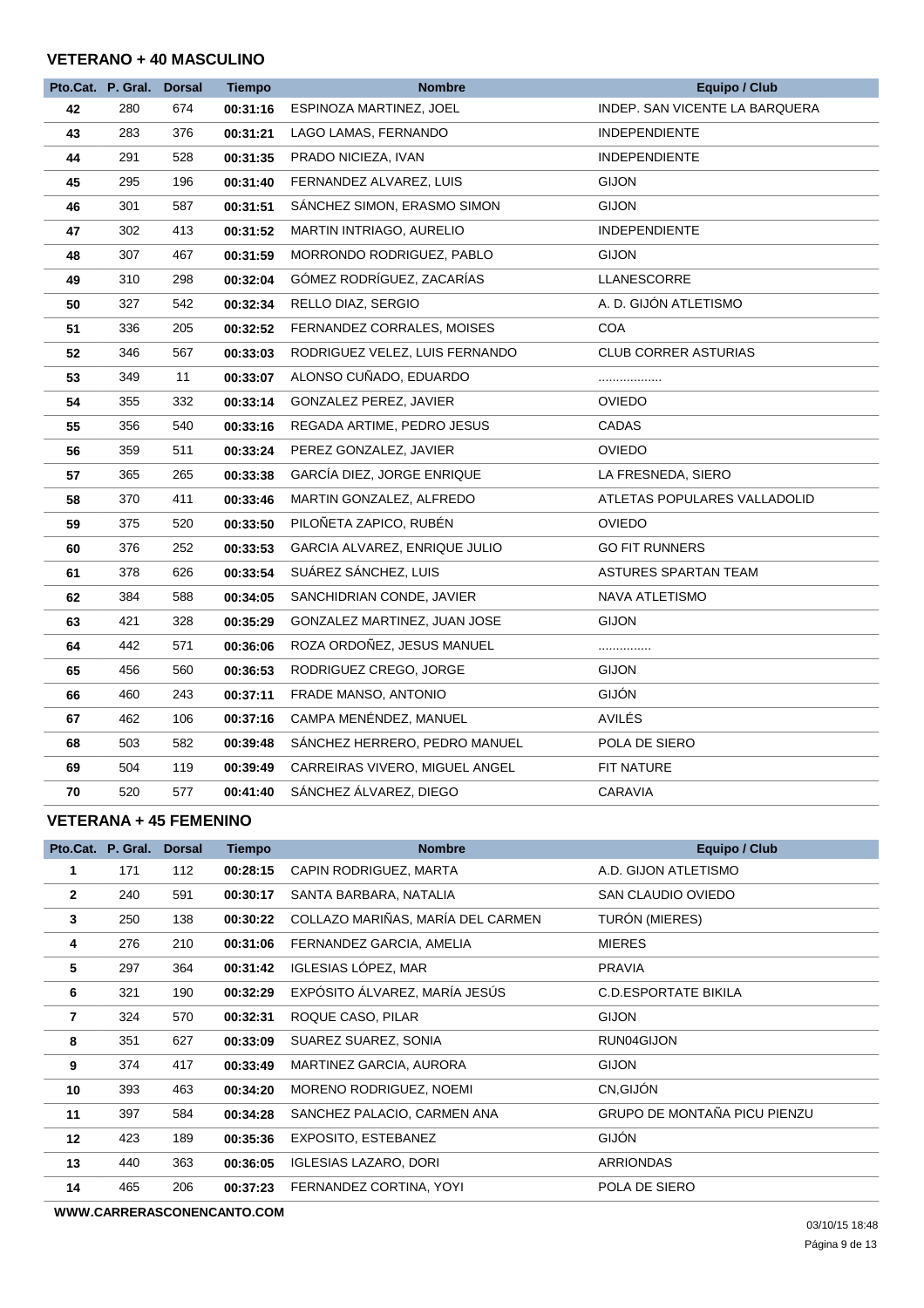#### **VETERANO + 40 MASCULINO**

|    | Pto.Cat. P. Gral. Dorsal |     | <b>Tiempo</b> | <b>Nombre</b>                  | Equipo / Club                  |
|----|--------------------------|-----|---------------|--------------------------------|--------------------------------|
| 42 | 280                      | 674 | 00:31:16      | ESPINOZA MARTINEZ, JOEL        | INDEP. SAN VICENTE LA BARQUERA |
| 43 | 283                      | 376 | 00:31:21      | LAGO LAMAS, FERNANDO           | INDEPENDIENTE                  |
| 44 | 291                      | 528 | 00:31:35      | PRADO NICIEZA, IVAN            | <b>INDEPENDIENTE</b>           |
| 45 | 295                      | 196 | 00:31:40      | FERNANDEZ ALVAREZ, LUIS        | <b>GIJON</b>                   |
| 46 | 301                      | 587 | 00:31:51      | SANCHEZ SIMON, ERASMO SIMON    | <b>GIJON</b>                   |
| 47 | 302                      | 413 | 00:31:52      | MARTIN INTRIAGO, AURELIO       | <b>INDEPENDIENTE</b>           |
| 48 | 307                      | 467 | 00:31:59      | MORRONDO RODRIGUEZ, PABLO      | <b>GIJON</b>                   |
| 49 | 310                      | 298 | 00:32:04      | GÓMEZ RODRÍGUEZ, ZACARÍAS      | LLANESCORRE                    |
| 50 | 327                      | 542 | 00:32:34      | RELLO DIAZ, SERGIO             | A. D. GIJÓN ATLETISMO          |
| 51 | 336                      | 205 | 00:32:52      | FERNANDEZ CORRALES, MOISES     | <b>COA</b>                     |
| 52 | 346                      | 567 | 00:33:03      | RODRIGUEZ VELEZ, LUIS FERNANDO | <b>CLUB CORRER ASTURIAS</b>    |
| 53 | 349                      | 11  | 00:33:07      | ALONSO CUÑADO, EDUARDO         | .                              |
| 54 | 355                      | 332 | 00:33:14      | GONZALEZ PEREZ, JAVIER         | <b>OVIEDO</b>                  |
| 55 | 356                      | 540 | 00:33:16      | REGADA ARTIME, PEDRO JESUS     | <b>CADAS</b>                   |
| 56 | 359                      | 511 | 00:33:24      | PEREZ GONZALEZ, JAVIER         | <b>OVIEDO</b>                  |
| 57 | 365                      | 265 | 00:33:38      | GARCÍA DIEZ, JORGE ENRIQUE     | LA FRESNEDA, SIERO             |
| 58 | 370                      | 411 | 00:33:46      | MARTIN GONZALEZ, ALFREDO       | ATLETAS POPULARES VALLADOLID   |
| 59 | 375                      | 520 | 00:33:50      | PILOÑETA ZAPICO, RUBÉN         | <b>OVIEDO</b>                  |
| 60 | 376                      | 252 | 00:33:53      | GARCIA ALVAREZ, ENRIQUE JULIO  | <b>GO FIT RUNNERS</b>          |
| 61 | 378                      | 626 | 00:33:54      | SUÁREZ SÁNCHEZ, LUIS           | ASTURES SPARTAN TEAM           |
| 62 | 384                      | 588 | 00:34:05      | SANCHIDRIAN CONDE, JAVIER      | NAVA ATLETISMO                 |
| 63 | 421                      | 328 | 00:35:29      | GONZALEZ MARTINEZ, JUAN JOSE   | GIJON                          |
| 64 | 442                      | 571 | 00:36:06      | ROZA ORDOÑEZ, JESUS MANUEL     | .                              |
| 65 | 456                      | 560 | 00:36:53      | RODRIGUEZ CREGO, JORGE         | <b>GIJON</b>                   |
| 66 | 460                      | 243 | 00:37:11      | FRADE MANSO, ANTONIO           | <b>GIJÓN</b>                   |
| 67 | 462                      | 106 | 00:37:16      | CAMPA MENÉNDEZ, MANUEL         | AVILÉS                         |
| 68 | 503                      | 582 | 00:39:48      | SÁNCHEZ HERRERO, PEDRO MANUEL  | POLA DE SIERO                  |
| 69 | 504                      | 119 | 00:39:49      | CARREIRAS VIVERO, MIGUEL ANGEL | FIT NATURE                     |
| 70 | 520                      | 577 | 00:41:40      | SÁNCHEZ ÁLVAREZ, DIEGO         | <b>CARAVIA</b>                 |

#### **VETERANA + 45 FEMENINO**

|                | Pto.Cat. P. Gral. | <b>Dorsal</b> | <b>Tiempo</b> | <b>Nombre</b>                     | <b>Equipo / Club</b>         |
|----------------|-------------------|---------------|---------------|-----------------------------------|------------------------------|
|                | 171               | 112           | 00:28:15      | CAPIN RODRIGUEZ, MARTA            | A.D. GIJON ATLETISMO         |
| $\mathbf{2}$   | 240               | 591           | 00:30:17      | SANTA BARBARA, NATALIA            | SAN CLAUDIO OVIEDO           |
| 3              | 250               | 138           | 00:30:22      | COLLAZO MARIÑAS, MARÍA DEL CARMEN | TURÓN (MIERES)               |
| 4              | 276               | 210           | 00:31:06      | FERNANDEZ GARCIA, AMELIA          | <b>MIERES</b>                |
| 5              | 297               | 364           | 00:31:42      | IGLESIAS LÓPEZ, MAR               | <b>PRAVIA</b>                |
| 6              | 321               | 190           | 00:32:29      | EXPÓSITO ÁLVAREZ, MARÍA JESÚS     | <b>C.D.ESPORTATE BIKILA</b>  |
| $\overline{7}$ | 324               | 570           | 00:32:31      | ROQUE CASO, PILAR                 | <b>GIJON</b>                 |
| 8              | 351               | 627           | 00:33:09      | SUAREZ SUAREZ, SONIA              | RUN04GIJON                   |
| 9              | 374               | 417           | 00:33:49      | MARTINEZ GARCIA, AURORA           | <b>GIJON</b>                 |
| 10             | 393               | 463           | 00:34:20      | MORENO RODRIGUEZ, NOEMI           | CN, GIJÓN                    |
| 11             | 397               | 584           | 00:34:28      | SANCHEZ PALACIO, CARMEN ANA       | GRUPO DE MONTAÑA PICU PIENZU |
| 12             | 423               | 189           | 00:35:36      | EXPOSITO, ESTEBANEZ               | <b>GIJÓN</b>                 |
| 13             | 440               | 363           | 00:36:05      | <b>IGLESIAS LAZARO, DORI</b>      | ARRIONDAS                    |
| 14             | 465               | 206           | 00:37:23      | FERNANDEZ CORTINA, YOYI           | POLA DE SIERO                |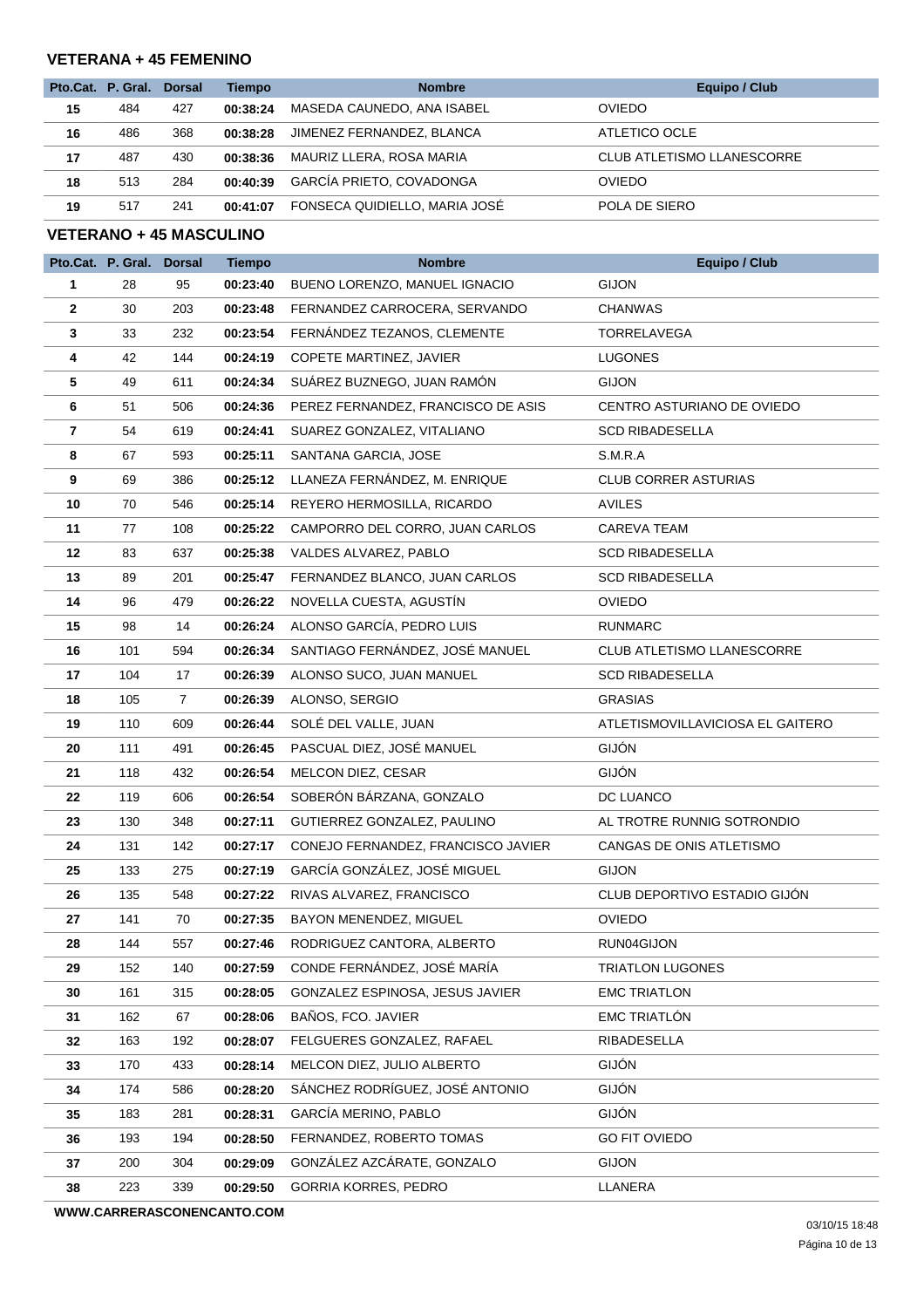#### **VETERANA + 45 FEMENINO**

|    | Pto.Cat. P. Gral. Dorsal |     | <b>Tiempo</b> | <b>Nombre</b>                 | Equipo / Club              |
|----|--------------------------|-----|---------------|-------------------------------|----------------------------|
| 15 | 484                      | 427 | 00:38:24      | MASEDA CAUNEDO, ANA ISABEL    | <b>OVIEDO</b>              |
| 16 | 486                      | 368 | 00:38:28      | JIMENEZ FERNANDEZ, BLANCA     | ATLETICO OCLE              |
| 17 | 487                      | 430 | 00:38:36      | MAURIZ LLERA, ROSA MARIA      | CLUB ATLETISMO LLANESCORRE |
| 18 | 513                      | 284 | 00:40:39      | GARCÍA PRIETO, COVADONGA      | <b>OVIEDO</b>              |
| 19 | 517                      | 241 | 00:41:07      | FONSECA QUIDIELLO, MARIA JOSÉ | POLA DE SIERO              |

### **VETERANO + 45 MASCULINO**

|    | Pto.Cat. P. Gral. Dorsal |                | <b>Tiempo</b> | <b>Nombre</b>                      | <b>Equipo / Club</b>              |
|----|--------------------------|----------------|---------------|------------------------------------|-----------------------------------|
| 1  | 28                       | 95             | 00:23:40      | BUENO LORENZO, MANUEL IGNACIO      | <b>GIJON</b>                      |
| 2  | 30                       | 203            | 00:23:48      | FERNANDEZ CARROCERA, SERVANDO      | <b>CHANWAS</b>                    |
| 3  | 33                       | 232            | 00:23:54      | FERNÁNDEZ TEZANOS, CLEMENTE        | <b>TORRELAVEGA</b>                |
| 4  | 42                       | 144            | 00:24:19      | COPETE MARTINEZ, JAVIER            | <b>LUGONES</b>                    |
| 5  | 49                       | 611            | 00:24:34      | SUÁREZ BUZNEGO, JUAN RAMÓN         | <b>GIJON</b>                      |
| 6  | 51                       | 506            | 00:24:36      | PEREZ FERNANDEZ, FRANCISCO DE ASIS | CENTRO ASTURIANO DE OVIEDO        |
| 7  | 54                       | 619            | 00:24:41      | SUAREZ GONZALEZ, VITALIANO         | <b>SCD RIBADESELLA</b>            |
| 8  | 67                       | 593            | 00:25:11      | SANTANA GARCIA, JOSE               | S.M.R.A                           |
| 9  | 69                       | 386            | 00:25:12      | LLANEZA FERNÁNDEZ, M. ENRIQUE      | <b>CLUB CORRER ASTURIAS</b>       |
| 10 | 70                       | 546            | 00:25:14      | REYERO HERMOSILLA, RICARDO         | <b>AVILES</b>                     |
| 11 | 77                       | 108            | 00:25:22      | CAMPORRO DEL CORRO, JUAN CARLOS    | CAREVA TEAM                       |
| 12 | 83                       | 637            | 00:25:38      | VALDES ALVAREZ, PABLO              | <b>SCD RIBADESELLA</b>            |
| 13 | 89                       | 201            | 00:25:47      | FERNANDEZ BLANCO, JUAN CARLOS      | <b>SCD RIBADESELLA</b>            |
| 14 | 96                       | 479            | 00:26:22      | NOVELLA CUESTA, AGUSTIN            | <b>OVIEDO</b>                     |
| 15 | 98                       | 14             | 00:26:24      | ALONSO GARCÍA, PEDRO LUIS          | RUNMARC                           |
| 16 | 101                      | 594            | 00:26:34      | SANTIAGO FERNÁNDEZ, JOSÉ MANUEL    | <b>CLUB ATLETISMO LLANESCORRE</b> |
| 17 | 104                      | 17             | 00:26:39      | ALONSO SUCO, JUAN MANUEL           | <b>SCD RIBADESELLA</b>            |
| 18 | 105                      | $\overline{7}$ | 00:26:39      | ALONSO, SERGIO                     | <b>GRASIAS</b>                    |
| 19 | 110                      | 609            | 00:26:44      | SOLÉ DEL VALLE, JUAN               | ATLETISMOVILLAVICIOSA EL GAITERO  |
| 20 | 111                      | 491            | 00:26:45      | PASCUAL DIEZ, JOSÉ MANUEL          | GIJÓN                             |
| 21 | 118                      | 432            | 00:26:54      | MELCON DIEZ, CESAR                 | GIJÓN                             |
| 22 | 119                      | 606            | 00:26:54      | SOBERÓN BÁRZANA, GONZALO           | DC LUANCO                         |
| 23 | 130                      | 348            | 00:27:11      | GUTIERREZ GONZALEZ, PAULINO        | AL TROTRE RUNNIG SOTRONDIO        |
| 24 | 131                      | 142            | 00:27:17      | CONEJO FERNANDEZ, FRANCISCO JAVIER | CANGAS DE ONIS ATLETISMO          |
| 25 | 133                      | 275            | 00:27:19      | GARCÍA GONZÁLEZ, JOSÉ MIGUEL       | <b>GIJON</b>                      |
| 26 | 135                      | 548            | 00:27:22      | RIVAS ALVAREZ, FRANCISCO           | CLUB DEPORTIVO ESTADIO GIJÓN      |
| 27 | 141                      | 70             | 00:27:35      | BAYON MENENDEZ, MIGUEL             | <b>OVIEDO</b>                     |
| 28 | 144                      | 557            | 00:27:46      | RODRIGUEZ CANTORA, ALBERTO         | RUN04GIJON                        |
| 29 | 152                      | 140            | 00:27:59      | CONDE FERNÁNDEZ, JOSÉ MARÍA        | <b>TRIATLON LUGONES</b>           |
| 30 | 161                      | 315            | 00:28:05      | GONZALEZ ESPINOSA, JESUS JAVIER    | <b>EMC TRIATLON</b>               |
| 31 | 162                      | 67             | 00:28:06      | BAÑOS, FCO. JAVIER                 | EMC TRIATLÓN                      |
| 32 | 163                      | 192            | 00:28:07      | FELGUERES GONZALEZ, RAFAEL         | RIBADESELLA                       |
| 33 | 170                      | 433            | 00:28:14      | MELCON DIEZ, JULIO ALBERTO         | <b>GIJÓN</b>                      |
| 34 | 174                      | 586            | 00:28:20      | SÁNCHEZ RODRÍGUEZ, JOSÉ ANTONIO    | <b>GIJÓN</b>                      |
| 35 | 183                      | 281            | 00:28:31      | GARCÍA MERINO, PABLO               | <b>GIJÓN</b>                      |
| 36 | 193                      | 194            | 00:28:50      | FERNANDEZ, ROBERTO TOMAS           | <b>GO FIT OVIEDO</b>              |
| 37 | 200                      | 304            | 00:29:09      | GONZÁLEZ AZCÁRATE, GONZALO         | <b>GIJON</b>                      |
| 38 | 223                      | 339            | 00:29:50      | <b>GORRIA KORRES, PEDRO</b>        | LLANERA                           |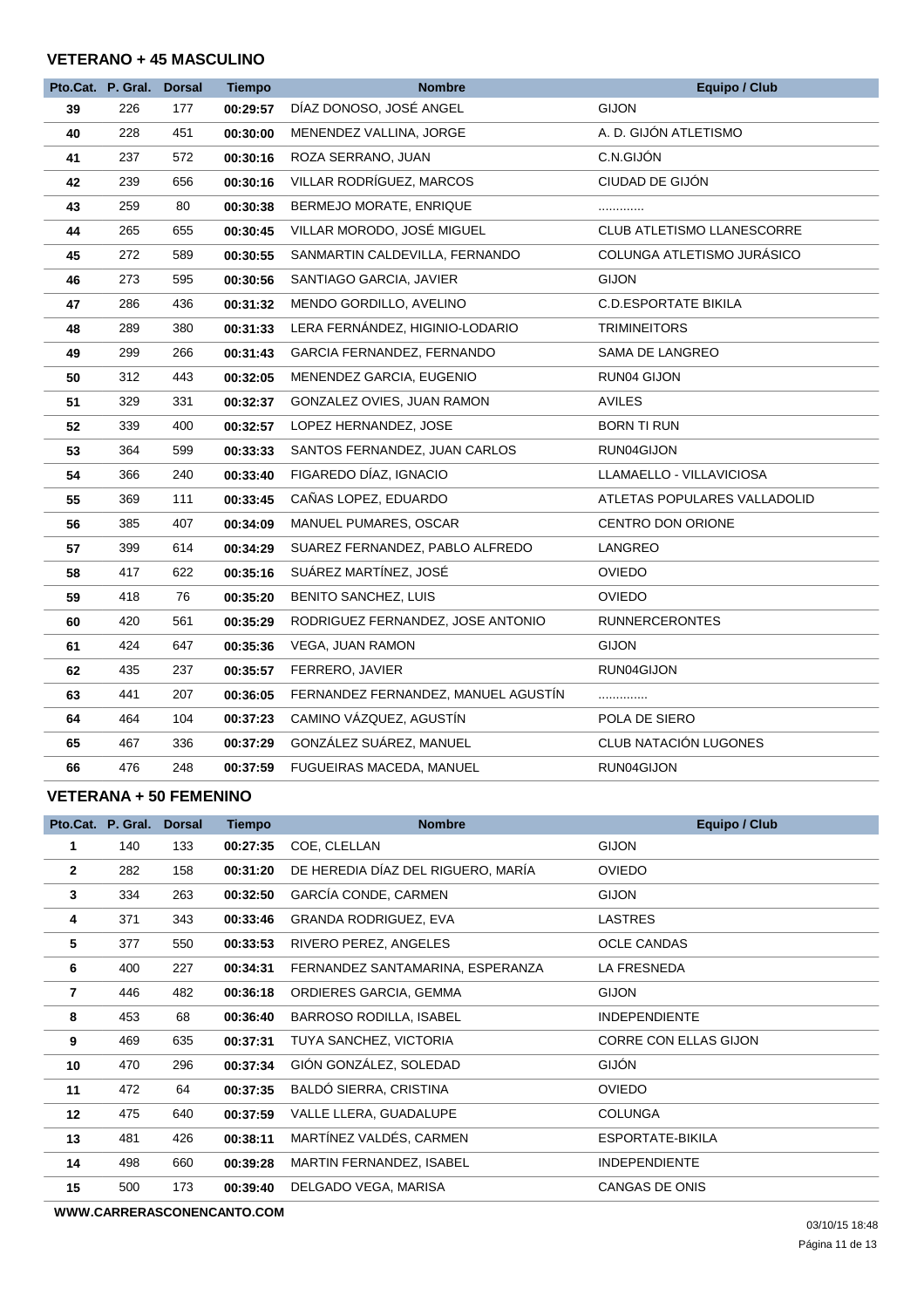#### **VETERANO + 45 MASCULINO**

|    | Pto.Cat. P. Gral. Dorsal |     | <b>Tiempo</b> | <b>Nombre</b>                       | <b>Equipo / Club</b>              |
|----|--------------------------|-----|---------------|-------------------------------------|-----------------------------------|
| 39 | 226                      | 177 | 00:29:57      | DÍAZ DONOSO, JOSÉ ANGEL             | <b>GIJON</b>                      |
| 40 | 228                      | 451 | 00:30:00      | MENENDEZ VALLINA, JORGE             | A. D. GIJÓN ATLETISMO             |
| 41 | 237                      | 572 | 00:30:16      | ROZA SERRANO, JUAN                  | C.N.GIJÓN                         |
| 42 | 239                      | 656 | 00:30:16      | VILLAR RODRÍGUEZ, MARCOS            | CIUDAD DE GIJÓN                   |
| 43 | 259                      | 80  | 00:30:38      | BERMEJO MORATE, ENRIQUE             | .                                 |
| 44 | 265                      | 655 | 00:30:45      | VILLAR MORODO, JOSÉ MIGUEL          | <b>CLUB ATLETISMO LLANESCORRE</b> |
| 45 | 272                      | 589 | 00:30:55      | SANMARTIN CALDEVILLA, FERNANDO      | COLUNGA ATLETISMO JURÁSICO        |
| 46 | 273                      | 595 | 00:30:56      | SANTIAGO GARCIA, JAVIER             | <b>GIJON</b>                      |
| 47 | 286                      | 436 | 00:31:32      | MENDO GORDILLO, AVELINO             | <b>C.D.ESPORTATE BIKILA</b>       |
| 48 | 289                      | 380 | 00:31:33      | LERA FERNÁNDEZ, HIGINIO-LODARIO     | <b>TRIMINEITORS</b>               |
| 49 | 299                      | 266 | 00:31:43      | GARCIA FERNANDEZ, FERNANDO          | SAMA DE LANGREO                   |
| 50 | 312                      | 443 | 00:32:05      | MENENDEZ GARCIA, EUGENIO            | RUN04 GIJON                       |
| 51 | 329                      | 331 | 00:32:37      | GONZALEZ OVIES, JUAN RAMON          | <b>AVILES</b>                     |
| 52 | 339                      | 400 | 00:32:57      | LOPEZ HERNANDEZ, JOSE               | <b>BORN TI RUN</b>                |
| 53 | 364                      | 599 | 00:33:33      | SANTOS FERNANDEZ, JUAN CARLOS       | RUN04GIJON                        |
| 54 | 366                      | 240 | 00:33:40      | FIGAREDO DÍAZ, IGNACIO              | LLAMAELLO - VILLAVICIOSA          |
| 55 | 369                      | 111 | 00:33:45      | CAÑAS LOPEZ, EDUARDO                | ATLETAS POPULARES VALLADOLID      |
| 56 | 385                      | 407 | 00:34:09      | MANUEL PUMARES, OSCAR               | CENTRO DON ORIONE                 |
| 57 | 399                      | 614 | 00:34:29      | SUAREZ FERNANDEZ, PABLO ALFREDO     | LANGREO                           |
| 58 | 417                      | 622 | 00:35:16      | SUÁREZ MARTÍNEZ, JOSÉ               | <b>OVIEDO</b>                     |
| 59 | 418                      | 76  | 00:35:20      | <b>BENITO SANCHEZ, LUIS</b>         | <b>OVIEDO</b>                     |
| 60 | 420                      | 561 | 00:35:29      | RODRIGUEZ FERNANDEZ, JOSE ANTONIO   | <b>RUNNERCERONTES</b>             |
| 61 | 424                      | 647 | 00:35:36      | <b>VEGA, JUAN RAMON</b>             | <b>GIJON</b>                      |
| 62 | 435                      | 237 | 00:35:57      | FERRERO, JAVIER                     | RUN04GIJON                        |
| 63 | 441                      | 207 | 00:36:05      | FERNANDEZ FERNANDEZ, MANUEL AGUSTIN | .                                 |
| 64 | 464                      | 104 | 00:37:23      | CAMINO VÁZQUEZ, AGUSTÍN             | POLA DE SIERO                     |
| 65 | 467                      | 336 | 00:37:29      | GONZÁLEZ SUÁREZ, MANUEL             | CLUB NATACIÓN LUGONES             |
| 66 | 476                      | 248 | 00:37:59      | FUGUEIRAS MACEDA, MANUEL            | RUN04GIJON                        |

### **VETERANA + 50 FEMENINO**

| Pto.Cat.     | P. Gral. | <b>Dorsal</b> | <b>Tiempo</b> | <b>Nombre</b>                      | <b>Equipo / Club</b>         |
|--------------|----------|---------------|---------------|------------------------------------|------------------------------|
| 1            | 140      | 133           | 00:27:35      | COE, CLELLAN                       | <b>GIJON</b>                 |
| $\mathbf{2}$ | 282      | 158           | 00:31:20      | DE HEREDIA DÍAZ DEL RIGUERO, MARÍA | <b>OVIEDO</b>                |
| 3            | 334      | 263           | 00:32:50      | GARCÍA CONDE, CARMEN               | <b>GIJON</b>                 |
| 4            | 371      | 343           | 00:33:46      | <b>GRANDA RODRIGUEZ, EVA</b>       | <b>LASTRES</b>               |
| 5            | 377      | 550           | 00:33:53      | RIVERO PEREZ, ANGELES              | <b>OCLE CANDAS</b>           |
| 6            | 400      | 227           | 00:34:31      | FERNANDEZ SANTAMARINA, ESPERANZA   | LA FRESNEDA                  |
| 7            | 446      | 482           | 00:36:18      | ORDIERES GARCIA, GEMMA             | <b>GIJON</b>                 |
| 8            | 453      | 68            | 00:36:40      | <b>BARROSO RODILLA, ISABEL</b>     | <b>INDEPENDIENTE</b>         |
| 9            | 469      | 635           | 00:37:31      | TUYA SANCHEZ, VICTORIA             | <b>CORRE CON ELLAS GIJON</b> |
| 10           | 470      | 296           | 00:37:34      | GIÓN GONZÁLEZ, SOLEDAD             | <b>GIJÓN</b>                 |
| 11           | 472      | 64            | 00:37:35      | BALDO SIERRA, CRISTINA             | <b>OVIEDO</b>                |
| 12           | 475      | 640           | 00:37:59      | VALLE LLERA, GUADALUPE             | <b>COLUNGA</b>               |
| 13           | 481      | 426           | 00:38:11      | MARTÍNEZ VALDÉS, CARMEN            | <b>ESPORTATE-BIKILA</b>      |
| 14           | 498      | 660           | 00:39:28      | MARTIN FERNANDEZ, ISABEL           | <b>INDEPENDIENTE</b>         |
| 15           | 500      | 173           | 00:39:40      | DELGADO VEGA, MARISA               | CANGAS DE ONIS               |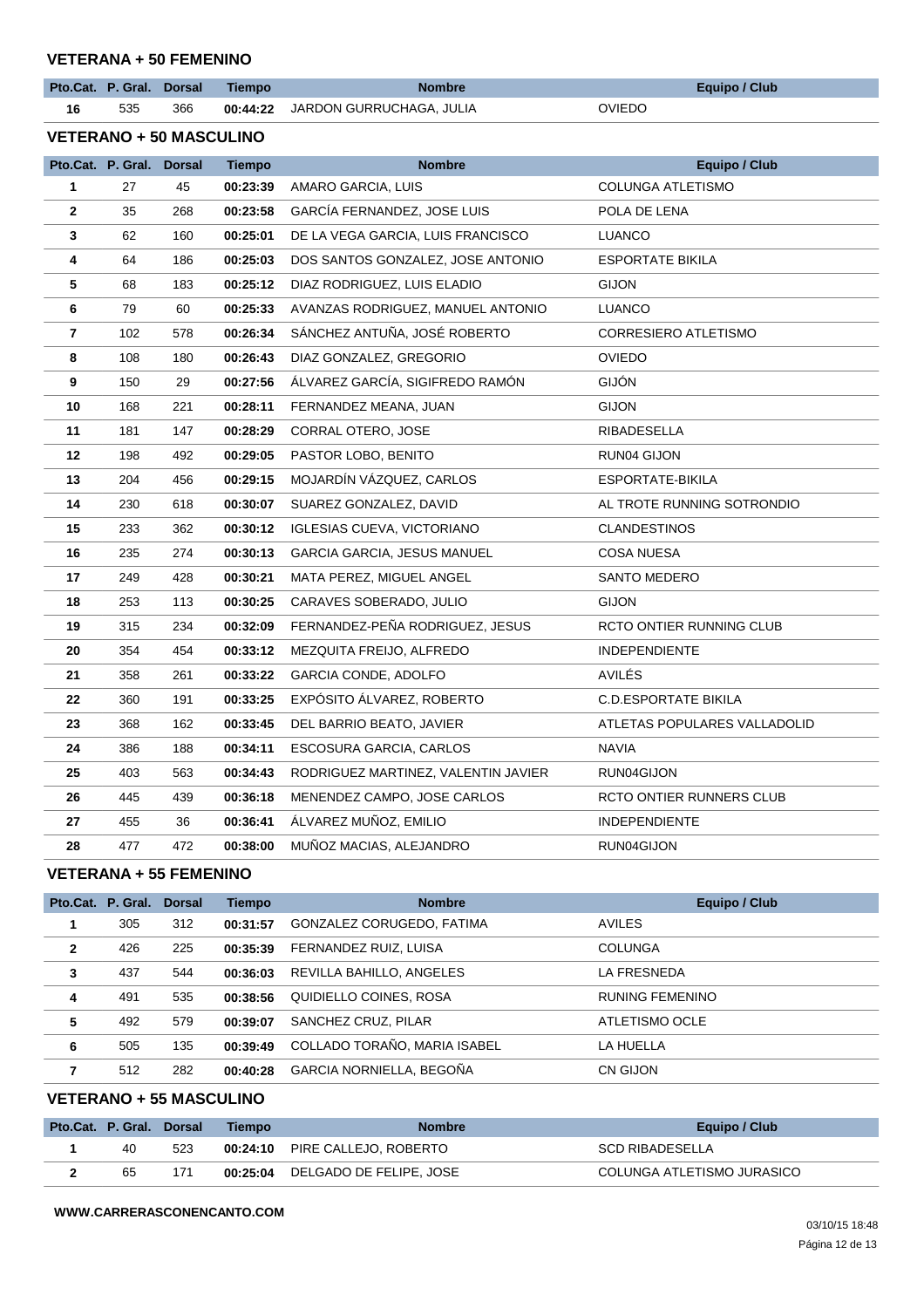#### **VETERANA + 50 FEMENINO**

| <b>VETERANA + 50 FEMENINO</b>  |                          |     |               |                                     |                              |  |  |  |
|--------------------------------|--------------------------|-----|---------------|-------------------------------------|------------------------------|--|--|--|
|                                | Pto.Cat. P. Gral. Dorsal |     | <b>Tiempo</b> | <b>Nombre</b>                       | <b>Equipo / Club</b>         |  |  |  |
| 16                             | 535                      | 366 | 00:44:22      | JARDON GURRUCHAGA, JULIA            | <b>OVIEDO</b>                |  |  |  |
| <b>VETERANO + 50 MASCULINO</b> |                          |     |               |                                     |                              |  |  |  |
|                                | Pto.Cat. P. Gral. Dorsal |     | <b>Tiempo</b> | <b>Nombre</b>                       | Equipo / Club                |  |  |  |
| 1                              | 27                       | 45  | 00:23:39      | AMARO GARCIA, LUIS                  | COLUNGA ATLETISMO            |  |  |  |
| $\mathbf{2}$                   | 35                       | 268 | 00:23:58      | GARCÍA FERNANDEZ, JOSE LUIS         | POLA DE LENA                 |  |  |  |
| 3                              | 62                       | 160 | 00:25:01      | DE LA VEGA GARCIA, LUIS FRANCISCO   | LUANCO                       |  |  |  |
| 4                              | 64                       | 186 | 00:25:03      | DOS SANTOS GONZALEZ, JOSE ANTONIO   | <b>ESPORTATE BIKILA</b>      |  |  |  |
| 5                              | 68                       | 183 | 00:25:12      | DIAZ RODRIGUEZ, LUIS ELADIO         | <b>GIJON</b>                 |  |  |  |
| 6                              | 79                       | 60  | 00:25:33      | AVANZAS RODRIGUEZ, MANUEL ANTONIO   | <b>LUANCO</b>                |  |  |  |
| 7                              | 102                      | 578 | 00:26:34      | SÁNCHEZ ANTUÑA, JOSÉ ROBERTO        | <b>CORRESIERO ATLETISMO</b>  |  |  |  |
| 8                              | 108                      | 180 | 00:26:43      | DIAZ GONZALEZ, GREGORIO             | <b>OVIEDO</b>                |  |  |  |
| 9                              | 150                      | 29  | 00:27:56      | ÁLVAREZ GARCÍA, SIGIFREDO RAMÓN     | <b>GIJÓN</b>                 |  |  |  |
| 10                             | 168                      | 221 | 00:28:11      | FERNANDEZ MEANA, JUAN               | <b>GIJON</b>                 |  |  |  |
| 11                             | 181                      | 147 | 00:28:29      | CORRAL OTERO, JOSE                  | RIBADESELLA                  |  |  |  |
| 12                             | 198                      | 492 | 00:29:05      | PASTOR LOBO, BENITO                 | RUN04 GIJON                  |  |  |  |
| 13                             | 204                      | 456 | 00:29:15      | MOJARDÍN VÁZQUEZ, CARLOS            | ESPORTATE-BIKILA             |  |  |  |
| 14                             | 230                      | 618 | 00:30:07      | SUAREZ GONZALEZ, DAVID              | AL TROTE RUNNING SOTRONDIO   |  |  |  |
| 15                             | 233                      | 362 | 00:30:12      | IGLESIAS CUEVA, VICTORIANO          | <b>CLANDESTINOS</b>          |  |  |  |
| 16                             | 235                      | 274 | 00:30:13      | GARCIA GARCIA, JESUS MANUEL         | <b>COSA NUESA</b>            |  |  |  |
| 17                             | 249                      | 428 | 00:30:21      | MATA PEREZ, MIGUEL ANGEL            | <b>SANTO MEDERO</b>          |  |  |  |
| 18                             | 253                      | 113 | 00:30:25      | CARAVES SOBERADO, JULIO             | <b>GIJON</b>                 |  |  |  |
| 19                             | 315                      | 234 | 00:32:09      | FERNANDEZ-PEÑA RODRIGUEZ, JESUS     | RCTO ONTIER RUNNING CLUB     |  |  |  |
| 20                             | 354                      | 454 | 00:33:12      | MEZQUITA FREIJO, ALFREDO            | <b>INDEPENDIENTE</b>         |  |  |  |
| 21                             | 358                      | 261 | 00:33:22      | GARCIA CONDE, ADOLFO                | AVILÉS                       |  |  |  |
| 22                             | 360                      | 191 | 00:33:25      | EXPÓSITO ÁLVAREZ, ROBERTO           | <b>C.D.ESPORTATE BIKILA</b>  |  |  |  |
| 23                             | 368                      | 162 | 00:33:45      | DEL BARRIO BEATO, JAVIER            | ATLETAS POPULARES VALLADOLID |  |  |  |
| 24                             | 386                      | 188 | 00:34:11      | ESCOSURA GARCIA, CARLOS             | <b>NAVIA</b>                 |  |  |  |
| 25                             | 403                      | 563 | 00:34:43      | RODRIGUEZ MARTINEZ, VALENTIN JAVIER | RUN04GIJON                   |  |  |  |
| 26                             | 445                      | 439 | 00:36:18      | MENENDEZ CAMPO, JOSE CARLOS         | RCTO ONTIER RUNNERS CLUB     |  |  |  |
| 27                             | 455                      | 36  | 00:36:41      | ÁLVAREZ MUÑOZ, EMILIO               | <b>INDEPENDIENTE</b>         |  |  |  |
| 28                             | 477                      | 472 | 00:38:00      | MUNOZ MACIAS, ALEJANDRO             | RUN04GIJON                   |  |  |  |

#### **VETERANA + 55 FEMENINO**

|                | Pto.Cat. P. Gral. | <b>Dorsal</b> | <b>Tiempo</b> | <b>Nombre</b>                | Equipo / Club          |
|----------------|-------------------|---------------|---------------|------------------------------|------------------------|
| 1              | 305               | 312           | 00:31:57      | GONZALEZ CORUGEDO, FATIMA    | <b>AVILES</b>          |
| $\overline{2}$ | 426               | 225           | 00:35:39      | FERNANDEZ RUIZ, LUISA        | <b>COLUNGA</b>         |
| 3              | 437               | 544           | 00:36:03      | REVILLA BAHILLO, ANGELES     | LA FRESNEDA            |
| 4              | 491               | 535           | 00:38:56      | QUIDIELLO COINES, ROSA       | <b>RUNING FEMENINO</b> |
| 5              | 492               | 579           | 00:39:07      | SANCHEZ CRUZ, PILAR          | ATLETISMO OCLE         |
| 6              | 505               | 135           | 00:39:49      | COLLADO TORAÑO, MARIA ISABEL | LA HUELLA              |
|                | 512               | 282           | 00:40:28      | GARCIA NORNIELLA, BEGOÑA     | <b>CN GIJON</b>        |

### **VETERANO + 55 MASCULINO**

| Pto.Cat. P. Gral. Dorsal |    |     | Tiempo   | <b>Nombre</b>                  | Equipo / Club              |
|--------------------------|----|-----|----------|--------------------------------|----------------------------|
|                          | 40 | 523 |          | 00:24:10 PIRE CALLEJO, ROBERTO | SCD RIBADESELLA            |
|                          | 65 | 171 | 00:25:04 | DELGADO DE FELIPE, JOSE        | COLUNGA ATLETISMO JURASICO |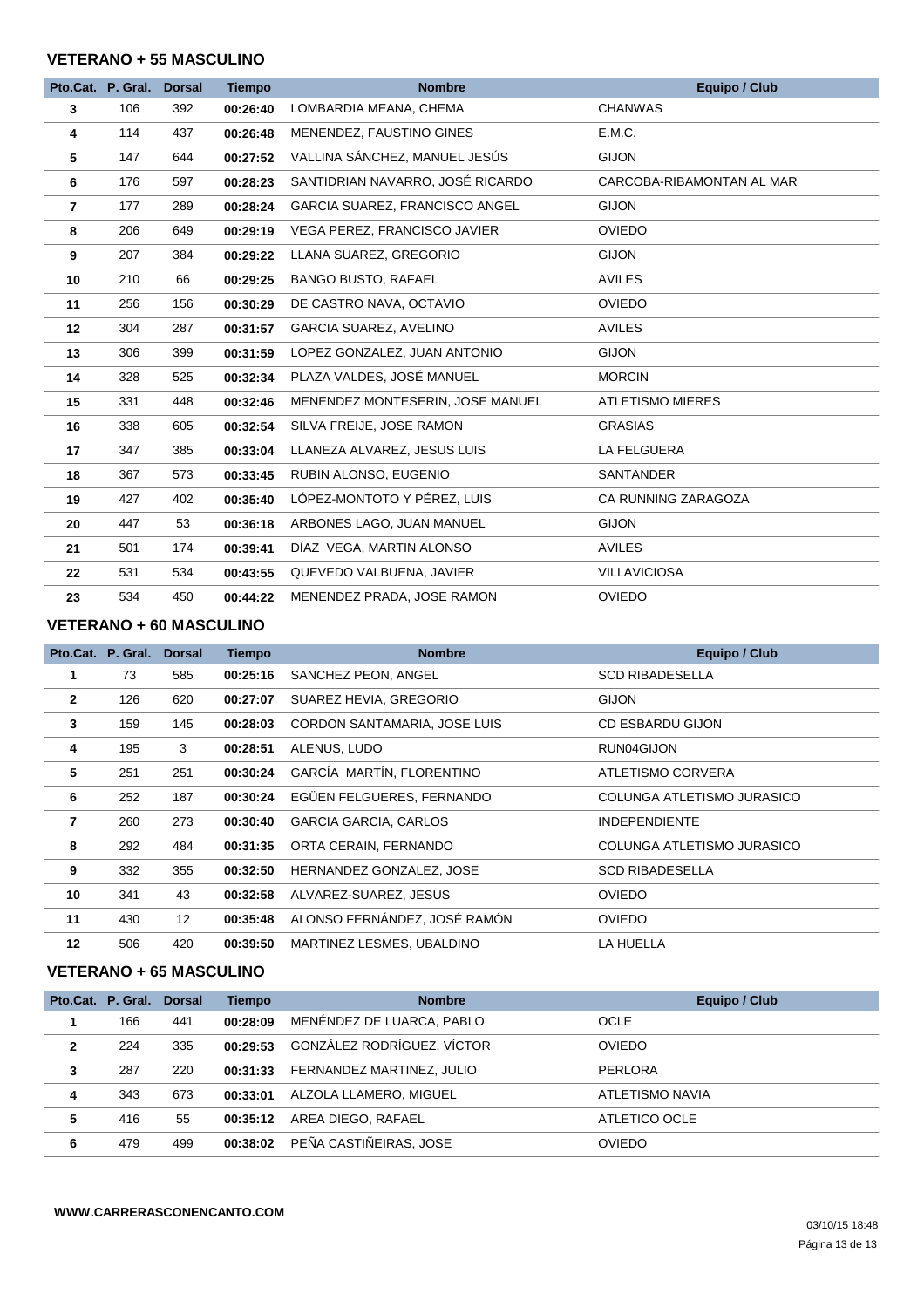#### **VETERANO + 55 MASCULINO**

|                | Pto.Cat. P. Gral. | <b>Dorsal</b> | <b>Tiempo</b> | <b>Nombre</b>                    | Equipo / Club             |  |
|----------------|-------------------|---------------|---------------|----------------------------------|---------------------------|--|
| 3              | 106               | 392           | 00:26:40      | LOMBARDIA MEANA, CHEMA           | <b>CHANWAS</b>            |  |
| 4              | 114               | 437           | 00:26:48      | MENENDEZ, FAUSTINO GINES         | E.M.C.                    |  |
| 5              | 147               | 644           | 00:27:52      | VALLINA SÁNCHEZ, MANUEL JESÚS    | <b>GIJON</b>              |  |
| 6              | 176               | 597           | 00:28:23      | SANTIDRIAN NAVARRO, JOSÉ RICARDO | CARCOBA-RIBAMONTAN AL MAR |  |
| $\overline{7}$ | 177               | 289           | 00:28:24      | GARCIA SUAREZ, FRANCISCO ANGEL   | <b>GIJON</b>              |  |
| 8              | 206               | 649           | 00:29:19      | VEGA PEREZ, FRANCISCO JAVIER     | <b>OVIEDO</b>             |  |
| 9              | 207               | 384           | 00:29:22      | LLANA SUAREZ, GREGORIO           | <b>GIJON</b>              |  |
| 10             | 210               | 66            | 00:29:25      | <b>BANGO BUSTO, RAFAEL</b>       | <b>AVILES</b>             |  |
| 11             | 256               | 156           | 00:30:29      | DE CASTRO NAVA, OCTAVIO          | <b>OVIEDO</b>             |  |
| 12             | 304               | 287           | 00:31:57      | <b>GARCIA SUAREZ, AVELINO</b>    | <b>AVILES</b>             |  |
| 13             | 306               | 399           | 00:31:59      | LOPEZ GONZALEZ, JUAN ANTONIO     | <b>GIJON</b>              |  |
| 14             | 328               | 525           | 00:32:34      | PLAZA VALDES, JOSÉ MANUEL        | <b>MORCIN</b>             |  |
| 15             | 331               | 448           | 00:32:46      | MENENDEZ MONTESERIN, JOSE MANUEL | <b>ATLETISMO MIERES</b>   |  |
| 16             | 338               | 605           | 00:32:54      | SILVA FREIJE, JOSE RAMON         | <b>GRASIAS</b>            |  |
| 17             | 347               | 385           | 00:33:04      | LLANEZA ALVAREZ, JESUS LUIS      | LA FELGUERA               |  |
| 18             | 367               | 573           | 00:33:45      | RUBIN ALONSO, EUGENIO            | <b>SANTANDER</b>          |  |
| 19             | 427               | 402           | 00:35:40      | LÓPEZ-MONTOTO Y PÉREZ, LUIS      | CA RUNNING ZARAGOZA       |  |
| 20             | 447               | 53            | 00:36:18      | ARBONES LAGO, JUAN MANUEL        | <b>GIJON</b>              |  |
| 21             | 501               | 174           | 00:39:41      | DÍAZ VEGA, MARTIN ALONSO         | <b>AVILES</b>             |  |
| 22             | 531               | 534           | 00:43:55      | QUEVEDO VALBUENA, JAVIER         | <b>VILLAVICIOSA</b>       |  |
| 23             | 534               | 450           | 00:44:22      | MENENDEZ PRADA, JOSE RAMON       | <b>OVIEDO</b>             |  |

### **VETERANO + 60 MASCULINO**

|                | Pto.Cat. P. Gral. | <b>Dorsal</b> | <b>Tiempo</b> | <b>Nombre</b>                | Equipo / Club              |
|----------------|-------------------|---------------|---------------|------------------------------|----------------------------|
| 1              | 73                | 585           | 00:25:16      | SANCHEZ PEON, ANGEL          | <b>SCD RIBADESELLA</b>     |
| $\overline{2}$ | 126               | 620           | 00:27:07      | SUAREZ HEVIA, GREGORIO       | <b>GIJON</b>               |
| 3              | 159               | 145           | 00:28:03      | CORDON SANTAMARIA, JOSE LUIS | CD ESBARDU GIJON           |
| 4              | 195               | 3             | 00:28:51      | ALENUS, LUDO                 | RUN04GIJON                 |
| 5              | 251               | 251           | 00:30:24      | GARCÍA MARTÍN, FLORENTINO    | ATLETISMO CORVERA          |
| 6              | 252               | 187           | 00:30:24      | EGÜEN FELGUERES, FERNANDO    | COLUNGA ATLETISMO JURASICO |
| 7              | 260               | 273           | 00:30:40      | <b>GARCIA GARCIA, CARLOS</b> | <b>INDEPENDIENTE</b>       |
| 8              | 292               | 484           | 00:31:35      | ORTA CERAIN, FERNANDO        | COLUNGA ATLETISMO JURASICO |
| 9              | 332               | 355           | 00:32:50      | HERNANDEZ GONZALEZ, JOSE     | <b>SCD RIBADESELLA</b>     |
| 10             | 341               | 43            | 00:32:58      | ALVAREZ-SUAREZ, JESUS        | <b>OVIEDO</b>              |
| 11             | 430               | 12            | 00:35:48      | ALONSO FERNÁNDEZ, JOSÉ RAMÓN | <b>OVIEDO</b>              |
| 12             | 506               | 420           | 00:39:50      | MARTINEZ LESMES, UBALDINO    | LA HUELLA                  |

#### **VETERANO + 65 MASCULINO**

|                | Pto.Cat. P. Gral. Dorsal |     | <b>Tiempo</b> | <b>Nombre</b>              | Equipo / Club   |  |
|----------------|--------------------------|-----|---------------|----------------------------|-----------------|--|
|                | 166                      | 441 | 00:28:09      | MENÉNDEZ DE LUARCA, PABLO  | <b>OCLE</b>     |  |
| $\overline{2}$ | 224                      | 335 | 00:29:53      | GONZÁLEZ RODRÍGUEZ. VÍCTOR | <b>OVIEDO</b>   |  |
| 3              | 287                      | 220 | 00:31:33      | FERNANDEZ MARTINEZ, JULIO  | PERLORA         |  |
| 4              | 343                      | 673 | 00:33:01      | ALZOLA LLAMERO, MIGUEL     | ATLETISMO NAVIA |  |
| 5              | 416                      | 55  | 00:35:12      | AREA DIEGO, RAFAEL         | ATLETICO OCLE   |  |
| 6              | 479                      | 499 | 00:38:02      | PEÑA CASTIÑEIRAS, JOSE     | <b>OVIEDO</b>   |  |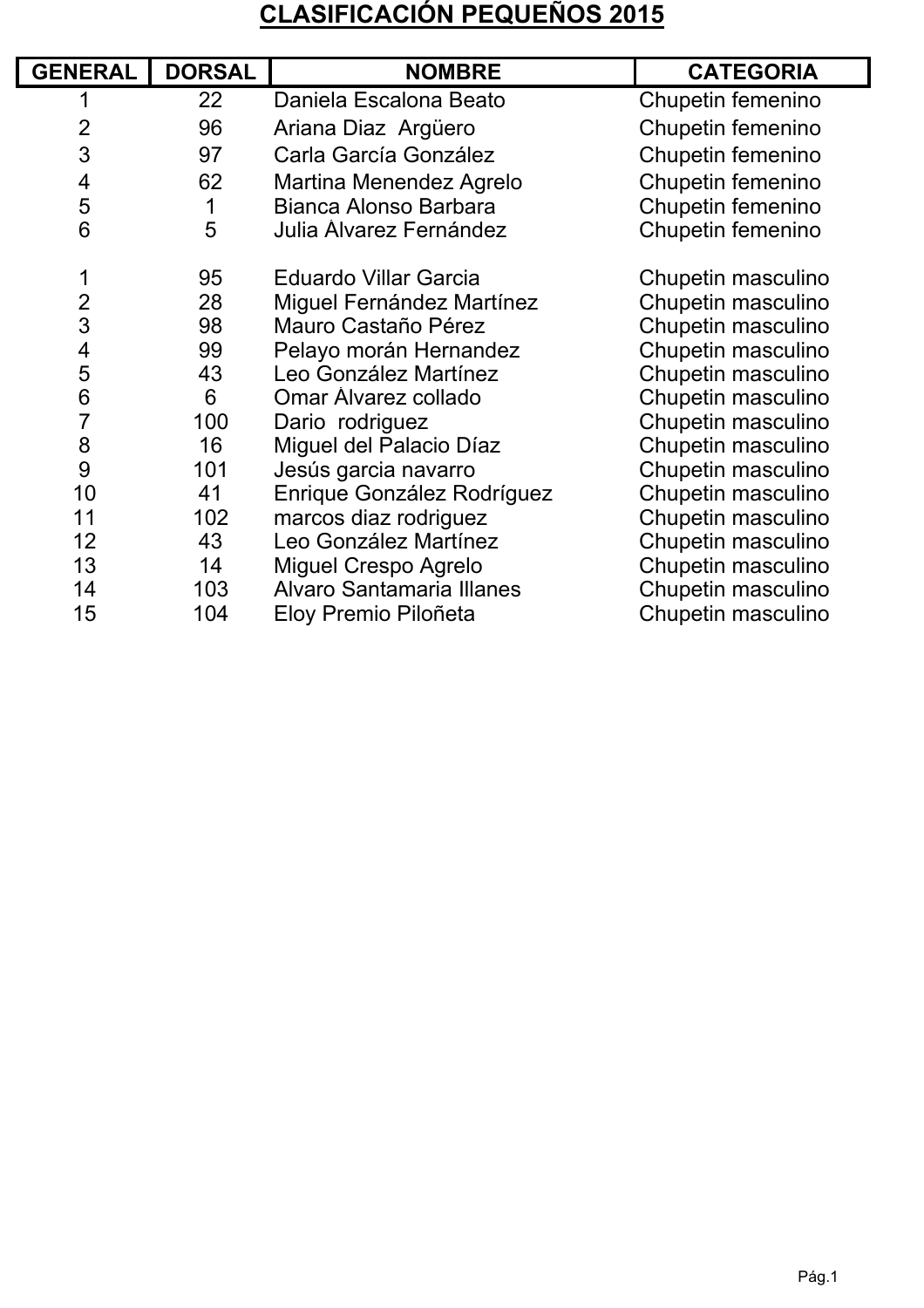## **CLASIFICACIÓN PEQUEÑOS 2015**

| <b>GENERAL</b> | <b>DORSAL</b> | <b>NOMBRE</b>                | <b>CATEGORIA</b>   |
|----------------|---------------|------------------------------|--------------------|
|                | 22            | Daniela Escalona Beato       | Chupetin femenino  |
| $\overline{2}$ | 96            | Ariana Diaz Argüero          | Chupetin femenino  |
| 3              | 97            | Carla García González        | Chupetin femenino  |
| 4              | 62            | Martina Menendez Agrelo      | Chupetin femenino  |
| 5              | 1             | Bianca Alonso Barbara        | Chupetin femenino  |
| 6              | 5             | Julia Álvarez Fernández      | Chupetin femenino  |
| 1              | 95            | <b>Eduardo Villar Garcia</b> | Chupetin masculino |
| $\overline{c}$ | 28            | Miguel Fernández Martínez    | Chupetin masculino |
| 3              | 98            | Mauro Castaño Pérez          | Chupetin masculino |
| 4              | 99            | Pelayo morán Hernandez       | Chupetin masculino |
| 5              | 43            | Leo González Martínez        | Chupetin masculino |
| 6              | 6             | Omar Álvarez collado         | Chupetin masculino |
| $\overline{7}$ | 100           | Dario rodriguez              | Chupetin masculino |
| 8              | 16            | Miguel del Palacio Díaz      | Chupetin masculino |
| 9              | 101           | Jesús garcia navarro         | Chupetin masculino |
| 10             | 41            | Enrique González Rodríguez   | Chupetin masculino |
| 11             | 102           | marcos diaz rodriguez        | Chupetin masculino |
| 12             | 43            | Leo González Martínez        | Chupetin masculino |
| 13             | 14            | Miguel Crespo Agrelo         | Chupetin masculino |
| 14             | 103           | Alvaro Santamaria Illanes    | Chupetin masculino |
| 15             | 104           | Eloy Premio Piloñeta         | Chupetin masculino |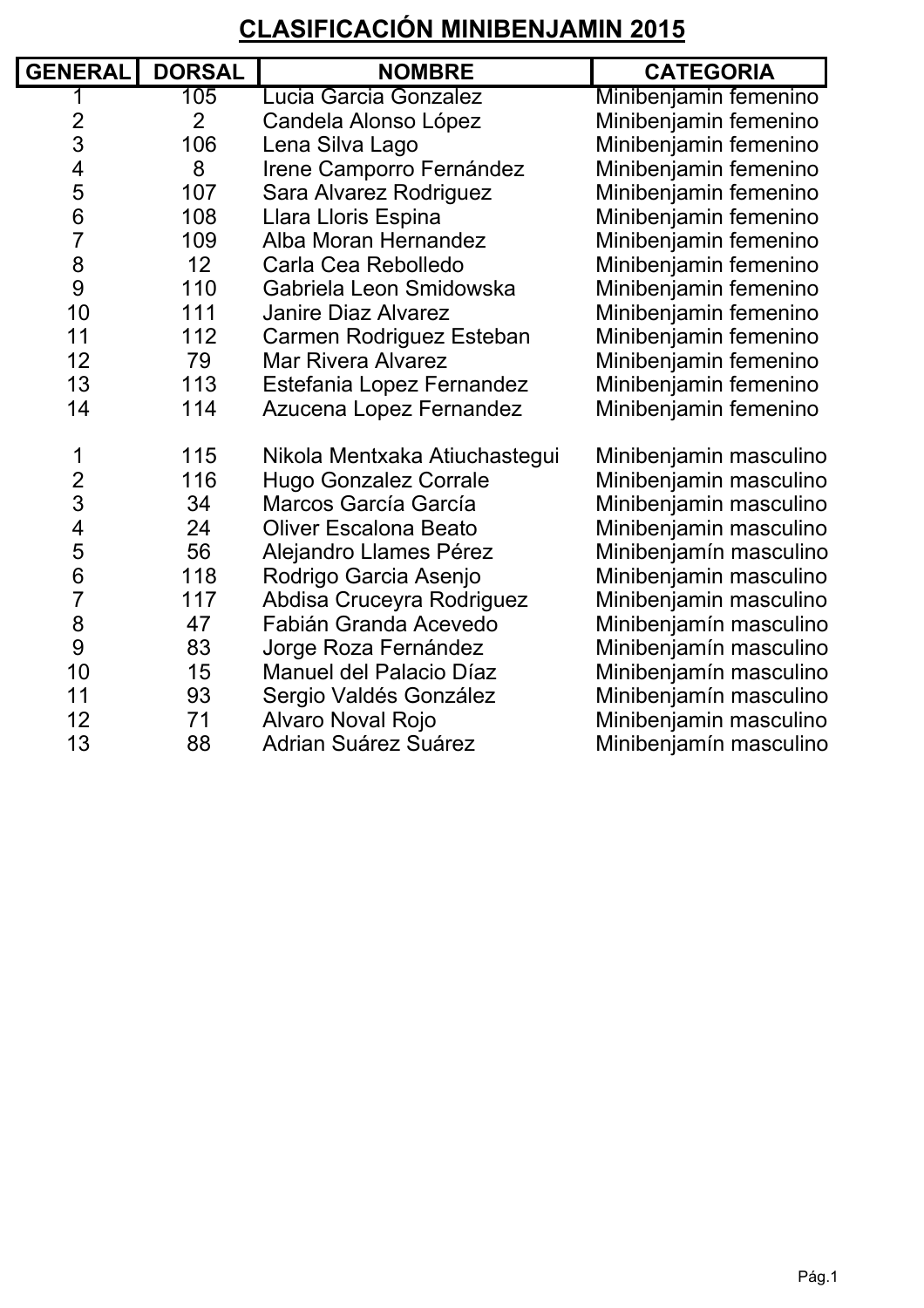# **CLASIFICACIÓN MINIBENJAMIN 2015**

| <b>GENERAL</b> | <b>DORSAL</b>  | <b>NOMBRE</b>                 | <b>CATEGORIA</b>       |
|----------------|----------------|-------------------------------|------------------------|
| 1              | 105            | Lucia Garcia Gonzalez         | Minibenjamin femenino  |
| $\frac{2}{3}$  | $\overline{2}$ | Candela Alonso López          | Minibenjamin femenino  |
|                | 106            | Lena Silva Lago               | Minibenjamin femenino  |
| 4              | 8              | Irene Camporro Fernández      | Minibenjamin femenino  |
| 5              | 107            | Sara Alvarez Rodriguez        | Minibenjamin femenino  |
| 6              | 108            | Llara Lloris Espina           | Minibenjamin femenino  |
| $\overline{7}$ | 109            | Alba Moran Hernandez          | Minibenjamin femenino  |
| 8              | 12             | Carla Cea Rebolledo           | Minibenjamin femenino  |
| 9              | 110            | Gabriela Leon Smidowska       | Minibenjamin femenino  |
| 10             | 111            | <b>Janire Diaz Alvarez</b>    | Minibenjamin femenino  |
| 11             | 112            | Carmen Rodriguez Esteban      | Minibenjamin femenino  |
| 12             | 79             | <b>Mar Rivera Alvarez</b>     | Minibenjamin femenino  |
| 13             | 113            | Estefania Lopez Fernandez     | Minibenjamin femenino  |
| 14             | 114            | Azucena Lopez Fernandez       | Minibenjamin femenino  |
| 1              | 115            | Nikola Mentxaka Atiuchastegui | Minibenjamin masculino |
|                | 116            | <b>Hugo Gonzalez Corrale</b>  | Minibenjamin masculino |
| $\frac{2}{3}$  | 34             | Marcos García García          | Minibenjamin masculino |
| 4              | 24             | <b>Oliver Escalona Beato</b>  | Minibenjamin masculino |
| 5              | 56             | Alejandro Llames Pérez        | Minibenjamín masculino |
| 6              | 118            | Rodrigo Garcia Asenjo         | Minibenjamin masculino |
| $\overline{7}$ | 117            | Abdisa Cruceyra Rodriguez     | Minibenjamin masculino |
| 8              | 47             | Fabián Granda Acevedo         | Minibenjamín masculino |
| 9              | 83             | Jorge Roza Fernández          | Minibenjamín masculino |
| 10             | 15             | Manuel del Palacio Díaz       | Minibenjamín masculino |
| 11             | 93             | Sergio Valdés González        | Minibenjamín masculino |
| 12             | 71             | Alvaro Noval Rojo             | Minibenjamin masculino |
| 13             | 88             | Adrian Suárez Suárez          | Minibenjamín masculino |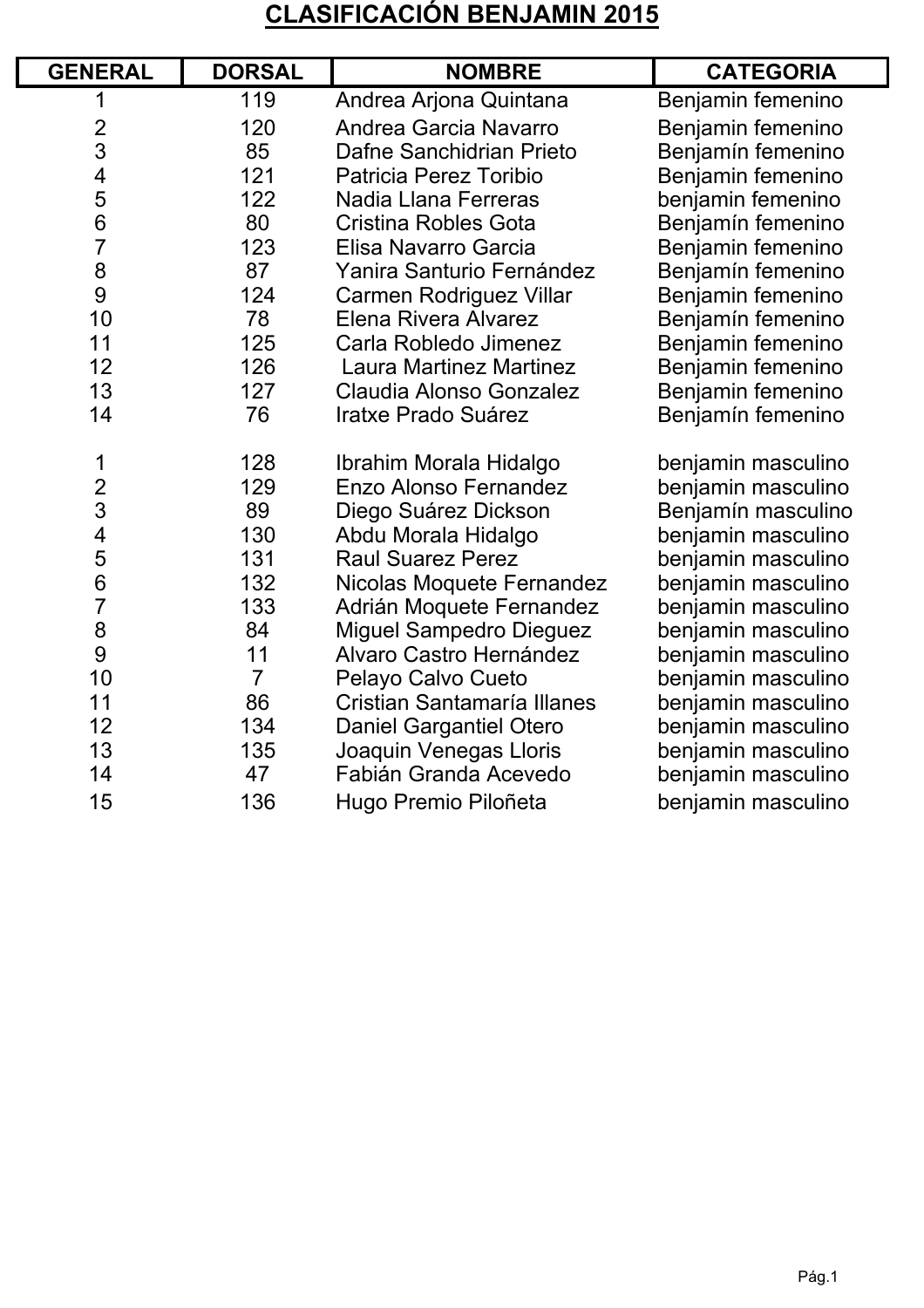## **CLASIFICACIÓN BENJAMIN 2015**

| <b>GENERAL</b>          | <b>DORSAL</b>  | <b>NOMBRE</b>                  | <b>CATEGORIA</b>   |
|-------------------------|----------------|--------------------------------|--------------------|
| 1                       | 119            | Andrea Arjona Quintana         | Benjamin femenino  |
| $\frac{2}{3}$           | 120            | Andrea Garcia Navarro          | Benjamin femenino  |
|                         | 85             | Dafne Sanchidrian Prieto       | Benjamín femenino  |
| $\overline{\mathbf{4}}$ | 121            | Patricia Perez Toribio         | Benjamin femenino  |
| 5                       | 122            | <b>Nadia Llana Ferreras</b>    | benjamin femenino  |
| 6                       | 80             | <b>Cristina Robles Gota</b>    | Benjamín femenino  |
| $\overline{7}$          | 123            | Elisa Navarro Garcia           | Benjamin femenino  |
| 8                       | 87             | Yanira Santurio Fernández      | Benjamín femenino  |
| 9                       | 124            | Carmen Rodriguez Villar        | Benjamin femenino  |
| 10                      | 78             | Elena Rivera Alvarez           | Benjamín femenino  |
| 11                      | 125            | Carla Robledo Jimenez          | Benjamin femenino  |
| 12                      | 126            | <b>Laura Martinez Martinez</b> | Benjamin femenino  |
| 13                      | 127            | Claudia Alonso Gonzalez        | Benjamin femenino  |
| 14                      | 76             | <b>Iratxe Prado Suárez</b>     | Benjamín femenino  |
| 1                       | 128            | Ibrahim Morala Hidalgo         | benjamin masculino |
|                         | 129            | Enzo Alonso Fernandez          | benjamin masculino |
| $\frac{2}{3}$           | 89             | Diego Suárez Dickson           | Benjamín masculino |
| 4                       | 130            | Abdu Morala Hidalgo            | benjamin masculino |
|                         | 131            | <b>Raul Suarez Perez</b>       | benjamin masculino |
| 5<br>6<br>7             | 132            | Nicolas Moquete Fernandez      | benjamin masculino |
|                         | 133            | Adrián Moquete Fernandez       | benjamin masculino |
| 8                       | 84             | <b>Miguel Sampedro Dieguez</b> | benjamin masculino |
| 9                       | 11             | Alvaro Castro Hernández        | benjamin masculino |
| 10                      | $\overline{7}$ | Pelayo Calvo Cueto             | benjamin masculino |
| 11                      | 86             | Cristian Santamaría Illanes    | benjamin masculino |
| 12                      | 134            | Daniel Gargantiel Otero        | benjamin masculino |
| 13                      | 135            | Joaquin Venegas Lloris         | benjamin masculino |
| 14                      | 47             | Fabián Granda Acevedo          | benjamin masculino |
| 15                      | 136            | Hugo Premio Piloñeta           | benjamin masculino |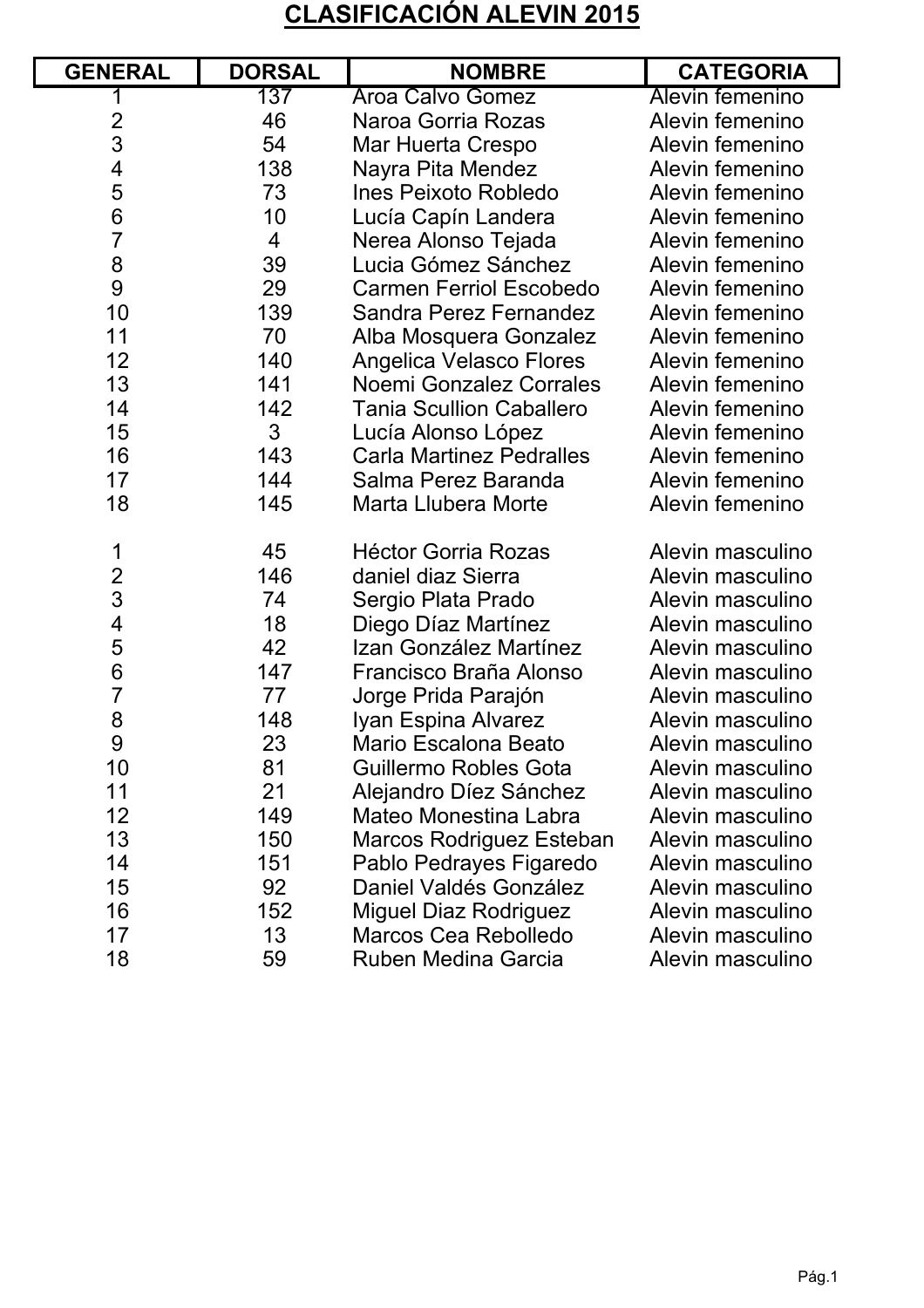## **CLASIFICACIÓN ALEVIN 2015**

| <b>GENERAL</b>                             | <b>DORSAL</b>  | <b>NOMBRE</b>                   | <b>CATEGORIA</b> |
|--------------------------------------------|----------------|---------------------------------|------------------|
|                                            | 137            | <b>Aroa Calvo Gomez</b>         | Alevin femenino  |
| $\frac{2}{3}$                              | 46             | Naroa Gorria Rozas              | Alevin femenino  |
|                                            | 54             | Mar Huerta Crespo               | Alevin femenino  |
| $\overline{\mathcal{A}}$                   | 138            | Nayra Pita Mendez               | Alevin femenino  |
| 5                                          | 73             | Ines Peixoto Robledo            | Alevin femenino  |
| $\frac{6}{7}$                              | 10             | Lucía Capín Landera             | Alevin femenino  |
|                                            | 4              | Nerea Alonso Tejada             | Alevin femenino  |
| $\begin{array}{c} 8 \\ 9 \end{array}$      | 39             | Lucia Gómez Sánchez             | Alevin femenino  |
|                                            | 29             | <b>Carmen Ferriol Escobedo</b>  | Alevin femenino  |
| 10                                         | 139            | Sandra Perez Fernandez          | Alevin femenino  |
| 11                                         | 70             | Alba Mosquera Gonzalez          | Alevin femenino  |
| 12                                         | 140            | <b>Angelica Velasco Flores</b>  | Alevin femenino  |
| 13                                         | 141            | Noemi Gonzalez Corrales         | Alevin femenino  |
| 14                                         | 142            | <b>Tania Scullion Caballero</b> | Alevin femenino  |
| 15                                         | $\mathfrak{S}$ | Lucía Alonso López              | Alevin femenino  |
| 16                                         | 143            | <b>Carla Martinez Pedralles</b> | Alevin femenino  |
| 17                                         | 144            | Salma Perez Baranda             | Alevin femenino  |
| 18                                         | 145            | Marta Llubera Morte             | Alevin femenino  |
| 1                                          | 45             | <b>Héctor Gorria Rozas</b>      | Alevin masculino |
| $\begin{array}{c} 2 \\ 3 \\ 4 \end{array}$ | 146            | daniel diaz Sierra              | Alevin masculino |
|                                            | 74             | Sergio Plata Prado              | Alevin masculino |
|                                            | 18             | Diego Díaz Martínez             | Alevin masculino |
| 5                                          | 42             | Izan González Martínez          | Alevin masculino |
| 6                                          | 147            | Francisco Braña Alonso          | Alevin masculino |
| $\overline{7}$                             | 77             | Jorge Prida Parajón             | Alevin masculino |
| 8                                          | 148            | Iyan Espina Alvarez             | Alevin masculino |
| 9                                          | 23             | Mario Escalona Beato            | Alevin masculino |
| 10                                         | 81             | Guillermo Robles Gota           | Alevin masculino |
| 11                                         | 21             | Alejandro Díez Sánchez          | Alevin masculino |
| 12                                         | 149            | Mateo Monestina Labra           | Alevin masculino |
| 13                                         | 150            | Marcos Rodriguez Esteban        | Alevin masculino |
| 14                                         | 151            | Pablo Pedrayes Figaredo         | Alevin masculino |
| 15                                         | 92             | Daniel Valdés González          | Alevin masculino |
| 16                                         | 152            | <b>Miguel Diaz Rodriguez</b>    | Alevin masculino |
| 17                                         | 13             | Marcos Cea Rebolledo            | Alevin masculino |
| 18                                         | 59             | Ruben Medina Garcia             | Alevin masculino |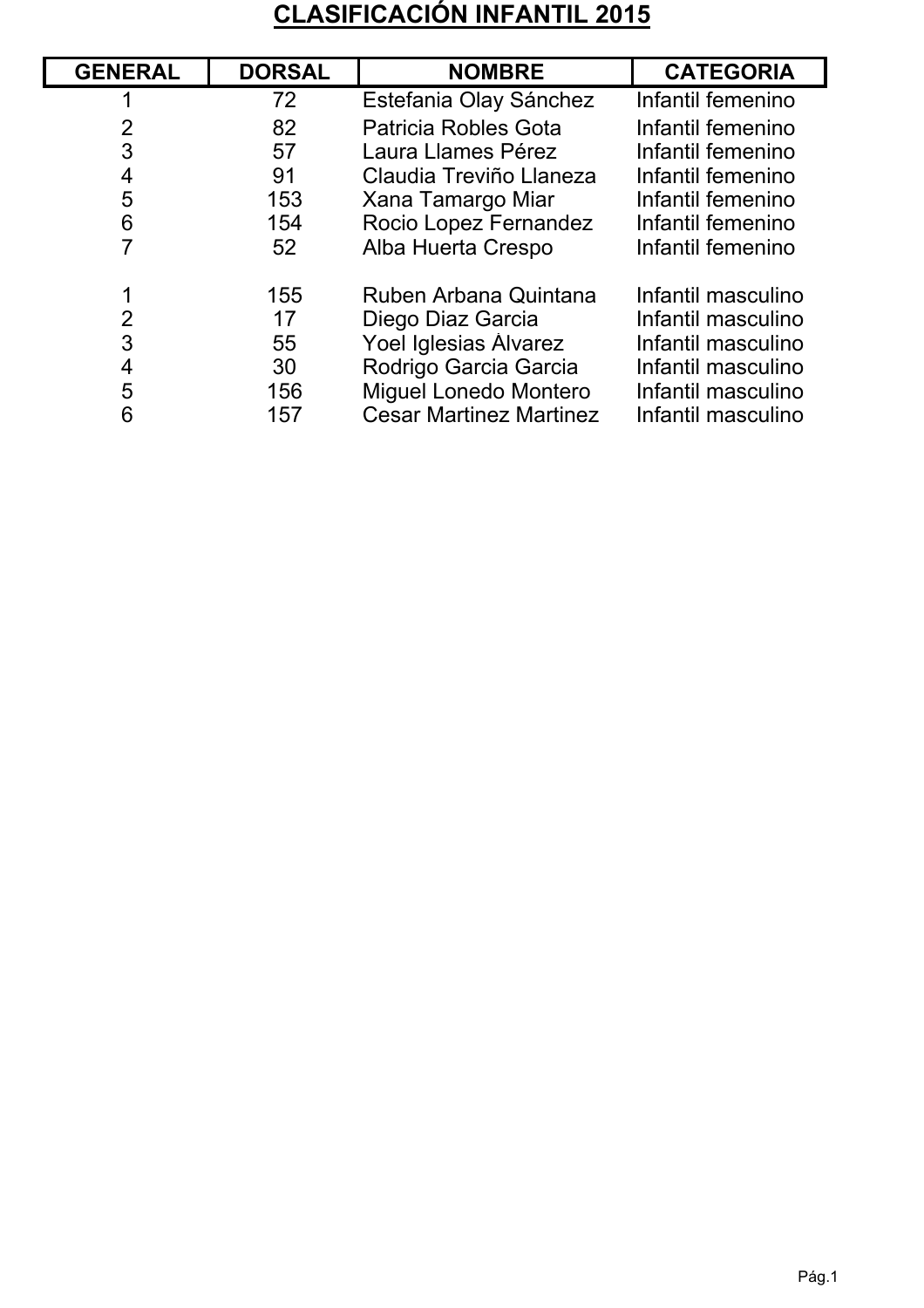## **CLASIFICACIÓN INFANTIL 2015**

| <b>GENERAL</b> | <b>DORSAL</b> | <b>NOMBRE</b>                  | <b>CATEGORIA</b>   |
|----------------|---------------|--------------------------------|--------------------|
|                | 72            | Estefania Olay Sánchez         | Infantil femenino  |
| 2              | 82            | <b>Patricia Robles Gota</b>    | Infantil femenino  |
| 3              | 57            | Laura Llames Pérez             | Infantil femenino  |
| 4              | 91            | Claudia Treviño Llaneza        | Infantil femenino  |
| 5              | 153           | Xana Tamargo Miar              | Infantil femenino  |
| 6              | 154           | Rocio Lopez Fernandez          | Infantil femenino  |
|                | 52            | Alba Huerta Crespo             | Infantil femenino  |
|                | 155           | Ruben Arbana Quintana          | Infantil masculino |
| $\overline{2}$ | 17            | Diego Diaz Garcia              | Infantil masculino |
| 3              | 55            | Yoel Iglesias Alvarez          | Infantil masculino |
| 4              | 30            | Rodrigo Garcia Garcia          | Infantil masculino |
| 5              | 156           | <b>Miguel Lonedo Montero</b>   | Infantil masculino |
| 6              | 157           | <b>Cesar Martinez Martinez</b> | Infantil masculino |